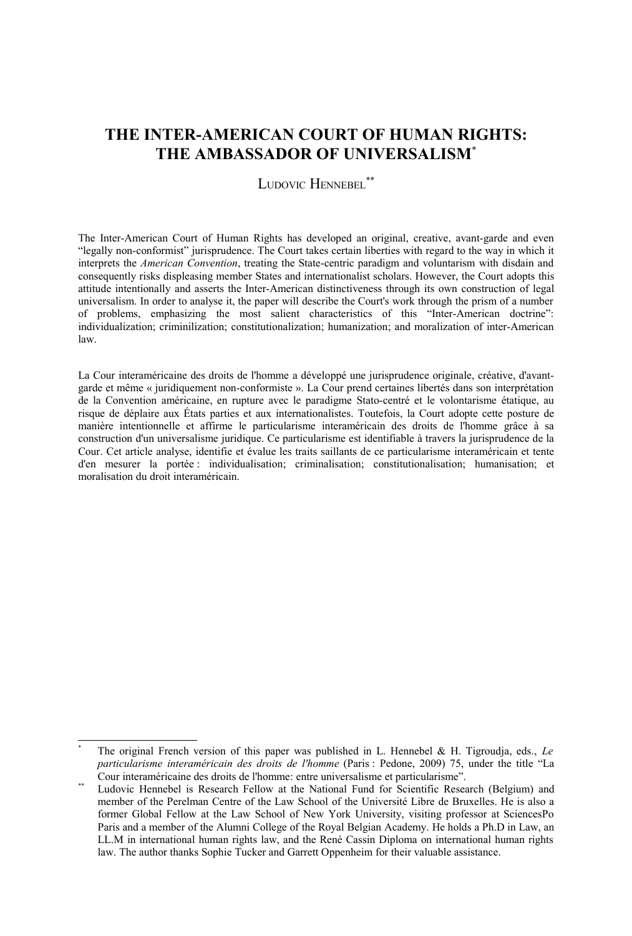# **THE INTER-AMERICAN COURT OF HUMAN RIGHTS: THE AMBASSADOR OF UNIVERSALISM**[\\*](#page-0-0)

LUDOVIC HENNEBEL<sup>[\\*\\*](#page-0-1)</sup>

The Inter-American Court of Human Rights has developed an original, creative, avant-garde and even "legally non-conformist" jurisprudence. The Court takes certain liberties with regard to the way in which it interprets the *American Convention*, treating the State-centric paradigm and voluntarism with disdain and consequently risks displeasing member States and internationalist scholars. However, the Court adopts this attitude intentionally and asserts the Inter-American distinctiveness through its own construction of legal universalism. In order to analyse it, the paper will describe the Court's work through the prism of a number of problems, emphasizing the most salient characteristics of this "Inter-American doctrine": individualization; criminilization; constitutionalization; humanization; and moralization of inter-American law.

La Cour interaméricaine des droits de l'homme a développé une jurisprudence originale, créative, d'avantgarde et même « juridiquement non-conformiste ». La Cour prend certaines libertés dans son interprétation de la Convention américaine, en rupture avec le paradigme Stato-centré et le volontarisme étatique, au risque de déplaire aux États parties et aux internationalistes. Toutefois, la Court adopte cette posture de manière intentionnelle et affirme le particularisme interaméricain des droits de l'homme grâce à sa construction d'un universalisme juridique. Ce particularisme est identifiable à travers la jurisprudence de la Cour. Cet article analyse, identifie et évalue les traits saillants de ce particularisme interaméricain et tente d'en mesurer la portée : individualisation; criminalisation; constitutionalisation; humanisation; et moralisation du droit interaméricain.

<span id="page-0-0"></span>The original French version of this paper was published in L. Hennebel & H. Tigroudja, eds., *Le particularisme interaméricain des droits de l'homme* (Paris : Pedone, 2009) 75, under the title "La Cour interaméricaine des droits de l'homme: entre universalisme et particularisme".

<span id="page-0-1"></span>Ludovic Hennebel is Research Fellow at the National Fund for Scientific Research (Belgium) and member of the Perelman Centre of the Law School of the Université Libre de Bruxelles. He is also a former Global Fellow at the Law School of New York University, visiting professor at SciencesPo Paris and a member of the Alumni College of the Royal Belgian Academy. He holds a Ph.D in Law, an LL.M in international human rights law, and the René Cassin Diploma on international human rights law. The author thanks Sophie Tucker and Garrett Oppenheim for their valuable assistance.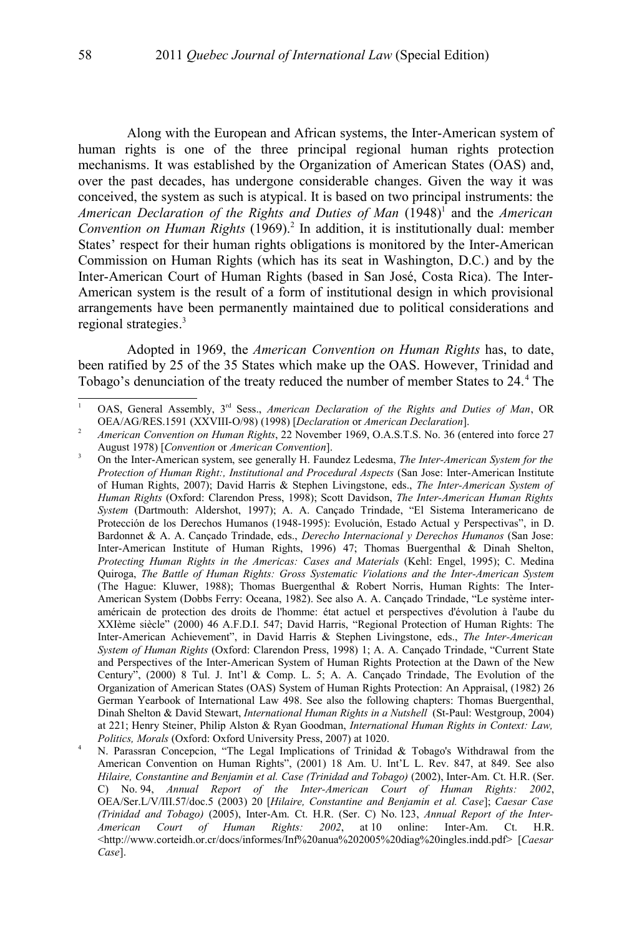Along with the European and African systems, the Inter-American system of human rights is one of the three principal regional human rights protection mechanisms. It was established by the Organization of American States (OAS) and, over the past decades, has undergone considerable changes. Given the way it was conceived, the system as such is atypical. It is based on two principal instruments: the American Declaration of the Rights and Duties of Man ([1](#page-1-0)948)<sup>1</sup> and the American *Convention on Human Rights* (1969).<sup>[2](#page-1-1)</sup> In addition, it is institutionally dual: member States' respect for their human rights obligations is monitored by the Inter-American Commission on Human Rights (which has its seat in Washington, D.C.) and by the Inter-American Court of Human Rights (based in San José, Costa Rica). The Inter-American system is the result of a form of institutional design in which provisional arrangements have been permanently maintained due to political considerations and regional strategies. [3](#page-1-2)

Adopted in 1969, the *American Convention on Human Rights* has, to date, been ratified by 25 of the 35 States which make up the OAS. However, Trinidad and Tobago's denunciation of the treaty reduced the number of member States to 2[4](#page-1-3).<sup>4</sup> The

<span id="page-1-0"></span><sup>&</sup>lt;sup>1</sup> OAS, General Assembly, 3<sup>rd</sup> Sess., *American Declaration of the Rights and Duties of Man*, OR OEA/AG/RES.1591 (XXVIII-O/98) (1998) [*Declaration* or *American Declaration*].

<span id="page-1-1"></span><sup>&</sup>lt;sup>2</sup> *American Convention on Human Rights*, 22 November 1969, O.A.S.T.S. No. 36 (entered into force 27 August 1978) [*Convention* or *American Convention*].

<span id="page-1-2"></span><sup>&</sup>lt;sup>3</sup> On the Inter-American system, see generally H. Faundez Ledesma, *The Inter-American System for the Protection of Human Right:, Institutional and Procedural Aspects* (San Jose: Inter-American Institute of Human Rights, 2007); David Harris & Stephen Livingstone, eds., *The Inter-American System of Human Rights* (Oxford: Clarendon Press, 1998); Scott Davidson, *The Inter-American Human Rights System* (Dartmouth: Aldershot, 1997); A. A. Cançado Trindade, "El Sistema Interamericano de Protección de los Derechos Humanos (1948-1995): Evolución, Estado Actual y Perspectivas", in D. Bardonnet & A. A. Cançado Trindade, eds., *Derecho Internacional y Derechos Humanos* (San Jose: Inter-American Institute of Human Rights, 1996) 47; Thomas Buergenthal & Dinah Shelton, *Protecting Human Rights in the Americas: Cases and Materials* (Kehl: Engel, 1995); C. Medina Quiroga, *The Battle of Human Rights: Gross Systematic Violations and the Inter-American System* (The Hague: Kluwer, 1988); Thomas Buergenthal & Robert Norris, Human Rights: The Inter-American System (Dobbs Ferry: Oceana, 1982). See also A. A. Cançado Trindade, "Le système interaméricain de protection des droits de l'homme: état actuel et perspectives d'évolution à l'aube du XXIème siècle" (2000) 46 A.F.D.I. 547; David Harris, "Regional Protection of Human Rights: The Inter-American Achievement", in David Harris & Stephen Livingstone, eds., *The Inter-American System of Human Rights* (Oxford: Clarendon Press, 1998) 1; A. A. Cançado Trindade, "Current State and Perspectives of the Inter-American System of Human Rights Protection at the Dawn of the New Century", (2000) 8 Tul. J. Int'l & Comp. L. 5; A. A. Cançado Trindade, The Evolution of the Organization of American States (OAS) System of Human Rights Protection: An Appraisal, (1982) 26 German Yearbook of International Law 498. See also the following chapters: Thomas Buergenthal, Dinah Shelton & David Stewart, *International Human Rights in a Nutshell* (St-Paul: Westgroup, 2004) at 221; Henry Steiner, Philip Alston & Ryan Goodman, *International Human Rights in Context: Law, Politics, Morals* (Oxford: Oxford University Press, 2007) at 1020.

<span id="page-1-3"></span><sup>&</sup>lt;sup>4</sup> N. Parassran Concepcion, "The Legal Implications of Trinidad & Tobago's Withdrawal from the American Convention on Human Rights", (2001) 18 Am. U. Int'L L. Rev. 847, at 849. See also *Hilaire, Constantine and Benjamin et al. Case (Trinidad and Tobago)* (2002), Inter-Am. Ct. H.R. (Ser. C) No. 94, *Annual Report of the Inter-American Court of Human Rights: 2002*, OEA/Ser.L/V/III.57/doc.5 (2003) 20 [*Hilaire, Constantine and Benjamin et al. Case*]; *Caesar Case (Trinidad and Tobago)* (2005), Inter-Am. Ct. H.R. (Ser. C) No. 123, *Annual Report of the Inter-American Court of Human Rights: 2002*, at 10 online: Inter-Am. Ct. H.R. <http://www.corteidh.or.cr/docs/informes/Inf%20anua%202005%20diag%20ingles.indd.pdf> [*Caesar Case*].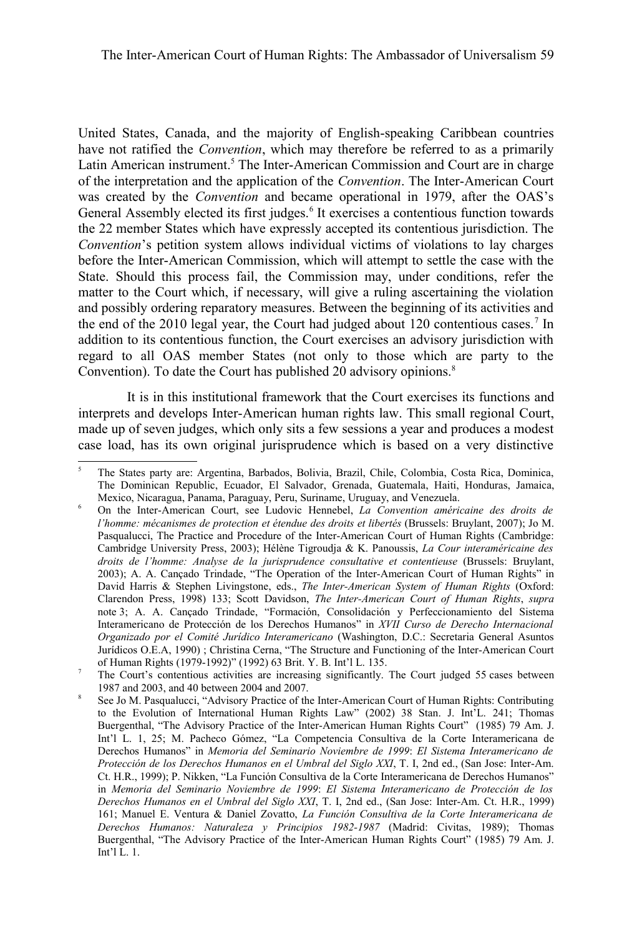United States, Canada, and the majority of English-speaking Caribbean countries have not ratified the *Convention*, which may therefore be referred to as a primarily Latin American instrument.<sup>[5](#page-2-0)</sup> The Inter-American Commission and Court are in charge of the interpretation and the application of the *Convention*. The Inter-American Court was created by the *Convention* and became operational in 1979, after the OAS's General Assembly elected its first judges.<sup>[6](#page-2-1)</sup> It exercises a contentious function towards the 22 member States which have expressly accepted its contentious jurisdiction. The *Convention*'s petition system allows individual victims of violations to lay charges before the Inter-American Commission, which will attempt to settle the case with the State. Should this process fail, the Commission may, under conditions, refer the matter to the Court which, if necessary, will give a ruling ascertaining the violation and possibly ordering reparatory measures. Between the beginning of its activities and the end of the 2010 legal year, the Court had judged about 120 contentious cases.<sup>[7](#page-2-2)</sup> In addition to its contentious function, the Court exercises an advisory jurisdiction with regard to all OAS member States (not only to those which are party to the Convention). To date the Court has published 20 advisory opinions.<sup>[8](#page-2-3)</sup>

It is in this institutional framework that the Court exercises its functions and interprets and develops Inter-American human rights law. This small regional Court, made up of seven judges, which only sits a few sessions a year and produces a modest case load, has its own original jurisprudence which is based on a very distinctive

<span id="page-2-0"></span><sup>5</sup> The States party are: Argentina, Barbados, Bolivia, Brazil, Chile, Colombia, Costa Rica, Dominica, The Dominican Republic, Ecuador, El Salvador, Grenada, Guatemala, Haiti, Honduras, Jamaica, Mexico, Nicaragua, Panama, Paraguay, Peru, Suriname, Uruguay, and Venezuela.

<span id="page-2-1"></span><sup>6</sup> On the Inter-American Court, see Ludovic Hennebel, *La Convention américaine des droits de l'homme: mécanismes de protection et étendue des droits et libertés* (Brussels: Bruylant, 2007); Jo M. Pasqualucci, The Practice and Procedure of the Inter-American Court of Human Rights (Cambridge: Cambridge University Press, 2003); Hélène Tigroudja & K. Panoussis, *La Cour interaméricaine des droits de l'homme: Analyse de la jurisprudence consultative et contentieuse* (Brussels: Bruylant, 2003); A. A. Cançado Trindade, "The Operation of the Inter-American Court of Human Rights" in David Harris & Stephen Livingstone, eds., *The Inter-American System of Human Rights* (Oxford: Clarendon Press, 1998) 133; Scott Davidson, *The Inter-American Court of Human Rights*, *supra* note [3;](#page-1-2) A. A. Cançado Trindade, "Formación, Consolidación y Perfeccionamiento del Sistema Interamericano de Protección de los Derechos Humanos" in *XVII Curso de Derecho Internacional Organizado por el Comité Jurídico Interamericano* (Washington, D.C.: Secretaria General Asuntos Jurídicos O.E.A, 1990) ; Christina Cerna, "The Structure and Functioning of the Inter-American Court of Human Rights (1979-1992)" (1992) 63 Brit. Y. B. Int'l L. 135.

<span id="page-2-2"></span><sup>&</sup>lt;sup>7</sup> The Court's contentious activities are increasing significantly. The Court judged 55 cases between 1987 and 2003, and 40 between 2004 and 2007. 8

<span id="page-2-3"></span>See Jo M. Pasqualucci, "Advisory Practice of the Inter-American Court of Human Rights: Contributing to the Evolution of International Human Rights Law" (2002) 38 Stan. J. Int'L. 241; Thomas Buergenthal, "The Advisory Practice of the Inter-American Human Rights Court" (1985) 79 Am. J. Int'l L. 1, 25; M. Pacheco Gómez, "La Competencia Consultiva de la Corte Interamericana de Derechos Humanos" in *Memoria del Seminario Noviembre de 1999*: *El Sistema Interamericano de Protección de los Derechos Humanos en el Umbral del Siglo XXI*, T. I, 2nd ed., (San Jose: Inter-Am. Ct. H.R., 1999); P. Nikken, "La Función Consultiva de la Corte Interamericana de Derechos Humanos" in *Memoria del Seminario Noviembre de 1999*: *El Sistema Interamericano de Protección de los Derechos Humanos en el Umbral del Siglo XXI*, T. I, 2nd ed., (San Jose: Inter-Am. Ct. H.R., 1999) 161; Manuel E. Ventura & Daniel Zovatto, *La Función Consultiva de la Corte Interamericana de Derechos Humanos: Naturaleza y Principios 1982-1987* (Madrid: Civitas, 1989); Thomas Buergenthal, "The Advisory Practice of the Inter-American Human Rights Court" (1985) 79 Am. J. Int'l L. 1.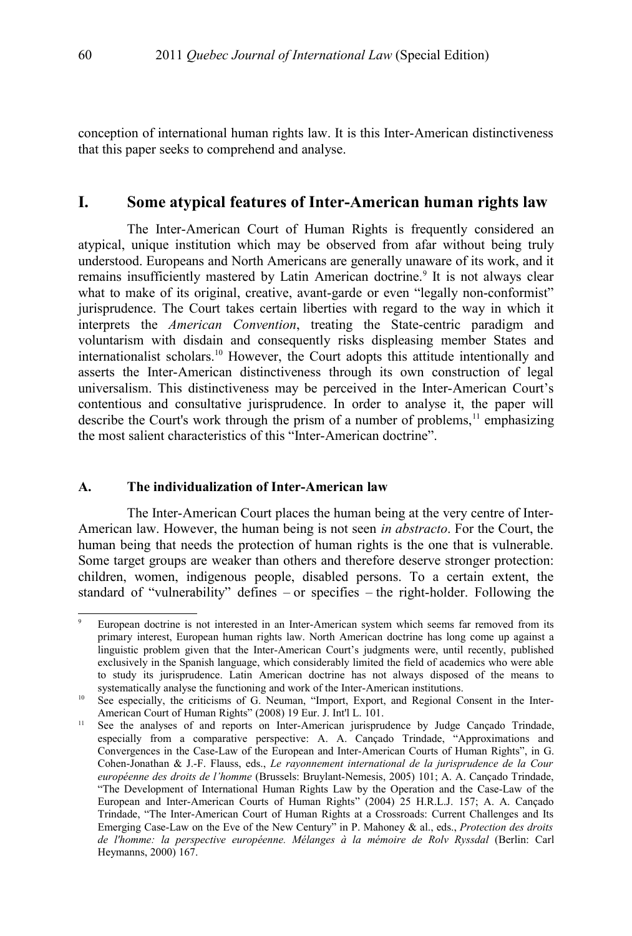conception of international human rights law. It is this Inter-American distinctiveness that this paper seeks to comprehend and analyse.

### **I. Some atypical features of Inter-American human rights law**

The Inter-American Court of Human Rights is frequently considered an atypical, unique institution which may be observed from afar without being truly understood. Europeans and North Americans are generally unaware of its work, and it remains insufficiently mastered by Latin American doctrine.<sup>[9](#page-3-0)</sup> It is not always clear what to make of its original, creative, avant-garde or even "legally non-conformist" jurisprudence. The Court takes certain liberties with regard to the way in which it interprets the *American Convention*, treating the State-centric paradigm and voluntarism with disdain and consequently risks displeasing member States and internationalist scholars.[10](#page-3-1) However, the Court adopts this attitude intentionally and asserts the Inter-American distinctiveness through its own construction of legal universalism. This distinctiveness may be perceived in the Inter-American Court's contentious and consultative jurisprudence. In order to analyse it, the paper will describe the Court's work through the prism of a number of problems,  $\frac{11}{11}$  $\frac{11}{11}$  $\frac{11}{11}$  emphasizing the most salient characteristics of this "Inter-American doctrine".

#### **A. The individualization of Inter-American law**

The Inter-American Court places the human being at the very centre of Inter-American law. However, the human being is not seen *in abstracto*. For the Court, the human being that needs the protection of human rights is the one that is vulnerable. Some target groups are weaker than others and therefore deserve stronger protection: children, women, indigenous people, disabled persons. To a certain extent, the standard of "vulnerability" defines – or specifies – the right-holder. Following the

<span id="page-3-0"></span>European doctrine is not interested in an Inter-American system which seems far removed from its primary interest, European human rights law. North American doctrine has long come up against a linguistic problem given that the Inter-American Court's judgments were, until recently, published exclusively in the Spanish language, which considerably limited the field of academics who were able to study its jurisprudence. Latin American doctrine has not always disposed of the means to systematically analyse the functioning and work of the Inter-American institutions.

<span id="page-3-1"></span><sup>&</sup>lt;sup>10</sup> See especially, the criticisms of G. Neuman, "Import, Export, and Regional Consent in the Inter-American Court of Human Rights" (2008) 19 Eur. J. Int'l L. 101.

<span id="page-3-2"></span><sup>&</sup>lt;sup>11</sup> See the analyses of and reports on Inter-American jurisprudence by Judge Cançado Trindade, especially from a comparative perspective: A. A. Cançado Trindade, "Approximations and Convergences in the Case-Law of the European and Inter-American Courts of Human Rights", in G. Cohen-Jonathan & J.-F. Flauss, eds., *Le rayonnement international de la jurisprudence de la Cour européenne des droits de l'homme* (Brussels: Bruylant-Nemesis, 2005) 101; A. A. Cançado Trindade, "The Development of International Human Rights Law by the Operation and the Case-Law of the European and Inter-American Courts of Human Rights" (2004) 25 H.R.L.J. 157; A. A. Cançado Trindade, "The Inter-American Court of Human Rights at a Crossroads: Current Challenges and Its Emerging Case-Law on the Eve of the New Century" in P. Mahoney & al., eds., *Protection des droits de l'homme: la perspective européenne. Mélanges à la mémoire de Rolv Ryssdal* (Berlin: Carl Heymanns, 2000) 167.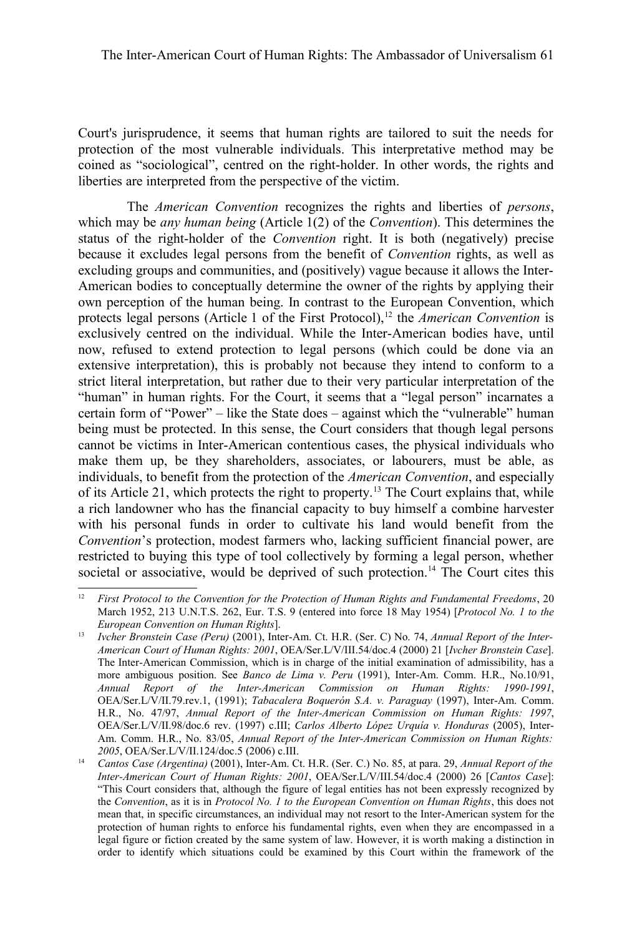Court's jurisprudence, it seems that human rights are tailored to suit the needs for protection of the most vulnerable individuals. This interpretative method may be coined as "sociological", centred on the right-holder. In other words, the rights and liberties are interpreted from the perspective of the victim.

The *American Convention* recognizes the rights and liberties of *persons*, which may be *any human being* (Article 1(2) of the *Convention*). This determines the status of the right-holder of the *Convention* right. It is both (negatively) precise because it excludes legal persons from the benefit of *Convention* rights, as well as excluding groups and communities, and (positively) vague because it allows the Inter-American bodies to conceptually determine the owner of the rights by applying their own perception of the human being. In contrast to the European Convention, which protects legal persons (Article 1 of the First Protocol),<sup>[12](#page-4-0)</sup> the *American Convention* is exclusively centred on the individual. While the Inter-American bodies have, until now, refused to extend protection to legal persons (which could be done via an extensive interpretation), this is probably not because they intend to conform to a strict literal interpretation, but rather due to their very particular interpretation of the "human" in human rights. For the Court, it seems that a "legal person" incarnates a certain form of "Power" – like the State does – against which the "vulnerable" human being must be protected. In this sense, the Court considers that though legal persons cannot be victims in Inter-American contentious cases, the physical individuals who make them up, be they shareholders, associates, or labourers, must be able, as individuals, to benefit from the protection of the *American Convention*, and especially of its Article 21, which protects the right to property.<sup>[13](#page-4-1)</sup> The Court explains that, while a rich landowner who has the financial capacity to buy himself a combine harvester with his personal funds in order to cultivate his land would benefit from the *Convention*'s protection, modest farmers who, lacking sufficient financial power, are restricted to buying this type of tool collectively by forming a legal person, whether societal or associative, would be deprived of such protection.<sup>[14](#page-4-2)</sup> The Court cites this

<span id="page-4-0"></span><sup>12</sup> *First Protocol to the Convention for the Protection of Human Rights and Fundamental Freedoms*, 20 March 1952, 213 U.N.T.S. 262, Eur. T.S. 9 (entered into force 18 May 1954) [*Protocol No. 1 to the European Convention on Human Rights*].

<span id="page-4-1"></span><sup>13</sup> *Ivcher Bronstein Case (Peru)* (2001), Inter-Am. Ct. H.R. (Ser. C) No. 74, *Annual Report of the Inter-American Court of Human Rights: 2001*, OEA/Ser.L/V/III.54/doc.4 (2000) 21 [*Ivcher Bronstein Case*]. The Inter-American Commission, which is in charge of the initial examination of admissibility, has a more ambiguous position. See *Banco de Lima v. Peru* (1991), Inter-Am. Comm. H.R., No.10/91, *Annual Report of the Inter-American Commission on Human Rights: 1990-1991*, OEA/Ser.L/V/II.79.rev.1, (1991); *Tabacalera Boquerón S.A. v. Paraguay* (1997), Inter-Am. Comm. H.R., No. 47/97, *Annual Report of the Inter-American Commission on Human Rights: 1997*, OEA/Ser.L/V/II.98/doc.6 rev. (1997) c.III; *Carlos Alberto López Urquía v. Honduras* (2005), Inter-Am. Comm. H.R., No. 83/05, *Annual Report of the Inter-American Commission on Human Rights: 2005*, OEA/Ser.L/V/II.124/doc.5 (2006) c.III.

<span id="page-4-2"></span><sup>14</sup> *Cantos Case (Argentina)* (2001), Inter-Am. Ct. H.R. (Ser. C.) No. 85, at para. 29, *Annual Report of the Inter-American Court of Human Rights: 2001*, OEA/Ser.L/V/III.54/doc.4 (2000) 26 [*Cantos Case*]: "This Court considers that, although the figure of legal entities has not been expressly recognized by the *Convention*, as it is in *Protocol No. 1 to the European Convention on Human Rights*, this does not mean that, in specific circumstances, an individual may not resort to the Inter-American system for the protection of human rights to enforce his fundamental rights, even when they are encompassed in a legal figure or fiction created by the same system of law. However, it is worth making a distinction in order to identify which situations could be examined by this Court within the framework of the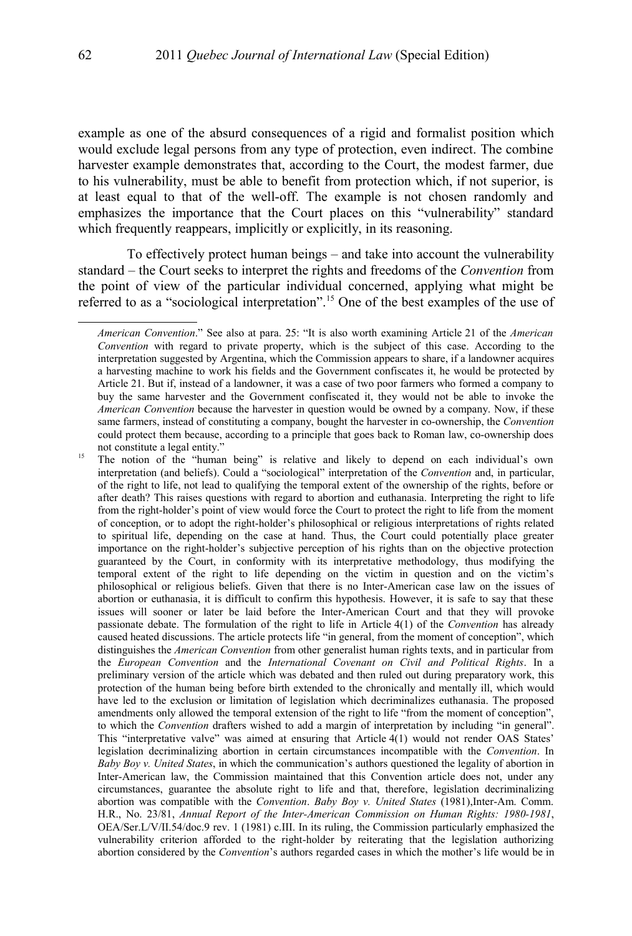example as one of the absurd consequences of a rigid and formalist position which would exclude legal persons from any type of protection, even indirect. The combine harvester example demonstrates that, according to the Court, the modest farmer, due to his vulnerability, must be able to benefit from protection which, if not superior, is at least equal to that of the well-off. The example is not chosen randomly and emphasizes the importance that the Court places on this "vulnerability" standard which frequently reappears, implicitly or explicitly, in its reasoning.

To effectively protect human beings – and take into account the vulnerability standard – the Court seeks to interpret the rights and freedoms of the *Convention* from the point of view of the particular individual concerned, applying what might be referred to as a "sociological interpretation".[15](#page-5-0) One of the best examples of the use of

*American Convention*." See also at para. 25: "It is also worth examining Article 21 of the *American Convention* with regard to private property, which is the subject of this case. According to the interpretation suggested by Argentina, which the Commission appears to share, if a landowner acquires a harvesting machine to work his fields and the Government confiscates it, he would be protected by Article 21. But if, instead of a landowner, it was a case of two poor farmers who formed a company to buy the same harvester and the Government confiscated it, they would not be able to invoke the *American Convention* because the harvester in question would be owned by a company. Now, if these same farmers, instead of constituting a company, bought the harvester in co-ownership, the *Convention* could protect them because, according to a principle that goes back to Roman law, co-ownership does not constitute a legal entity."

<span id="page-5-0"></span><sup>&</sup>lt;sup>15</sup> The notion of the "human being" is relative and likely to depend on each individual's own interpretation (and beliefs). Could a "sociological" interpretation of the *Convention* and, in particular, of the right to life, not lead to qualifying the temporal extent of the ownership of the rights, before or after death? This raises questions with regard to abortion and euthanasia. Interpreting the right to life from the right-holder's point of view would force the Court to protect the right to life from the moment of conception, or to adopt the right-holder's philosophical or religious interpretations of rights related to spiritual life, depending on the case at hand. Thus, the Court could potentially place greater importance on the right-holder's subjective perception of his rights than on the objective protection guaranteed by the Court, in conformity with its interpretative methodology, thus modifying the temporal extent of the right to life depending on the victim in question and on the victim's philosophical or religious beliefs. Given that there is no Inter-American case law on the issues of abortion or euthanasia, it is difficult to confirm this hypothesis. However, it is safe to say that these issues will sooner or later be laid before the Inter-American Court and that they will provoke passionate debate. The formulation of the right to life in Article 4(1) of the *Convention* has already caused heated discussions. The article protects life "in general, from the moment of conception", which distinguishes the *American Convention* from other generalist human rights texts, and in particular from the *European Convention* and the *International Covenant on Civil and Political Rights*. In a preliminary version of the article which was debated and then ruled out during preparatory work, this protection of the human being before birth extended to the chronically and mentally ill, which would have led to the exclusion or limitation of legislation which decriminalizes euthanasia. The proposed amendments only allowed the temporal extension of the right to life "from the moment of conception", to which the *Convention* drafters wished to add a margin of interpretation by including "in general". This "interpretative valve" was aimed at ensuring that Article 4(1) would not render OAS States' legislation decriminalizing abortion in certain circumstances incompatible with the *Convention*. In *Baby Boy v. United States*, in which the communication's authors questioned the legality of abortion in Inter-American law, the Commission maintained that this Convention article does not, under any circumstances, guarantee the absolute right to life and that, therefore, legislation decriminalizing abortion was compatible with the *Convention*. *Baby Boy v. United States* (1981),Inter-Am. Comm. H.R., No. 23/81, *Annual Report of the Inter-American Commission on Human Rights: 1980-1981*, OEA/Ser.L/V/II.54/doc.9 rev. 1 (1981) c.III. In its ruling, the Commission particularly emphasized the vulnerability criterion afforded to the right-holder by reiterating that the legislation authorizing abortion considered by the *Convention*'s authors regarded cases in which the mother's life would be in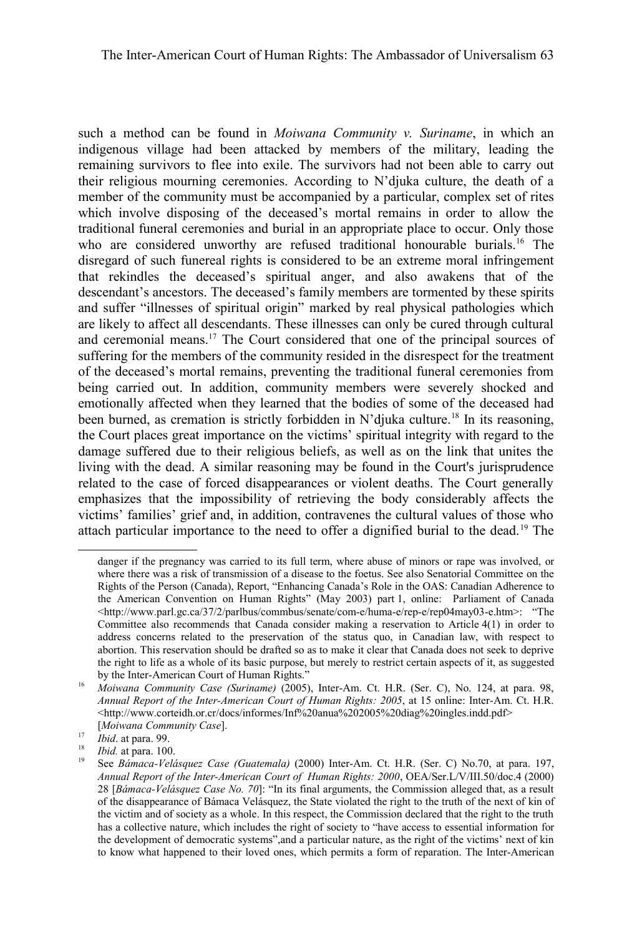such a method can be found in *Moiwana Community v. Suriname*, in which an indigenous village had been attacked by members of the military, leading the remaining survivors to flee into exile. The survivors had not been able to carry out their religious mourning ceremonies. According to N'djuka culture, the death of a member of the community must be accompanied by a particular, complex set of rites which involve disposing of the deceased's mortal remains in order to allow the traditional funeral ceremonies and burial in an appropriate place to occur. Only those who are considered unworthy are refused traditional honourable burials.<sup>[16](#page-6-0)</sup> The disregard of such funereal rights is considered to be an extreme moral infringement that rekindles the deceased's spiritual anger, and also awakens that of the descendant's ancestors. The deceased's family members are tormented by these spirits and suffer "illnesses of spiritual origin" marked by real physical pathologies which are likely to affect all descendants. These illnesses can only be cured through cultural and ceremonial means.[17](#page-6-1) The Court considered that one of the principal sources of suffering for the members of the community resided in the disrespect for the treatment of the deceased's mortal remains, preventing the traditional funeral ceremonies from being carried out. In addition, community members were severely shocked and emotionally affected when they learned that the bodies of some of the deceased had been burned, as cremation is strictly forbidden in N'djuka culture.<sup>[18](#page-6-2)</sup> In its reasoning, the Court places great importance on the victims' spiritual integrity with regard to the damage suffered due to their religious beliefs, as well as on the link that unites the living with the dead. A similar reasoning may be found in the Court's jurisprudence related to the case of forced disappearances or violent deaths. The Court generally emphasizes that the impossibility of retrieving the body considerably affects the victims' families' grief and, in addition, contravenes the cultural values of those who attach particular importance to the need to offer a dignified burial to the dead.[19](#page-6-3) The

danger if the pregnancy was carried to its full term, where abuse of minors or rape was involved, or where there was a risk of transmission of a disease to the foetus. See also Senatorial Committee on the Rights of the Person (Canada), Report, "Enhancing Canada's Role in the OAS: Canadian Adherence to the American Convention on Human Rights" (May 2003) part 1, online: Parliament of Canada <http://www.parl.gc.ca/37/2/parlbus/commbus/senate/com-e/huma-e/rep-e/rep04may03-e.htm>: "The Committee also recommends that Canada consider making a reservation to Article 4(1) in order to address concerns related to the preservation of the status quo, in Canadian law, with respect to abortion. This reservation should be drafted so as to make it clear that Canada does not seek to deprive the right to life as a whole of its basic purpose, but merely to restrict certain aspects of it, as suggested by the Inter-American Court of Human Rights."

<span id="page-6-0"></span><sup>16</sup> *Moiwana Community Case (Suriname)* (2005), Inter-Am. Ct. H.R. (Ser. C), No. 124, at para. 98, *Annual Report of the Inter-American Court of Human Rights: 2005*, at 15 online: Inter-Am. Ct. H.R. <http://www.corteidh.or.cr/docs/informes/Inf%20anua%202005%20diag%20ingles.indd.pdf> [*Moiwana Community Case*].

<span id="page-6-1"></span><sup>17</sup> *Ibid*. at para. 99.

<span id="page-6-2"></span> $\frac{18}{19}$  *Ibid.* at para. 100.

<span id="page-6-3"></span><sup>19</sup> See *Bámaca-Velásquez Case (Guatemala)* (2000) Inter-Am. Ct. H.R. (Ser. C) No.70, at para. 197, *Annual Report of the Inter-American Court of Human Rights: 2000*, OEA/Ser.L/V/III.50/doc.4 (2000) 28 [*Bámaca-Velásquez Case No. 70*]: "In its final arguments, the Commission alleged that, as a result of the disappearance of Bámaca Velásquez, the State violated the right to the truth of the next of kin of the victim and of society as a whole. In this respect, the Commission declared that the right to the truth has a collective nature, which includes the right of society to "have access to essential information for the development of democratic systems",and a particular nature, as the right of the victims' next of kin to know what happened to their loved ones, which permits a form of reparation. The Inter-American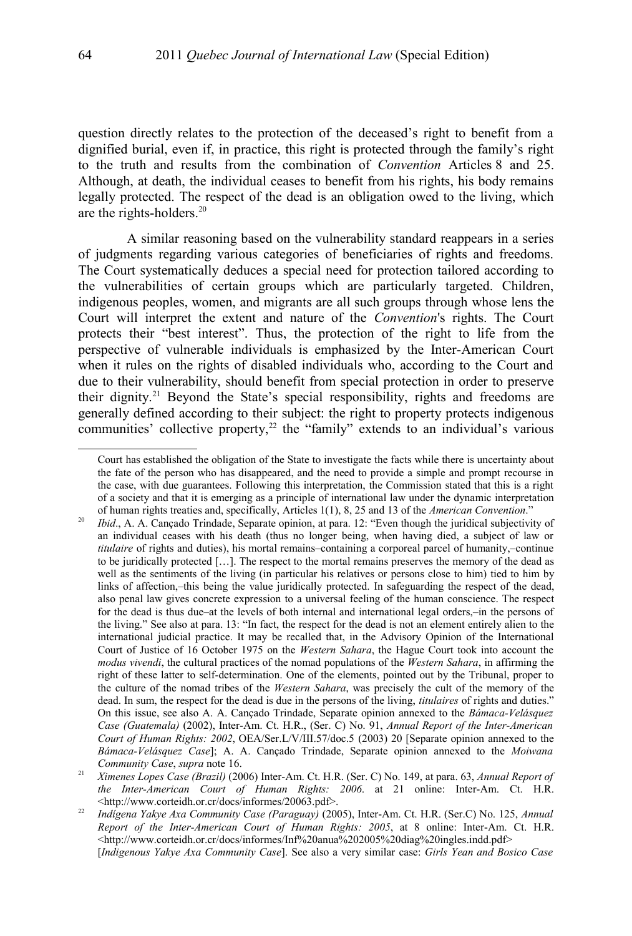question directly relates to the protection of the deceased's right to benefit from a dignified burial, even if, in practice, this right is protected through the family's right to the truth and results from the combination of *Convention* Articles 8 and 25. Although, at death, the individual ceases to benefit from his rights, his body remains legally protected. The respect of the dead is an obligation owed to the living, which are the rights-holders.[20](#page-7-0)

A similar reasoning based on the vulnerability standard reappears in a series of judgments regarding various categories of beneficiaries of rights and freedoms. The Court systematically deduces a special need for protection tailored according to the vulnerabilities of certain groups which are particularly targeted. Children, indigenous peoples, women, and migrants are all such groups through whose lens the Court will interpret the extent and nature of the *Convention*'s rights. The Court protects their "best interest". Thus, the protection of the right to life from the perspective of vulnerable individuals is emphasized by the Inter-American Court when it rules on the rights of disabled individuals who, according to the Court and due to their vulnerability, should benefit from special protection in order to preserve their dignity.<sup>[21](#page-7-1)</sup> Beyond the State's special responsibility, rights and freedoms are generally defined according to their subject: the right to property protects indigenous communities' collective property, $22$  the "family" extends to an individual's various

Court has established the obligation of the State to investigate the facts while there is uncertainty about the fate of the person who has disappeared, and the need to provide a simple and prompt recourse in the case, with due guarantees. Following this interpretation, the Commission stated that this is a right of a society and that it is emerging as a principle of international law under the dynamic interpretation of human rights treaties and, specifically, Articles 1(1), 8, 25 and 13 of the *American Convention*."

<span id="page-7-0"></span><sup>&</sup>lt;sup>20</sup> *Ibid.*, A. A. Cançado Trindade, Separate opinion, at para. 12: "Even though the juridical subjectivity of an individual ceases with his death (thus no longer being, when having died, a subject of law or *titulaire* of rights and duties), his mortal remains–containing a corporeal parcel of humanity,–continue to be juridically protected […]. The respect to the mortal remains preserves the memory of the dead as well as the sentiments of the living (in particular his relatives or persons close to him) tied to him by links of affection,–this being the value juridically protected. In safeguarding the respect of the dead, also penal law gives concrete expression to a universal feeling of the human conscience. The respect for the dead is thus due–at the levels of both internal and international legal orders,–in the persons of the living." See also at para. 13: "In fact, the respect for the dead is not an element entirely alien to the international judicial practice. It may be recalled that, in the Advisory Opinion of the International Court of Justice of 16 October 1975 on the *Western Sahara*, the Hague Court took into account the *modus vivendi*, the cultural practices of the nomad populations of the *Western Sahara*, in affirming the right of these latter to self-determination. One of the elements, pointed out by the Tribunal, proper to the culture of the nomad tribes of the *Western Sahara*, was precisely the cult of the memory of the dead. In sum, the respect for the dead is due in the persons of the living, *titulaires* of rights and duties." On this issue, see also A. A. Cançado Trindade, Separate opinion annexed to the *Bámaca-Velásquez Case (Guatemala)* (2002), Inter-Am. Ct. H.R., (Ser. C) No. 91, *Annual Report of the Inter-American Court of Human Rights: 2002*, OEA/Ser.L/V/III.57/doc.5 (2003) 20 [Separate opinion annexed to the *Bámaca-Velásquez Case*]; A. A. Cançado Trindade, Separate opinion annexed to the *Moiwana Community Case*, *supra* note [16.](#page-6-0)

<span id="page-7-1"></span><sup>21</sup> *Ximenes Lopes Case (Brazil)* (2006) Inter-Am. Ct. H.R. (Ser. C) No. 149, at para. 63, *Annual Report of the Inter-American Court of Human Rights: 2006*. at 21 online: Inter-Am. Ct. H.R. <http://www.corteidh.or.cr/docs/informes/20063.pdf>.

<span id="page-7-2"></span><sup>22</sup> *Indígena Yakye Axa Community Case (Paraguay)* (2005), Inter-Am. Ct. H.R. (Ser.C) No. 125, *Annual Report of the Inter-American Court of Human Rights: 2005*, at 8 online: Inter-Am. Ct. H.R.  $\langle$ http://www.corteidh.or.cr/docs/informes/Inf%20anua%202005%20diag%20ingles.indd.pdf> [*Indigenous Yakye Axa Community Case*]. See also a very similar case: *Girls Yean and Bosico Case*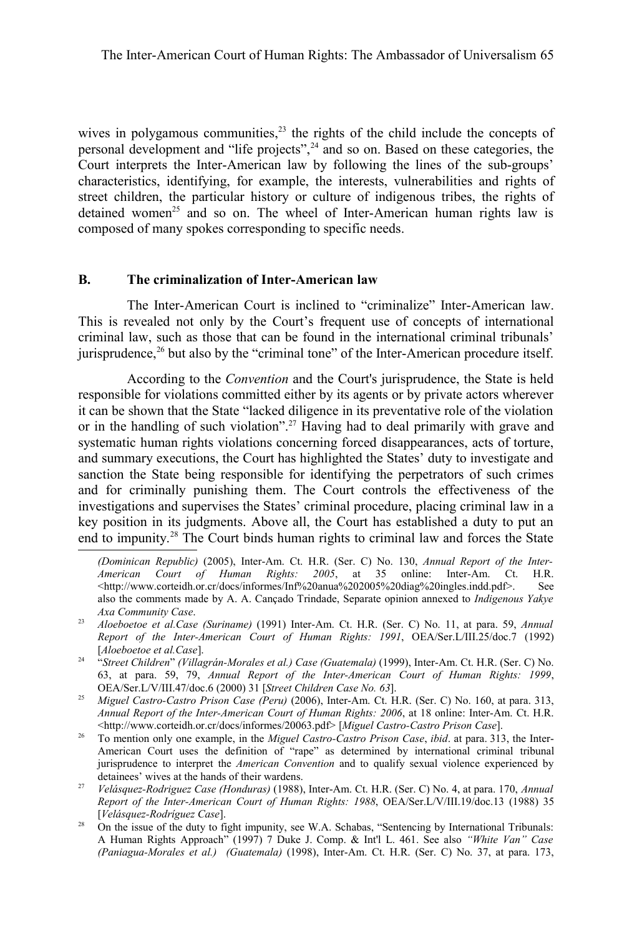wives in polygamous communities, $2<sup>3</sup>$  the rights of the child include the concepts of personal development and "life projects",[24](#page-8-1) and so on. Based on these categories, the Court interprets the Inter-American law by following the lines of the sub-groups' characteristics, identifying, for example, the interests, vulnerabilities and rights of street children, the particular history or culture of indigenous tribes, the rights of detained women<sup>[25](#page-8-2)</sup> and so on. The wheel of Inter-American human rights law is composed of many spokes corresponding to specific needs.

### **B. The criminalization of Inter-American law**

The Inter-American Court is inclined to "criminalize" Inter-American law. This is revealed not only by the Court's frequent use of concepts of international criminal law, such as those that can be found in the international criminal tribunals' jurisprudence, $^{26}$  $^{26}$  $^{26}$  but also by the "criminal tone" of the Inter-American procedure itself.

According to the *Convention* and the Court's jurisprudence, the State is held responsible for violations committed either by its agents or by private actors wherever it can be shown that the State "lacked diligence in its preventative role of the violation or in the handling of such violation".[27](#page-8-4) Having had to deal primarily with grave and systematic human rights violations concerning forced disappearances, acts of torture, and summary executions, the Court has highlighted the States' duty to investigate and sanction the State being responsible for identifying the perpetrators of such crimes and for criminally punishing them. The Court controls the effectiveness of the investigations and supervises the States' criminal procedure, placing criminal law in a key position in its judgments. Above all, the Court has established a duty to put an end to impunity.[28](#page-8-5) The Court binds human rights to criminal law and forces the State

*<sup>(</sup>Dominican Republic)* (2005), Inter-Am. Ct. H.R. (Ser. C) No. 130, *Annual Report of the Inter-American Court of Human Rights: 2005*, at 35 online: Inter-Am. Ct. H.R. <http://www.corteidh.or.cr/docs/informes/Inf%20anua%202005%20diag%20ingles.indd.pdf>. See also the comments made by A. A. Cançado Trindade, Separate opinion annexed to *Indigenous Yakye Axa Community Case*.

<span id="page-8-0"></span><sup>23</sup> *Aloeboetoe et al.Case (Suriname)* (1991) Inter-Am. Ct. H.R. (Ser. C) No. 11, at para. 59, *Annual Report of the Inter-American Court of Human Rights: 1991*, OEA/Ser.L/III.25/doc.7 (1992) [*Aloeboetoe et al.Case*].

<span id="page-8-1"></span><sup>24</sup> "*Street Children*" *(Villagrán-Morales et al.) Case (Guatemala)* (1999), Inter-Am. Ct. H.R. (Ser. C) No. 63, at para. 59, 79, *Annual Report of the Inter-American Court of Human Rights: 1999*, OEA/Ser.L/V/III.47/doc.6 (2000) 31 [*Street Children Case No. 63*].

<span id="page-8-2"></span><sup>25</sup> *Miguel Castro-Castro Prison Case (Peru)* (2006), Inter-Am. Ct. H.R. (Ser. C) No. 160, at para. 313, *Annual Report of the Inter-American Court of Human Rights: 2006*, at 18 online: Inter-Am. Ct. H.R. <http://www.corteidh.or.cr/docs/informes/20063.pdf> [*Miguel Castro-Castro Prison Case*].

<span id="page-8-3"></span><sup>26</sup> To mention only one example, in the *Miguel Castro-Castro Prison Case*, *ibid*. at para. 313, the Inter-American Court uses the definition of "rape" as determined by international criminal tribunal jurisprudence to interpret the *American Convention* and to qualify sexual violence experienced by detainees' wives at the hands of their wardens.

<span id="page-8-4"></span><sup>27</sup> *Velásquez-Rodriguez Case (Honduras)* (1988), Inter-Am. Ct. H.R. (Ser. C) No. 4, at para. 170, *Annual Report of the Inter-American Court of Human Rights: 1988*, OEA/Ser.L/V/III.19/doc.13 (1988) 35 [*Velásquez-Rodríguez Case*].

<span id="page-8-5"></span><sup>&</sup>lt;sup>28</sup> On the issue of the duty to fight impunity, see W.A. Schabas, "Sentencing by International Tribunals: A Human Rights Approach" (1997) 7 Duke J. Comp. & Int'l L. 461. See also *"White Van" Case (Paniagua-Morales et al.) (Guatemala)* (1998), Inter-Am. Ct. H.R. (Ser. C) No. 37, at para. 173,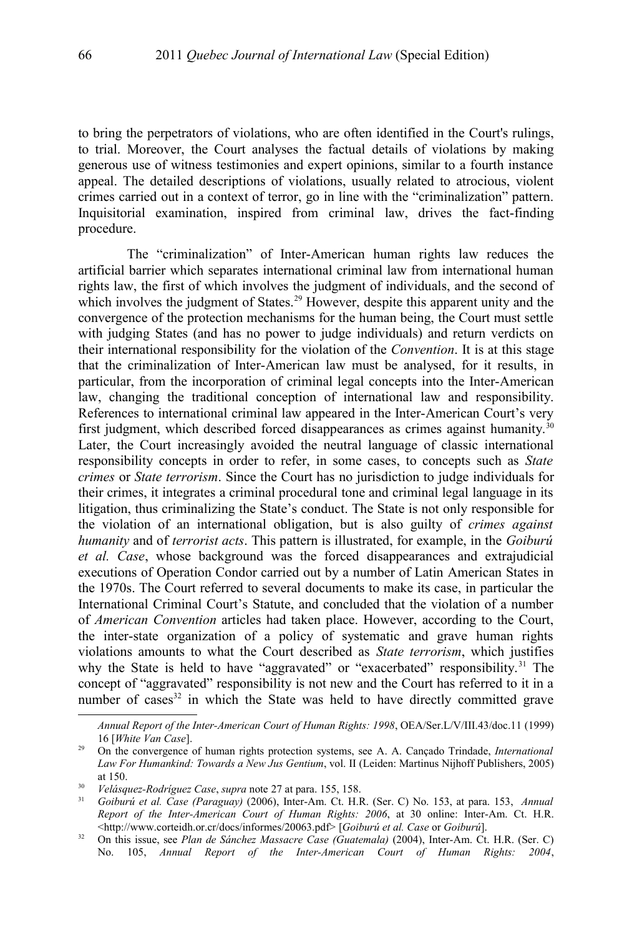to bring the perpetrators of violations, who are often identified in the Court's rulings, to trial. Moreover, the Court analyses the factual details of violations by making generous use of witness testimonies and expert opinions, similar to a fourth instance appeal. The detailed descriptions of violations, usually related to atrocious, violent crimes carried out in a context of terror, go in line with the "criminalization" pattern. Inquisitorial examination, inspired from criminal law, drives the fact-finding procedure.

The "criminalization" of Inter-American human rights law reduces the artificial barrier which separates international criminal law from international human rights law, the first of which involves the judgment of individuals, and the second of which involves the judgment of States.<sup>[29](#page-9-0)</sup> However, despite this apparent unity and the convergence of the protection mechanisms for the human being, the Court must settle with judging States (and has no power to judge individuals) and return verdicts on their international responsibility for the violation of the *Convention*. It is at this stage that the criminalization of Inter-American law must be analysed, for it results, in particular, from the incorporation of criminal legal concepts into the Inter-American law, changing the traditional conception of international law and responsibility. References to international criminal law appeared in the Inter-American Court's very first judgment, which described forced disappearances as crimes against humanity.<sup>[30](#page-9-1)</sup> Later, the Court increasingly avoided the neutral language of classic international responsibility concepts in order to refer, in some cases, to concepts such as *State crimes* or *State terrorism*. Since the Court has no jurisdiction to judge individuals for their crimes, it integrates a criminal procedural tone and criminal legal language in its litigation, thus criminalizing the State's conduct. The State is not only responsible for the violation of an international obligation, but is also guilty of *crimes against humanity* and of *terrorist acts*. This pattern is illustrated, for example, in the *Goiburú et al. Case*, whose background was the forced disappearances and extrajudicial executions of Operation Condor carried out by a number of Latin American States in the 1970s. The Court referred to several documents to make its case, in particular the International Criminal Court's Statute, and concluded that the violation of a number of *American Convention* articles had taken place. However, according to the Court, the inter-state organization of a policy of systematic and grave human rights violations amounts to what the Court described as *State terrorism*, which justifies why the State is held to have "aggravated" or "exacerbated" responsibility.<sup>[31](#page-9-2)</sup> The concept of "aggravated" responsibility is not new and the Court has referred to it in a number of cases<sup>[32](#page-9-3)</sup> in which the State was held to have directly committed grave

*Annual Report of the Inter-American Court of Human Rights: 1998*, OEA/Ser.L/V/III.43/doc.11 (1999) 16 [*White Van Case*].

<span id="page-9-0"></span><sup>29</sup> On the convergence of human rights protection systems, see A. A. Cançado Trindade, *International Law For Humankind: Towards a New Jus Gentium*, vol. II (Leiden: Martinus Nijhoff Publishers, 2005) at 150.

<span id="page-9-1"></span><sup>30</sup> *Velásquez-Rodríguez Case*, *supra* note [27](#page-8-4) at para. 155, 158.

<span id="page-9-2"></span><sup>31</sup> *Goiburú et al. Case (Paraguay)* (2006), Inter-Am. Ct. H.R. (Ser. C) No. 153, at para. 153, *Annual Report of the Inter-American Court of Human Rights: 2006*, at 30 online: Inter-Am. Ct. H.R. <http://www.corteidh.or.cr/docs/informes/20063.pdf> [*Goiburú et al. Case* or *Goiburú*].

<span id="page-9-3"></span><sup>32</sup> On this issue, see *Plan de Sánchez Massacre Case (Guatemala)* (2004), Inter-Am. Ct. H.R. (Ser. C) No. 105, *Annual Report of the Inter-American Court of Human Rights: 2004*,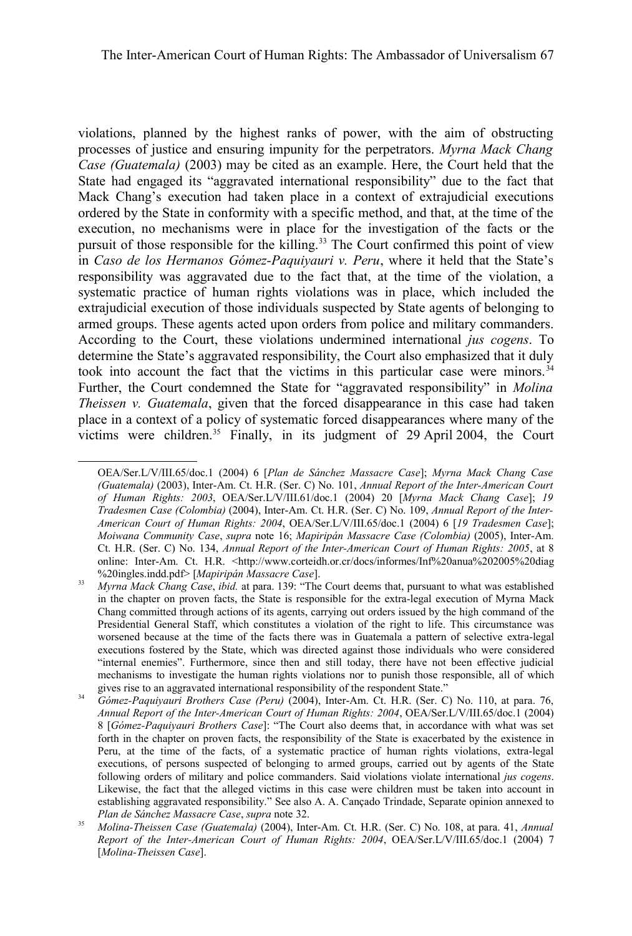violations, planned by the highest ranks of power, with the aim of obstructing processes of justice and ensuring impunity for the perpetrators. *Myrna Mack Chang Case (Guatemala)* (2003) may be cited as an example. Here, the Court held that the State had engaged its "aggravated international responsibility" due to the fact that Mack Chang's execution had taken place in a context of extrajudicial executions ordered by the State in conformity with a specific method, and that, at the time of the execution, no mechanisms were in place for the investigation of the facts or the pursuit of those responsible for the killing.<sup>[33](#page-10-0)</sup> The Court confirmed this point of view in *Caso de los Hermanos Gómez-Paquiyauri v. Peru*, where it held that the State's responsibility was aggravated due to the fact that, at the time of the violation, a systematic practice of human rights violations was in place, which included the extrajudicial execution of those individuals suspected by State agents of belonging to armed groups. These agents acted upon orders from police and military commanders. According to the Court, these violations undermined international *jus cogens*. To determine the State's aggravated responsibility, the Court also emphasized that it duly took into account the fact that the victims in this particular case were minors.<sup>[34](#page-10-1)</sup> Further, the Court condemned the State for "aggravated responsibility" in *Molina Theissen v. Guatemala*, given that the forced disappearance in this case had taken place in a context of a policy of systematic forced disappearances where many of the victims were children.<sup>[35](#page-10-2)</sup> Finally, in its judgment of 29 April 2004, the Court

OEA/Ser.L/V/III.65/doc.1 (2004) 6 [*Plan de Sánchez Massacre Case*]; *Myrna Mack Chang Case (Guatemala)* (2003), Inter-Am. Ct. H.R. (Ser. C) No. 101, *Annual Report of the Inter-American Court of Human Rights: 2003*, OEA/Ser.L/V/III.61/doc.1 (2004) 20 [*Myrna Mack Chang Case*]; *19 Tradesmen Case (Colombia)* (2004), Inter-Am. Ct. H.R. (Ser. C) No. 109, *Annual Report of the Inter-American Court of Human Rights: 2004*, OEA/Ser.L/V/III.65/doc.1 (2004) 6 [*19 Tradesmen Case*]; *Moiwana Community Case*, *supra* note [16;](#page-6-0) *Mapiripán Massacre Case (Colombia)* (2005), Inter-Am. Ct. H.R. (Ser. C) No. 134, *Annual Report of the Inter-American Court of Human Rights: 2005*, at 8 online: Inter-Am. Ct. H.R. <http://www.corteidh.or.cr/docs/informes/Inf%20anua%202005%20diag %20ingles.indd.pdf> [*Mapiripán Massacre Case*].

<span id="page-10-0"></span><sup>33</sup> *Myrna Mack Chang Case*, *ibid.* at para. 139: "The Court deems that, pursuant to what was established in the chapter on proven facts, the State is responsible for the extra-legal execution of Myrna Mack Chang committed through actions of its agents, carrying out orders issued by the high command of the Presidential General Staff, which constitutes a violation of the right to life. This circumstance was worsened because at the time of the facts there was in Guatemala a pattern of selective extra-legal executions fostered by the State, which was directed against those individuals who were considered "internal enemies". Furthermore, since then and still today, there have not been effective judicial mechanisms to investigate the human rights violations nor to punish those responsible, all of which gives rise to an aggravated international responsibility of the respondent State."

<span id="page-10-1"></span><sup>34</sup> *Gómez-Paquiyauri Brothers Case (Peru)* (2004), Inter-Am. Ct. H.R. (Ser. C) No. 110, at para. 76, *Annual Report of the Inter-American Court of Human Rights: 2004*, OEA/Ser.L/V/III.65/doc.1 (2004) 8 [*Gómez-Paquiyauri Brothers Case*]: "The Court also deems that, in accordance with what was set forth in the chapter on proven facts, the responsibility of the State is exacerbated by the existence in Peru, at the time of the facts, of a systematic practice of human rights violations, extra-legal executions, of persons suspected of belonging to armed groups, carried out by agents of the State following orders of military and police commanders. Said violations violate international *jus cogens*. Likewise, the fact that the alleged victims in this case were children must be taken into account in establishing aggravated responsibility." See also A. A. Cançado Trindade, Separate opinion annexed to *Plan de Sánchez Massacre Case*, *supra* note [32.](#page-9-3)

<span id="page-10-2"></span><sup>35</sup> *Molina-Theissen Case (Guatemala)* (2004), Inter-Am. Ct. H.R. (Ser. C) No. 108, at para. 41, *Annual Report of the Inter-American Court of Human Rights: 2004*, OEA/Ser.L/V/III.65/doc.1 (2004) 7 [*Molina-Theissen Case*].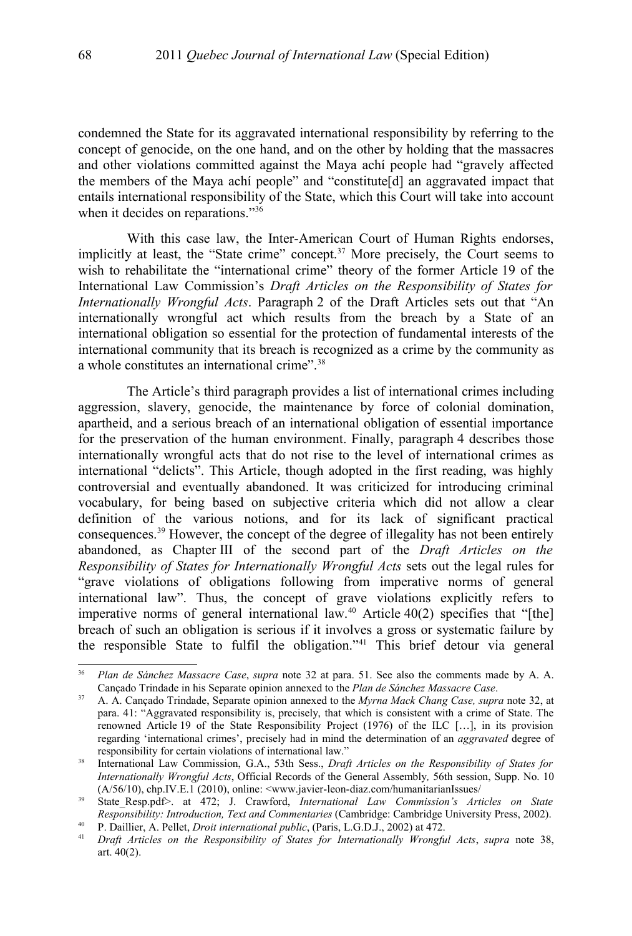condemned the State for its aggravated international responsibility by referring to the concept of genocide, on the one hand, and on the other by holding that the massacres and other violations committed against the Maya achí people had "gravely affected the members of the Maya achí people" and "constitute[d] an aggravated impact that entails international responsibility of the State, which this Court will take into account when it decides on reparations."<sup>[36](#page-11-1)</sup>

With this case law, the Inter-American Court of Human Rights endorses, implicitly at least, the "State crime" concept.<sup>[37](#page-11-2)</sup> More precisely, the Court seems to wish to rehabilitate the "international crime" theory of the former Article 19 of the International Law Commission's *Draft Articles on the Responsibility of States for Internationally Wrongful Acts*. Paragraph 2 of the Draft Articles sets out that "An internationally wrongful act which results from the breach by a State of an international obligation so essential for the protection of fundamental interests of the international community that its breach is recognized as a crime by the community as a whole constitutes an international crime".[38](#page-11-0)

The Article's third paragraph provides a list of international crimes including aggression, slavery, genocide, the maintenance by force of colonial domination, apartheid, and a serious breach of an international obligation of essential importance for the preservation of the human environment. Finally, paragraph 4 describes those internationally wrongful acts that do not rise to the level of international crimes as international "delicts". This Article, though adopted in the first reading, was highly controversial and eventually abandoned. It was criticized for introducing criminal vocabulary, for being based on subjective criteria which did not allow a clear definition of the various notions, and for its lack of significant practical consequences.[39](#page-11-3) However, the concept of the degree of illegality has not been entirely abandoned, as Chapter III of the second part of the *Draft Articles on the Responsibility of States for Internationally Wrongful Acts* sets out the legal rules for "grave violations of obligations following from imperative norms of general international law". Thus, the concept of grave violations explicitly refers to imperative norms of general international law.<sup>[40](#page-11-4)</sup> Article  $40(2)$  specifies that "[the] breach of such an obligation is serious if it involves a gross or systematic failure by the responsible State to fulfil the obligation."[41](#page-11-5) This brief detour via general

<span id="page-11-1"></span><sup>36</sup> *Plan de Sánchez Massacre Case*, *supra* note [32](#page-9-3) at para. 51. See also the comments made by A. A. Cançado Trindade in his Separate opinion annexed to the *Plan de Sánchez Massacre Case*.

<span id="page-11-2"></span><sup>37</sup> A. A. Cançado Trindade, Separate opinion annexed to the *Myrna Mack Chang Case, supra* note [32,](#page-9-3) at para. 41: "Aggravated responsibility is, precisely, that which is consistent with a crime of State. The renowned Article 19 of the State Responsibility Project (1976) of the ILC […], in its provision regarding 'international crimes', precisely had in mind the determination of an *aggravated* degree of responsibility for certain violations of international law."

<span id="page-11-0"></span><sup>38</sup> International Law Commission, G.A., 53th Sess., *Draft Articles on the Responsibility of States for Internationally Wrongful Acts*, Official Records of the General Assembly*,* 56th session, Supp. No. 10 (A/56/10), chp.IV.E.1 (2010), online: <www.javier-leon-diaz.com/humanitarianIssues/

<span id="page-11-3"></span><sup>&</sup>lt;sup>39</sup> State Resp.pdf>. at 472; J. Crawford, *International Law Commission's Articles on State Responsibility: Introduction, Text and Commentaries* (Cambridge: Cambridge University Press, 2002).

<span id="page-11-4"></span><sup>40</sup> P. Daillier, A. Pellet, *Droit international public*, (Paris, L.G.D.J., 2002) at 472.

<span id="page-11-5"></span><sup>41</sup> *Draft Articles on the Responsibility of States for Internationally Wrongful Acts*, *supra* note [38,](#page-11-0) art. 40(2).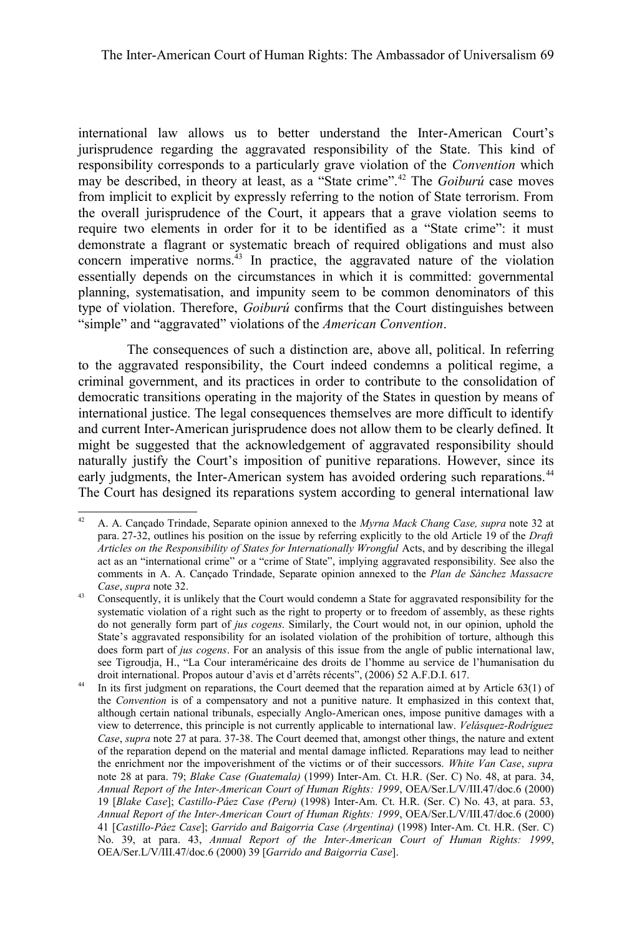international law allows us to better understand the Inter-American Court's jurisprudence regarding the aggravated responsibility of the State. This kind of responsibility corresponds to a particularly grave violation of the *Convention* which may be described, in theory at least, as a "State crime".[42](#page-12-0) The *Goiburú* case moves from implicit to explicit by expressly referring to the notion of State terrorism. From the overall jurisprudence of the Court, it appears that a grave violation seems to require two elements in order for it to be identified as a "State crime": it must demonstrate a flagrant or systematic breach of required obligations and must also concern imperative norms.<sup>[43](#page-12-1)</sup> In practice, the aggravated nature of the violation essentially depends on the circumstances in which it is committed: governmental planning, systematisation, and impunity seem to be common denominators of this type of violation. Therefore, *Goiburú* confirms that the Court distinguishes between "simple" and "aggravated" violations of the *American Convention*.

The consequences of such a distinction are, above all, political. In referring to the aggravated responsibility, the Court indeed condemns a political regime, a criminal government, and its practices in order to contribute to the consolidation of democratic transitions operating in the majority of the States in question by means of international justice. The legal consequences themselves are more difficult to identify and current Inter-American jurisprudence does not allow them to be clearly defined. It might be suggested that the acknowledgement of aggravated responsibility should naturally justify the Court's imposition of punitive reparations. However, since its early judgments, the Inter-American system has avoided ordering such reparations.<sup>[44](#page-12-2)</sup> The Court has designed its reparations system according to general international law

<span id="page-12-0"></span><sup>42</sup> A. A. Cançado Trindade, Separate opinion annexed to the *Myrna Mack Chang Case, supra* note [32](#page-9-3) at para. 27-32, outlines his position on the issue by referring explicitly to the old Article 19 of the *Draft Articles on the Responsibility of States for Internationally Wrongful* Acts, and by describing the illegal act as an "international crime" or a "crime of State", implying aggravated responsibility. See also the comments in A. A. Cançado Trindade, Separate opinion annexed to the *Plan de Sánchez Massacre Case*, *supra* note [32.](#page-9-3)

<span id="page-12-1"></span><sup>&</sup>lt;sup>43</sup> Consequently, it is unlikely that the Court would condemn a State for aggravated responsibility for the systematic violation of a right such as the right to property or to freedom of assembly, as these rights do not generally form part of *jus cogens*. Similarly, the Court would not, in our opinion, uphold the State's aggravated responsibility for an isolated violation of the prohibition of torture, although this does form part of *jus cogens*. For an analysis of this issue from the angle of public international law, see Tigroudja, H., "La Cour interaméricaine des droits de l'homme au service de l'humanisation du droit international. Propos autour d'avis et d'arrêts récents", (2006) 52 A.F.D.I. 617.

<span id="page-12-2"></span><sup>&</sup>lt;sup>44</sup> In its first judgment on reparations, the Court deemed that the reparation aimed at by Article 63(1) of the *Convention* is of a compensatory and not a punitive nature. It emphasized in this context that, although certain national tribunals, especially Anglo-American ones, impose punitive damages with a view to deterrence, this principle is not currently applicable to international law. *Velásquez-Rodríguez Case*, *supra* note [27](#page-8-4) at para. 37-38. The Court deemed that, amongst other things, the nature and extent of the reparation depend on the material and mental damage inflicted. Reparations may lead to neither the enrichment nor the impoverishment of the victims or of their successors. *White Van Case*, *supra* note 28 at para. 79; *Blake Case (Guatemala)* (1999) Inter-Am. Ct. H.R. (Ser. C) No. 48, at para. 34, *Annual Report of the Inter-American Court of Human Rights: 1999*, OEA/Ser.L/V/III.47/doc.6 (2000) 19 [*Blake Case*]; *Castillo-Páez Case (Peru)* (1998) Inter-Am. Ct. H.R. (Ser. C) No. 43, at para. 53, *Annual Report of the Inter-American Court of Human Rights: 1999*, OEA/Ser.L/V/III.47/doc.6 (2000) 41 [*Castillo-Páez Case*]; *Garrido and Baigorria Case (Argentina)* (1998) Inter-Am. Ct. H.R. (Ser. C) No. 39, at para. 43, *Annual Report of the Inter-American Court of Human Rights: 1999*, OEA/Ser.L/V/III.47/doc.6 (2000) 39 [*Garrido and Baigorria Case*].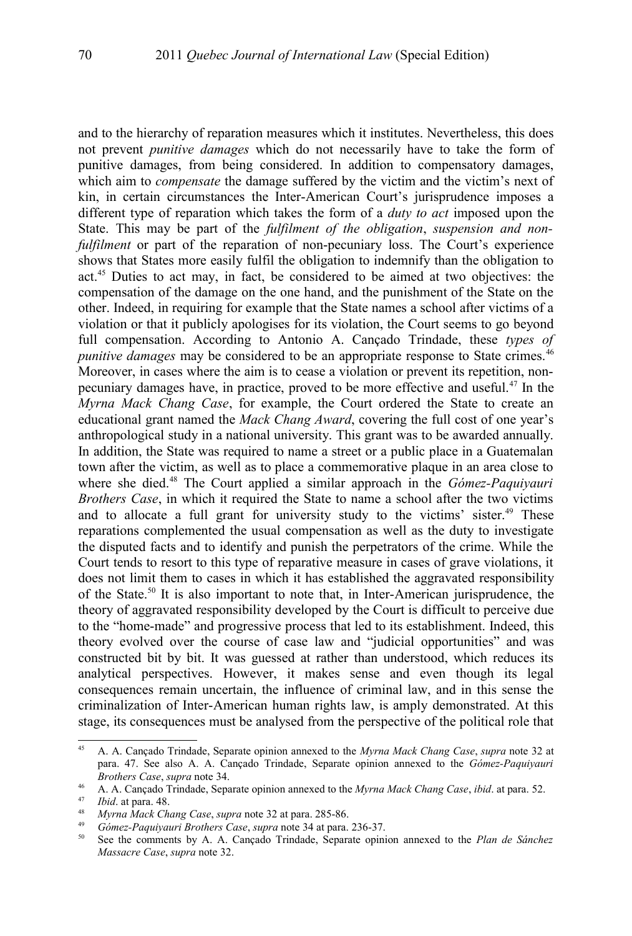and to the hierarchy of reparation measures which it institutes. Nevertheless, this does not prevent *punitive damages* which do not necessarily have to take the form of punitive damages, from being considered. In addition to compensatory damages, which aim to *compensate* the damage suffered by the victim and the victim's next of kin, in certain circumstances the Inter-American Court's jurisprudence imposes a different type of reparation which takes the form of a *duty to act* imposed upon the State. This may be part of the *fulfilment of the obligation*, *suspension and nonfulfilment* or part of the reparation of non-pecuniary loss. The Court's experience shows that States more easily fulfil the obligation to indemnify than the obligation to act.[45](#page-13-0) Duties to act may, in fact, be considered to be aimed at two objectives: the compensation of the damage on the one hand, and the punishment of the State on the other. Indeed, in requiring for example that the State names a school after victims of a violation or that it publicly apologises for its violation, the Court seems to go beyond full compensation. According to Antonio A. Cançado Trindade, these *types of punitive damages* may be considered to be an appropriate response to State crimes.<sup>[46](#page-13-1)</sup> Moreover, in cases where the aim is to cease a violation or prevent its repetition, nonpecuniary damages have, in practice, proved to be more effective and useful.[47](#page-13-2) In the *Myrna Mack Chang Case*, for example, the Court ordered the State to create an educational grant named the *Mack Chang Award*, covering the full cost of one year's anthropological study in a national university. This grant was to be awarded annually. In addition, the State was required to name a street or a public place in a Guatemalan town after the victim, as well as to place a commemorative plaque in an area close to where she died.[48](#page-13-3) The Court applied a similar approach in the *Gómez-Paquiyauri Brothers Case*, in which it required the State to name a school after the two victims and to allocate a full grant for university study to the victims' sister.<sup>[49](#page-13-4)</sup> These reparations complemented the usual compensation as well as the duty to investigate the disputed facts and to identify and punish the perpetrators of the crime. While the Court tends to resort to this type of reparative measure in cases of grave violations, it does not limit them to cases in which it has established the aggravated responsibility of the State.[50](#page-13-5) It is also important to note that, in Inter-American jurisprudence, the theory of aggravated responsibility developed by the Court is difficult to perceive due to the "home-made" and progressive process that led to its establishment. Indeed, this theory evolved over the course of case law and "judicial opportunities" and was constructed bit by bit. It was guessed at rather than understood, which reduces its analytical perspectives. However, it makes sense and even though its legal consequences remain uncertain, the influence of criminal law, and in this sense the criminalization of Inter-American human rights law, is amply demonstrated. At this stage, its consequences must be analysed from the perspective of the political role that

<span id="page-13-0"></span><sup>45</sup> A. A. Cançado Trindade, Separate opinion annexed to the *Myrna Mack Chang Case*, *supra* note [32](#page-9-3) at para. 47. See also A. A. Cançado Trindade, Separate opinion annexed to the *Gómez-Paquiyauri Brothers Case*, *supra* note [34.](#page-10-1)

<span id="page-13-1"></span><sup>46</sup> A. A. Cançado Trindade, Separate opinion annexed to the *Myrna Mack Chang Case*, *ibid*. at para. 52.

<span id="page-13-2"></span><sup>47</sup> *Ibid*. at para. 48.

<span id="page-13-3"></span><sup>48</sup> *Myrna Mack Chang Case*, *supra* note [32](#page-9-3) at para. 285-86.

<span id="page-13-4"></span><sup>49</sup> *Gómez-Paquiyauri Brothers Case*, *supra* note [34](#page-10-1) at para. 236-37.

<span id="page-13-5"></span><sup>50</sup> See the comments by A. A. Cançado Trindade, Separate opinion annexed to the *Plan de Sánchez Massacre Case*, *supra* note [32.](#page-9-3)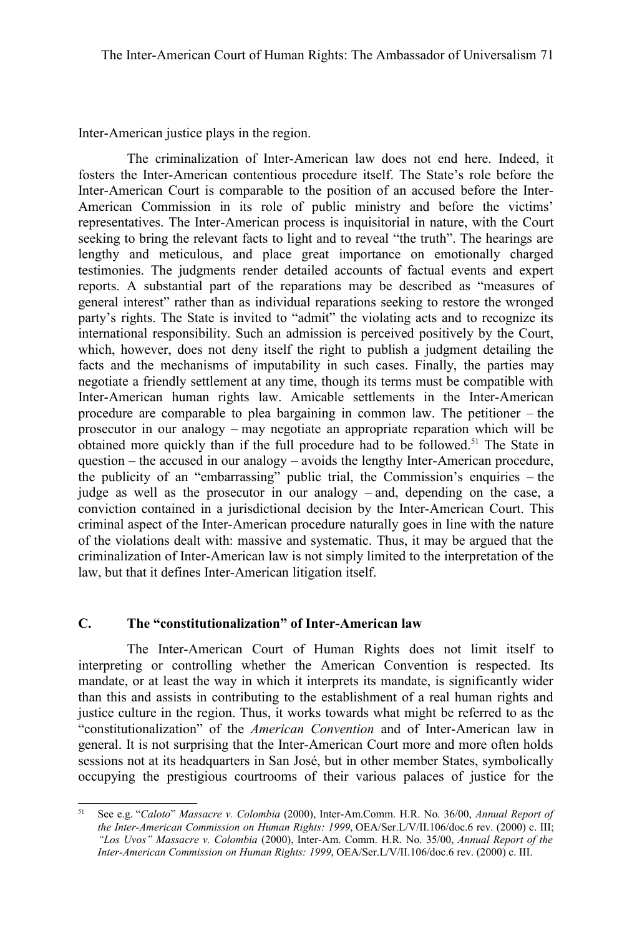Inter-American justice plays in the region.

The criminalization of Inter-American law does not end here. Indeed, it fosters the Inter-American contentious procedure itself. The State's role before the Inter-American Court is comparable to the position of an accused before the Inter-American Commission in its role of public ministry and before the victims' representatives. The Inter-American process is inquisitorial in nature, with the Court seeking to bring the relevant facts to light and to reveal "the truth". The hearings are lengthy and meticulous, and place great importance on emotionally charged testimonies. The judgments render detailed accounts of factual events and expert reports. A substantial part of the reparations may be described as "measures of general interest" rather than as individual reparations seeking to restore the wronged party's rights. The State is invited to "admit" the violating acts and to recognize its international responsibility. Such an admission is perceived positively by the Court, which, however, does not deny itself the right to publish a judgment detailing the facts and the mechanisms of imputability in such cases. Finally, the parties may negotiate a friendly settlement at any time, though its terms must be compatible with Inter-American human rights law. Amicable settlements in the Inter-American procedure are comparable to plea bargaining in common law. The petitioner – the prosecutor in our analogy – may negotiate an appropriate reparation which will be obtained more quickly than if the full procedure had to be followed.[51](#page-14-0) The State in question – the accused in our analogy – avoids the lengthy Inter-American procedure, the publicity of an "embarrassing" public trial, the Commission's enquiries – the judge as well as the prosecutor in our analogy – and, depending on the case, a conviction contained in a jurisdictional decision by the Inter-American Court. This criminal aspect of the Inter-American procedure naturally goes in line with the nature of the violations dealt with: massive and systematic. Thus, it may be argued that the criminalization of Inter-American law is not simply limited to the interpretation of the law, but that it defines Inter-American litigation itself.

## **C. The "constitutionalization" of Inter-American law**

The Inter-American Court of Human Rights does not limit itself to interpreting or controlling whether the American Convention is respected. Its mandate, or at least the way in which it interprets its mandate, is significantly wider than this and assists in contributing to the establishment of a real human rights and justice culture in the region. Thus, it works towards what might be referred to as the "constitutionalization" of the *American Convention* and of Inter-American law in general. It is not surprising that the Inter-American Court more and more often holds sessions not at its headquarters in San José, but in other member States, symbolically occupying the prestigious courtrooms of their various palaces of justice for the

<span id="page-14-0"></span><sup>51</sup> See e.g. "*Caloto*" *Massacre v. Colombia* (2000), Inter-Am.Comm. H.R. No. 36/00, *Annual Report of the Inter-American Commission on Human Rights: 1999*, OEA/Ser.L/V/II.106/doc.6 rev. (2000) c. III; *"Los Uvos" Massacre v. Colombia* (2000), Inter-Am. Comm. H.R. No. 35/00, *Annual Report of the Inter-American Commission on Human Rights: 1999*, OEA/Ser.L/V/II.106/doc.6 rev. (2000) c. III.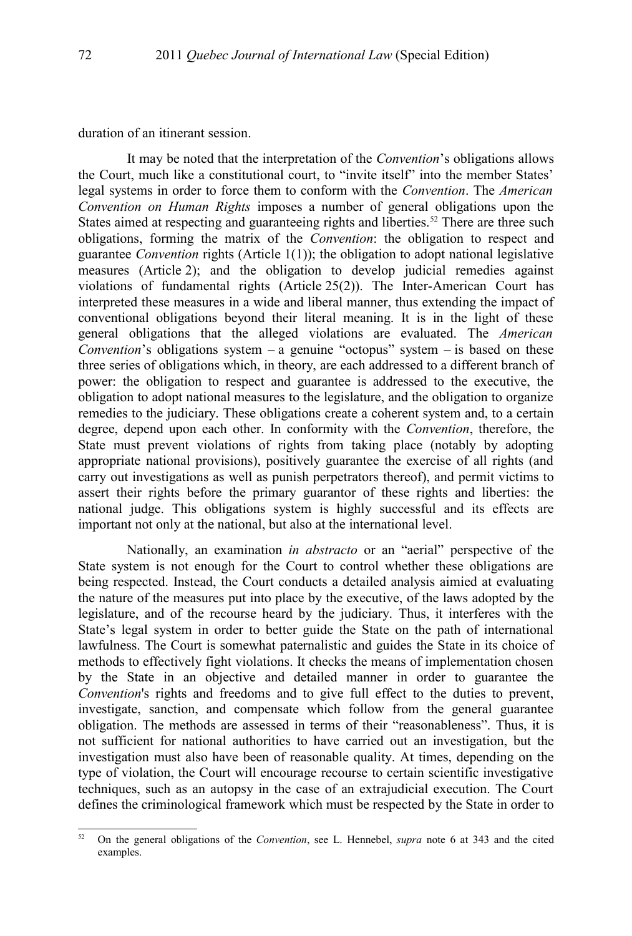duration of an itinerant session.

It may be noted that the interpretation of the *Convention*'s obligations allows the Court, much like a constitutional court, to "invite itself" into the member States' legal systems in order to force them to conform with the *Convention*. The *American Convention on Human Rights* imposes a number of general obligations upon the States aimed at respecting and guaranteeing rights and liberties.<sup>[52](#page-15-0)</sup> There are three such obligations, forming the matrix of the *Convention*: the obligation to respect and guarantee *Convention* rights (Article 1(1)); the obligation to adopt national legislative measures (Article 2); and the obligation to develop judicial remedies against violations of fundamental rights (Article 25(2)). The Inter-American Court has interpreted these measures in a wide and liberal manner, thus extending the impact of conventional obligations beyond their literal meaning. It is in the light of these general obligations that the alleged violations are evaluated. The *American Convention*'s obligations system – a genuine "octopus" system – is based on these three series of obligations which, in theory, are each addressed to a different branch of power: the obligation to respect and guarantee is addressed to the executive, the obligation to adopt national measures to the legislature, and the obligation to organize remedies to the judiciary. These obligations create a coherent system and, to a certain degree, depend upon each other. In conformity with the *Convention*, therefore, the State must prevent violations of rights from taking place (notably by adopting appropriate national provisions), positively guarantee the exercise of all rights (and carry out investigations as well as punish perpetrators thereof), and permit victims to assert their rights before the primary guarantor of these rights and liberties: the national judge. This obligations system is highly successful and its effects are important not only at the national, but also at the international level.

Nationally, an examination *in abstracto* or an "aerial" perspective of the State system is not enough for the Court to control whether these obligations are being respected. Instead, the Court conducts a detailed analysis aimied at evaluating the nature of the measures put into place by the executive, of the laws adopted by the legislature, and of the recourse heard by the judiciary. Thus, it interferes with the State's legal system in order to better guide the State on the path of international lawfulness. The Court is somewhat paternalistic and guides the State in its choice of methods to effectively fight violations. It checks the means of implementation chosen by the State in an objective and detailed manner in order to guarantee the *Convention*'s rights and freedoms and to give full effect to the duties to prevent, investigate, sanction, and compensate which follow from the general guarantee obligation. The methods are assessed in terms of their "reasonableness". Thus, it is not sufficient for national authorities to have carried out an investigation, but the investigation must also have been of reasonable quality. At times, depending on the type of violation, the Court will encourage recourse to certain scientific investigative techniques, such as an autopsy in the case of an extrajudicial execution. The Court defines the criminological framework which must be respected by the State in order to

<span id="page-15-0"></span><sup>52</sup> On the general obligations of the *Convention*, see L. Hennebel, *supra* note [6](#page-2-1) at 343 and the cited examples.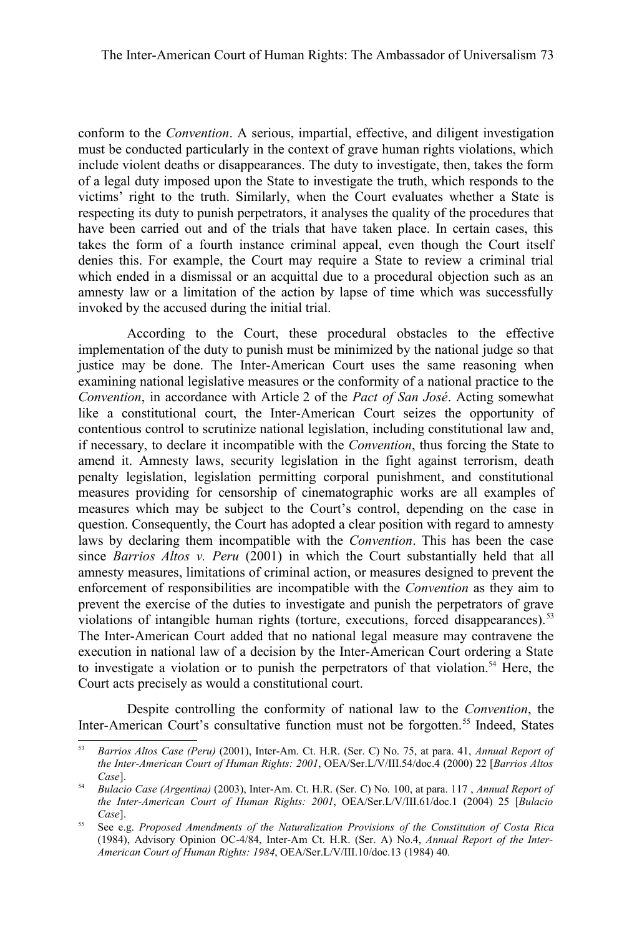conform to the *Convention*. A serious, impartial, effective, and diligent investigation must be conducted particularly in the context of grave human rights violations, which include violent deaths or disappearances. The duty to investigate, then, takes the form of a legal duty imposed upon the State to investigate the truth, which responds to the victims' right to the truth. Similarly, when the Court evaluates whether a State is respecting its duty to punish perpetrators, it analyses the quality of the procedures that have been carried out and of the trials that have taken place. In certain cases, this takes the form of a fourth instance criminal appeal, even though the Court itself denies this. For example, the Court may require a State to review a criminal trial which ended in a dismissal or an acquittal due to a procedural objection such as an amnesty law or a limitation of the action by lapse of time which was successfully invoked by the accused during the initial trial.

According to the Court, these procedural obstacles to the effective implementation of the duty to punish must be minimized by the national judge so that justice may be done. The Inter-American Court uses the same reasoning when examining national legislative measures or the conformity of a national practice to the *Convention*, in accordance with Article 2 of the *Pact of San José*. Acting somewhat like a constitutional court, the Inter-American Court seizes the opportunity of contentious control to scrutinize national legislation, including constitutional law and, if necessary, to declare it incompatible with the *Convention*, thus forcing the State to amend it. Amnesty laws, security legislation in the fight against terrorism, death penalty legislation, legislation permitting corporal punishment, and constitutional measures providing for censorship of cinematographic works are all examples of measures which may be subject to the Court's control, depending on the case in question. Consequently, the Court has adopted a clear position with regard to amnesty laws by declaring them incompatible with the *Convention*. This has been the case since *Barrios Altos v. Peru* (2001) in which the Court substantially held that all amnesty measures, limitations of criminal action, or measures designed to prevent the enforcement of responsibilities are incompatible with the *Convention* as they aim to prevent the exercise of the duties to investigate and punish the perpetrators of grave violations of intangible human rights (torture, executions, forced disappearances).<sup>[53](#page-16-0)</sup> The Inter-American Court added that no national legal measure may contravene the execution in national law of a decision by the Inter-American Court ordering a State to investigate a violation or to punish the perpetrators of that violation.<sup>[54](#page-16-1)</sup> Here, the Court acts precisely as would a constitutional court.

Despite controlling the conformity of national law to the *Convention*, the Inter-American Court's consultative function must not be forgotten.<sup>[55](#page-16-2)</sup> Indeed, States

<span id="page-16-0"></span><sup>53</sup> *Barrios Altos Case (Peru)* (2001), Inter-Am. Ct. H.R. (Ser. C) No. 75, at para. 41, *Annual Report of the Inter-American Court of Human Rights: 2001*, OEA/Ser.L/V/III.54/doc.4 (2000) 22 [*Barrios Altos Case*].

<span id="page-16-1"></span><sup>54</sup> *Bulacio Case (Argentina)* (2003), Inter-Am. Ct. H.R. (Ser. C) No. 100, at para. 117 , *Annual Report of the Inter-American Court of Human Rights: 2001*, OEA/Ser.L/V/III.61/doc.1 (2004) 25 [*Bulacio Case*].

<span id="page-16-2"></span><sup>55</sup> See e.g. *Proposed Amendments of the Naturalization Provisions of the Constitution of Costa Rica* (1984), Advisory Opinion OC-4/84, Inter-Am Ct. H.R. (Ser. A) No.4, *Annual Report of the Inter-American Court of Human Rights: 1984*, OEA/Ser.L/V/III.10/doc.13 (1984) 40.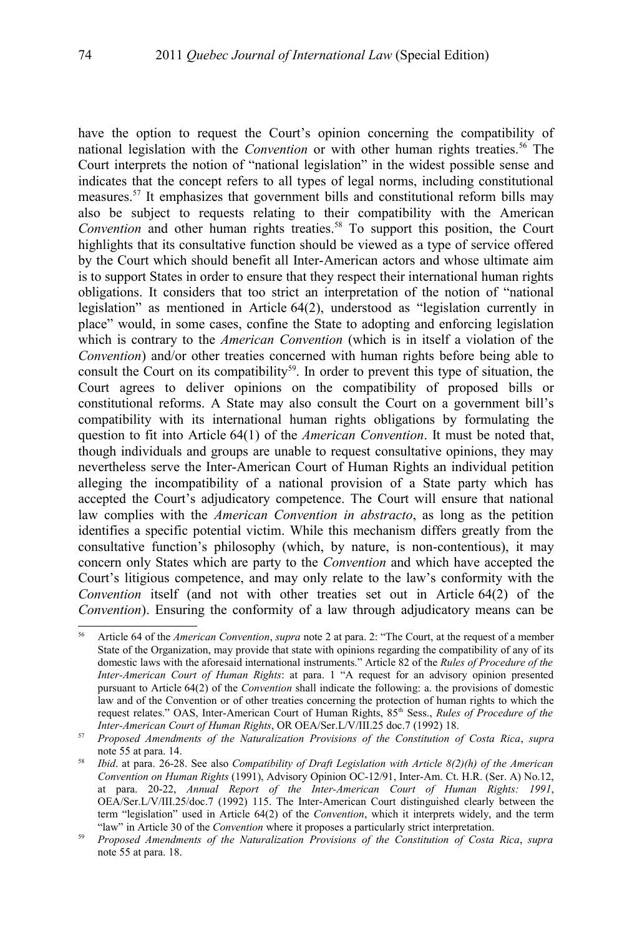have the option to request the Court's opinion concerning the compatibility of national legislation with the *Convention* or with other human rights treaties.<sup>[56](#page-17-0)</sup> The Court interprets the notion of "national legislation" in the widest possible sense and indicates that the concept refers to all types of legal norms, including constitutional measures.[57](#page-17-1) It emphasizes that government bills and constitutional reform bills may also be subject to requests relating to their compatibility with the American *Convention* and other human rights treaties.<sup>[58](#page-17-2)</sup> To support this position, the Court highlights that its consultative function should be viewed as a type of service offered by the Court which should benefit all Inter-American actors and whose ultimate aim is to support States in order to ensure that they respect their international human rights obligations. It considers that too strict an interpretation of the notion of "national legislation" as mentioned in Article 64(2), understood as "legislation currently in place" would, in some cases, confine the State to adopting and enforcing legislation which is contrary to the *American Convention* (which is in itself a violation of the *Convention*) and/or other treaties concerned with human rights before being able to consult the Court on its compatibility<sup>[59](#page-17-3)</sup>. In order to prevent this type of situation, the Court agrees to deliver opinions on the compatibility of proposed bills or constitutional reforms. A State may also consult the Court on a government bill's compatibility with its international human rights obligations by formulating the question to fit into Article 64(1) of the *American Convention*. It must be noted that, though individuals and groups are unable to request consultative opinions, they may nevertheless serve the Inter-American Court of Human Rights an individual petition alleging the incompatibility of a national provision of a State party which has accepted the Court's adjudicatory competence. The Court will ensure that national law complies with the *American Convention in abstracto*, as long as the petition identifies a specific potential victim. While this mechanism differs greatly from the consultative function's philosophy (which, by nature, is non-contentious), it may concern only States which are party to the *Convention* and which have accepted the Court's litigious competence, and may only relate to the law's conformity with the *Convention* itself (and not with other treaties set out in Article 64(2) of the *Convention*). Ensuring the conformity of a law through adjudicatory means can be

<span id="page-17-0"></span><sup>56</sup> Article 64 of the *American Convention*, *supra* note [2](#page-1-1) at para. 2: "The Court, at the request of a member State of the Organization, may provide that state with opinions regarding the compatibility of any of its domestic laws with the aforesaid international instruments." Article 82 of the *Rules of Procedure of the Inter-American Court of Human Rights*: at para. 1 "A request for an advisory opinion presented pursuant to Article 64(2) of the *Convention* shall indicate the following: a. the provisions of domestic law and of the Convention or of other treaties concerning the protection of human rights to which the request relates." OAS, Inter-American Court of Human Rights, 85<sup>th</sup> Sess., *Rules of Procedure of the Inter-American Court of Human Rights*, OR OEA/Ser.L/V/III.25 doc.7 (1992) 18.

<span id="page-17-1"></span><sup>57</sup> *Proposed Amendments of the Naturalization Provisions of the Constitution of Costa Rica*, *supra* note [55](#page-16-2) at para. 14.

<span id="page-17-2"></span><sup>58</sup> *Ibid*. at para. 26-28. See also *Compatibility of Draft Legislation with Article 8(2)(h) of the American Convention on Human Rights* (1991), Advisory Opinion OC-12/91, Inter-Am. Ct. H.R. (Ser. A) No.12, at para. 20-22, *Annual Report of the Inter-American Court of Human Rights: 1991*, OEA/Ser.L/V/III.25/doc.7 (1992) 115. The Inter-American Court distinguished clearly between the term "legislation" used in Article 64(2) of the *Convention*, which it interprets widely, and the term "law" in Article 30 of the *Convention* where it proposes a particularly strict interpretation.

<span id="page-17-3"></span><sup>59</sup> *Proposed Amendments of the Naturalization Provisions of the Constitution of Costa Rica*, *supra* note [55](#page-16-2) at para. 18.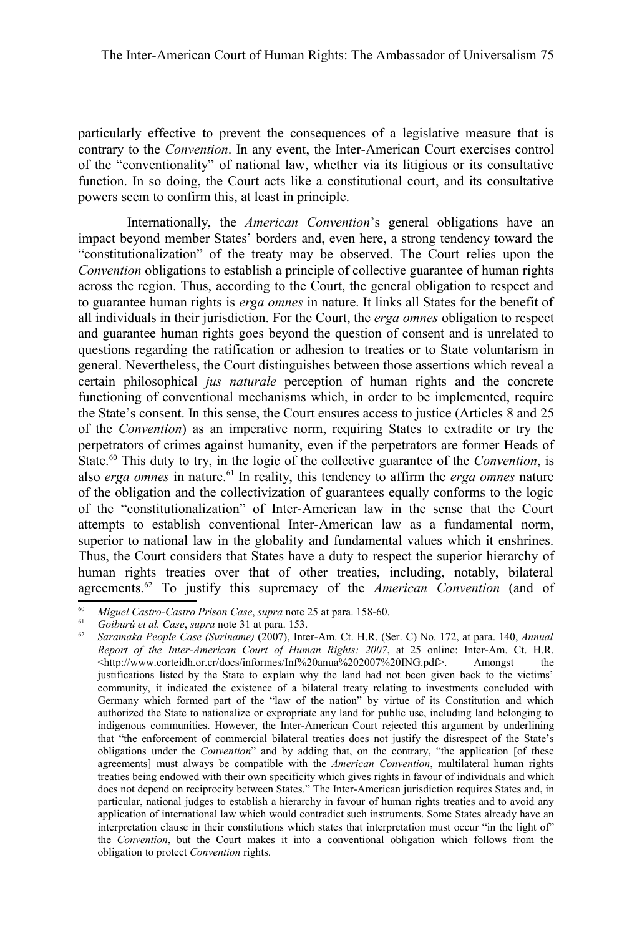particularly effective to prevent the consequences of a legislative measure that is contrary to the *Convention*. In any event, the Inter-American Court exercises control of the "conventionality" of national law, whether via its litigious or its consultative function. In so doing, the Court acts like a constitutional court, and its consultative powers seem to confirm this, at least in principle.

Internationally, the *American Convention*'s general obligations have an impact beyond member States' borders and, even here, a strong tendency toward the "constitutionalization" of the treaty may be observed. The Court relies upon the *Convention* obligations to establish a principle of collective guarantee of human rights across the region. Thus, according to the Court, the general obligation to respect and to guarantee human rights is *erga omnes* in nature. It links all States for the benefit of all individuals in their jurisdiction. For the Court, the *erga omnes* obligation to respect and guarantee human rights goes beyond the question of consent and is unrelated to questions regarding the ratification or adhesion to treaties or to State voluntarism in general. Nevertheless, the Court distinguishes between those assertions which reveal a certain philosophical *jus naturale* perception of human rights and the concrete functioning of conventional mechanisms which, in order to be implemented, require the State's consent. In this sense, the Court ensures access to justice (Articles 8 and 25 of the *Convention*) as an imperative norm, requiring States to extradite or try the perpetrators of crimes against humanity, even if the perpetrators are former Heads of State.[60](#page-18-0) This duty to try, in the logic of the collective guarantee of the *Convention*, is also *erga omnes* in nature.<sup>[61](#page-18-1)</sup> In reality, this tendency to affirm the *erga omnes* nature of the obligation and the collectivization of guarantees equally conforms to the logic of the "constitutionalization" of Inter-American law in the sense that the Court attempts to establish conventional Inter-American law as a fundamental norm, superior to national law in the globality and fundamental values which it enshrines. Thus, the Court considers that States have a duty to respect the superior hierarchy of human rights treaties over that of other treaties, including, notably, bilateral agreements.[62](#page-18-2) To justify this supremacy of the *American Convention* (and of

<span id="page-18-0"></span><sup>60</sup> *Miguel Castro-Castro Prison Case*, *supra* note [25](#page-8-2) at para. 158-60.

<sup>61</sup> *Goiburú et al. Case*, *supra* note [31](#page-9-2) at para. 153.

<span id="page-18-2"></span><span id="page-18-1"></span><sup>62</sup> *Saramaka People Case (Suriname)* (2007), Inter-Am. Ct. H.R. (Ser. C) No. 172, at para. 140, *Annual Report of the Inter-American Court of Human Rights: 2007*, at 25 online: Inter-Am. Ct. H.R. <http://www.corteidh.or.cr/docs/informes/Inf%20anua%202007%20ING.pdf>. Amongst the justifications listed by the State to explain why the land had not been given back to the victims' community, it indicated the existence of a bilateral treaty relating to investments concluded with Germany which formed part of the "law of the nation" by virtue of its Constitution and which authorized the State to nationalize or expropriate any land for public use, including land belonging to indigenous communities. However, the Inter-American Court rejected this argument by underlining that "the enforcement of commercial bilateral treaties does not justify the disrespect of the State's obligations under the *Convention*" and by adding that, on the contrary, "the application [of these agreements] must always be compatible with the *American Convention*, multilateral human rights treaties being endowed with their own specificity which gives rights in favour of individuals and which does not depend on reciprocity between States." The Inter-American jurisdiction requires States and, in particular, national judges to establish a hierarchy in favour of human rights treaties and to avoid any application of international law which would contradict such instruments. Some States already have an interpretation clause in their constitutions which states that interpretation must occur "in the light of" the *Convention*, but the Court makes it into a conventional obligation which follows from the obligation to protect *Convention* rights.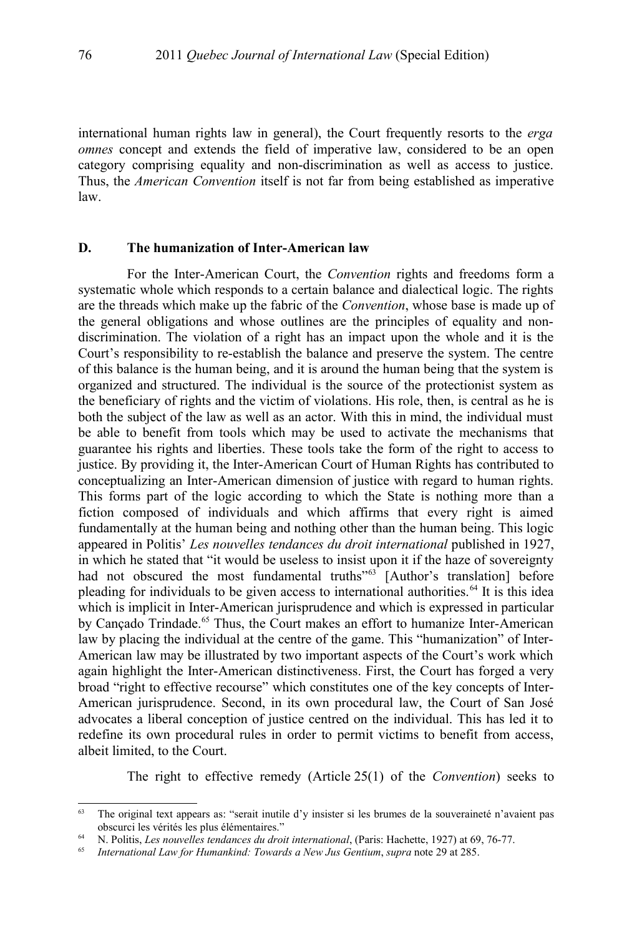international human rights law in general), the Court frequently resorts to the *erga omnes* concept and extends the field of imperative law, considered to be an open category comprising equality and non-discrimination as well as access to justice. Thus, the *American Convention* itself is not far from being established as imperative law.

#### **D. The humanization of Inter-American law**

For the Inter-American Court, the *Convention* rights and freedoms form a systematic whole which responds to a certain balance and dialectical logic. The rights are the threads which make up the fabric of the *Convention*, whose base is made up of the general obligations and whose outlines are the principles of equality and nondiscrimination. The violation of a right has an impact upon the whole and it is the Court's responsibility to re-establish the balance and preserve the system. The centre of this balance is the human being, and it is around the human being that the system is organized and structured. The individual is the source of the protectionist system as the beneficiary of rights and the victim of violations. His role, then, is central as he is both the subject of the law as well as an actor. With this in mind, the individual must be able to benefit from tools which may be used to activate the mechanisms that guarantee his rights and liberties. These tools take the form of the right to access to justice. By providing it, the Inter-American Court of Human Rights has contributed to conceptualizing an Inter-American dimension of justice with regard to human rights. This forms part of the logic according to which the State is nothing more than a fiction composed of individuals and which affirms that every right is aimed fundamentally at the human being and nothing other than the human being. This logic appeared in Politis' *Les nouvelles tendances du droit international* published in 1927, in which he stated that "it would be useless to insist upon it if the haze of sovereignty had not obscured the most fundamental truths<sup>"[63](#page-19-0)</sup> [Author's translation] before pleading for individuals to be given access to international authorities.<sup>[64](#page-19-1)</sup> It is this idea which is implicit in Inter-American jurisprudence and which is expressed in particular by Cançado Trindade.<sup>[65](#page-19-2)</sup> Thus, the Court makes an effort to humanize Inter-American law by placing the individual at the centre of the game. This "humanization" of Inter-American law may be illustrated by two important aspects of the Court's work which again highlight the Inter-American distinctiveness. First, the Court has forged a very broad "right to effective recourse" which constitutes one of the key concepts of Inter-American jurisprudence. Second, in its own procedural law, the Court of San José advocates a liberal conception of justice centred on the individual. This has led it to redefine its own procedural rules in order to permit victims to benefit from access, albeit limited, to the Court.

The right to effective remedy (Article 25(1) of the *Convention*) seeks to

<span id="page-19-0"></span><sup>63</sup> The original text appears as: "serait inutile d'y insister si les brumes de la souveraineté n'avaient pas obscurci les vérités les plus élémentaires."

<span id="page-19-1"></span><sup>64</sup> N. Politis, *Les nouvelles tendances du droit international*, (Paris: Hachette, 1927) at 69, 76-77.

<span id="page-19-2"></span><sup>65</sup> *International Law for Humankind: Towards a New Jus Gentium*, *supra* note [29](#page-9-0) at 285.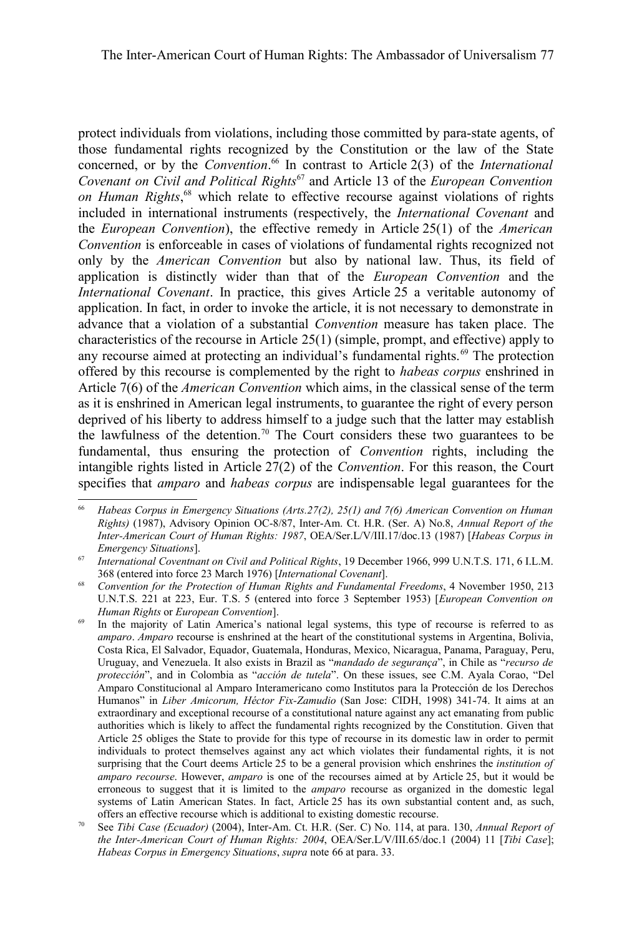protect individuals from violations, including those committed by para-state agents, of those fundamental rights recognized by the Constitution or the law of the State concerned, or by the *Convention*. [66](#page-20-0) In contrast to Article 2(3) of the *International Covenant on Civil and Political Rights*[67](#page-20-1) and Article 13 of the *European Convention on Human Rights*, [68](#page-20-2) which relate to effective recourse against violations of rights included in international instruments (respectively, the *International Covenant* and the *European Convention*), the effective remedy in Article 25(1) of the *American Convention* is enforceable in cases of violations of fundamental rights recognized not only by the *American Convention* but also by national law. Thus, its field of application is distinctly wider than that of the *European Convention* and the *International Covenant*. In practice, this gives Article 25 a veritable autonomy of application. In fact, in order to invoke the article, it is not necessary to demonstrate in advance that a violation of a substantial *Convention* measure has taken place. The characteristics of the recourse in Article 25(1) (simple, prompt, and effective) apply to any recourse aimed at protecting an individual's fundamental rights.<sup>[69](#page-20-3)</sup> The protection offered by this recourse is complemented by the right to *habeas corpus* enshrined in Article 7(6) of the *American Convention* which aims, in the classical sense of the term as it is enshrined in American legal instruments, to guarantee the right of every person deprived of his liberty to address himself to a judge such that the latter may establish the lawfulness of the detention.<sup>[70](#page-20-4)</sup> The Court considers these two guarantees to be fundamental, thus ensuring the protection of *Convention* rights, including the intangible rights listed in Article 27(2) of the *Convention*. For this reason, the Court specifies that *amparo* and *habeas corpus* are indispensable legal guarantees for the

<span id="page-20-0"></span><sup>66</sup> *Habeas Corpus in Emergency Situations (Arts.27(2), 25(1) and 7(6) American Convention on Human Rights)* (1987), Advisory Opinion OC-8/87, Inter-Am. Ct. H.R. (Ser. A) No.8, *Annual Report of the Inter-American Court of Human Rights: 1987*, OEA/Ser.L/V/III.17/doc.13 (1987) [*Habeas Corpus in Emergency Situations*].

<span id="page-20-1"></span><sup>67</sup> *International Coventnant on Civil and Political Rights*, 19 December 1966, 999 U.N.T.S. 171, 6 I.L.M. 368 (entered into force 23 March 1976) [*International Covenant*].

<span id="page-20-2"></span><sup>68</sup> *Convention for the Protection of Human Rights and Fundamental Freedoms*, 4 November 1950, 213 U.N.T.S. 221 at 223, Eur. T.S. 5 (entered into force 3 September 1953) [*European Convention on Human Rights* or *European Convention*].

<span id="page-20-3"></span><sup>&</sup>lt;sup>69</sup> In the majority of Latin America's national legal systems, this type of recourse is referred to as *amparo*. *Amparo* recourse is enshrined at the heart of the constitutional systems in Argentina, Bolivia, Costa Rica, El Salvador, Equador, Guatemala, Honduras, Mexico, Nicaragua, Panama, Paraguay, Peru, Uruguay, and Venezuela. It also exists in Brazil as "*mandado de segurança*", in Chile as "*recurso de protección*", and in Colombia as "*acción de tutela*". On these issues, see C.M. Ayala Corao, "Del Amparo Constitucional al Amparo Interamericano como Institutos para la Protección de los Derechos Humanos" in *Liber Amicorum, Héctor Fix-Zamudio* (San Jose: CIDH, 1998) 341-74. It aims at an extraordinary and exceptional recourse of a constitutional nature against any act emanating from public authorities which is likely to affect the fundamental rights recognized by the Constitution. Given that Article 25 obliges the State to provide for this type of recourse in its domestic law in order to permit individuals to protect themselves against any act which violates their fundamental rights, it is not surprising that the Court deems Article 25 to be a general provision which enshrines the *institution of amparo recourse*. However, *amparo* is one of the recourses aimed at by Article 25, but it would be erroneous to suggest that it is limited to the *amparo* recourse as organized in the domestic legal systems of Latin American States. In fact, Article 25 has its own substantial content and, as such, offers an effective recourse which is additional to existing domestic recourse.

<span id="page-20-4"></span><sup>70</sup> See *Tibi Case (Ecuador)* (2004), Inter-Am. Ct. H.R. (Ser. C) No. 114, at para. 130, *Annual Report of the Inter-American Court of Human Rights: 2004*, OEA/Ser.L/V/III.65/doc.1 (2004) 11 [*Tibi Case*]; *Habeas Corpus in Emergency Situations*, *supra* note [66](#page-20-0) at para. 33.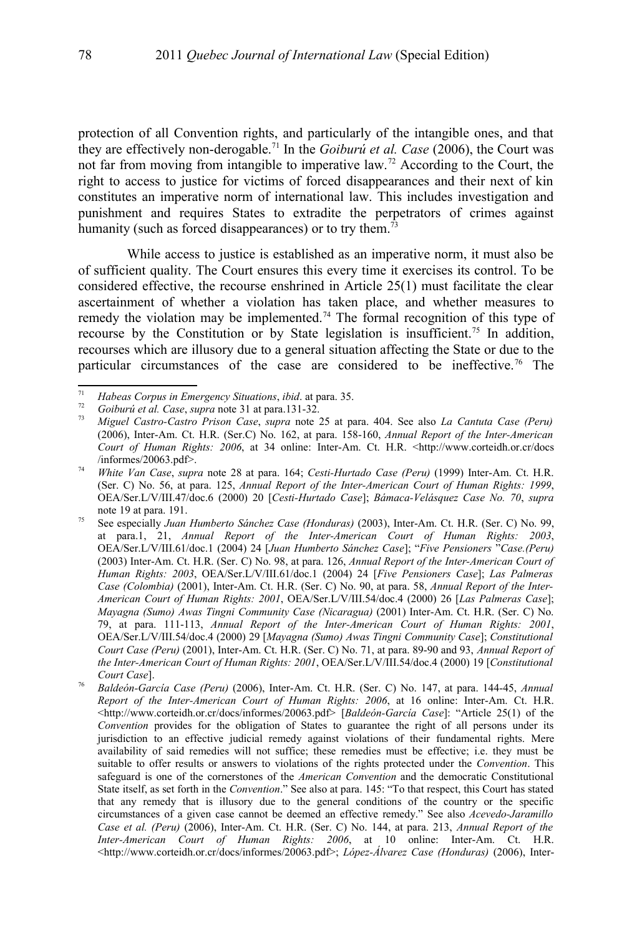protection of all Convention rights, and particularly of the intangible ones, and that they are effectively non-derogable.[71](#page-21-0) In the *Goiburú et al. Case* (2006), the Court was not far from moving from intangible to imperative law.[72](#page-21-1) According to the Court, the right to access to justice for victims of forced disappearances and their next of kin constitutes an imperative norm of international law. This includes investigation and punishment and requires States to extradite the perpetrators of crimes against humanity (such as forced disappearances) or to try them.<sup>[73](#page-21-2)</sup>

While access to justice is established as an imperative norm, it must also be of sufficient quality. The Court ensures this every time it exercises its control. To be considered effective, the recourse enshrined in Article 25(1) must facilitate the clear ascertainment of whether a violation has taken place, and whether measures to remedy the violation may be implemented.<sup>[74](#page-21-3)</sup> The formal recognition of this type of recourse by the Constitution or by State legislation is insufficient.<sup>[75](#page-21-4)</sup> In addition, recourses which are illusory due to a general situation affecting the State or due to the particular circumstances of the case are considered to be ineffective.<sup>[76](#page-21-5)</sup> The

<span id="page-21-0"></span><sup>71</sup> *Habeas Corpus in Emergency Situations*, *ibid*. at para. 35.

<span id="page-21-1"></span><sup>72</sup> *Goiburú et al. Case*, *supra* note [31](#page-9-2) at para.131-32.

<span id="page-21-2"></span><sup>73</sup> *Miguel Castro-Castro Prison Case*, *supra* note [25](#page-8-2) at para. 404. See also *La Cantuta Case (Peru)* (2006), Inter-Am. Ct. H.R. (Ser.C) No. 162, at para. 158-160, *Annual Report of the Inter-American Court of Human Rights: 2006*, at 34 online: Inter-Am. Ct. H.R. <http://www.corteidh.or.cr/docs /informes/20063.pdf>.

<span id="page-21-3"></span><sup>74</sup> *White Van Case*, *supra* note [28](#page-8-5) at para. 164; *Cesti-Hurtado Case (Peru)* (1999) Inter-Am. Ct. H.R. (Ser. C) No. 56, at para. 125, *Annual Report of the Inter-American Court of Human Rights: 1999*, OEA/Ser.L/V/III.47/doc.6 (2000) 20 [*Cesti-Hurtado Case*]; *Bámaca-Velásquez Case No. 70*, *supra* note [19](#page-6-3) at para. 191.

<span id="page-21-4"></span><sup>75</sup> See especially *Juan Humberto Sánchez Case (Honduras)* (2003), Inter-Am. Ct. H.R. (Ser. C) No. 99, at para.1, 21, *Annual Report of the Inter-American Court of Human Rights: 2003*, OEA/Ser.L/V/III.61/doc.1 (2004) 24 [*Juan Humberto Sánchez Case*]; "*Five Pensioners* "*Case.(Peru)* (2003) Inter-Am. Ct. H.R. (Ser. C) No. 98, at para. 126, *Annual Report of the Inter-American Court of Human Rights: 2003*, OEA/Ser.L/V/III.61/doc.1 (2004) 24 [*Five Pensioners Case*]; *Las Palmeras Case (Colombia)* (2001), Inter-Am. Ct. H.R. (Ser. C) No. 90, at para. 58, *Annual Report of the Inter-American Court of Human Rights: 2001*, OEA/Ser.L/V/III.54/doc.4 (2000) 26 [*Las Palmeras Case*]; *Mayagna (Sumo) Awas Tingni Community Case (Nicaragua)* (2001) Inter-Am. Ct. H.R. (Ser. C) No. 79, at para. 111-113, *Annual Report of the Inter-American Court of Human Rights: 2001*, OEA/Ser.L/V/III.54/doc.4 (2000) 29 [*Mayagna (Sumo) Awas Tingni Community Case*]; *Constitutional Court Case (Peru)* (2001), Inter-Am. Ct. H.R. (Ser. C) No. 71, at para. 89-90 and 93, *Annual Report of the Inter-American Court of Human Rights: 2001*, OEA/Ser.L/V/III.54/doc.4 (2000) 19 [*Constitutional Court Case*].

<span id="page-21-5"></span><sup>76</sup> *Baldeón-García Case (Peru)* (2006), Inter-Am. Ct. H.R. (Ser. C) No. 147, at para. 144-45, *Annual Report of the Inter-American Court of Human Rights: 2006*, at 16 online: Inter-Am. Ct. H.R. <http://www.corteidh.or.cr/docs/informes/20063.pdf> [*Baldeón-García Case*]: "Article 25(1) of the *Convention* provides for the obligation of States to guarantee the right of all persons under its jurisdiction to an effective judicial remedy against violations of their fundamental rights. Mere availability of said remedies will not suffice; these remedies must be effective; i.e. they must be suitable to offer results or answers to violations of the rights protected under the *Convention*. This safeguard is one of the cornerstones of the *American Convention* and the democratic Constitutional State itself, as set forth in the *Convention*." See also at para. 145: "To that respect, this Court has stated that any remedy that is illusory due to the general conditions of the country or the specific circumstances of a given case cannot be deemed an effective remedy." See also *Acevedo-Jaramillo Case et al. (Peru)* (2006), Inter-Am. Ct. H.R. (Ser. C) No. 144, at para. 213, *Annual Report of the Inter-American Court of Human Rights: 2006*, at 10 online: Inter-Am. Ct. H.R. <http://www.corteidh.or.cr/docs/informes/20063.pdf>; *López-Álvarez Case (Honduras)* (2006), Inter-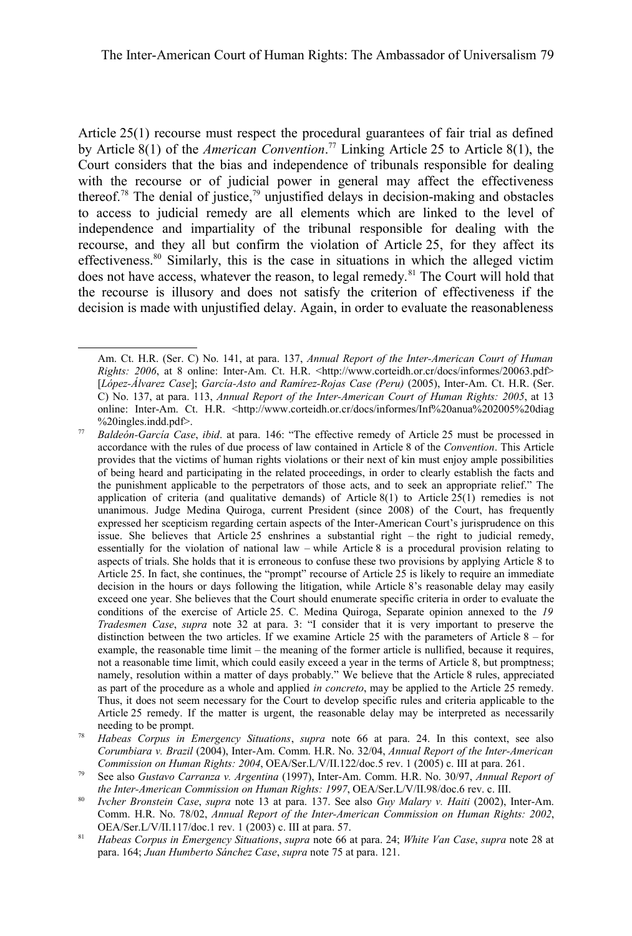Article 25(1) recourse must respect the procedural guarantees of fair trial as defined by Article 8(1) of the *American Convention*. [77](#page-22-0) Linking Article 25 to Article 8(1), the Court considers that the bias and independence of tribunals responsible for dealing with the recourse or of judicial power in general may affect the effectiveness thereof.<sup>[78](#page-22-1)</sup> The denial of justice,<sup>[79](#page-22-2)</sup> unjustified delays in decision-making and obstacles to access to judicial remedy are all elements which are linked to the level of independence and impartiality of the tribunal responsible for dealing with the recourse, and they all but confirm the violation of Article 25, for they affect its effectiveness.<sup>[80](#page-22-3)</sup> Similarly, this is the case in situations in which the alleged victim does not have access, whatever the reason, to legal remedy.<sup>[81](#page-22-4)</sup> The Court will hold that the recourse is illusory and does not satisfy the criterion of effectiveness if the decision is made with unjustified delay. Again, in order to evaluate the reasonableness

Am. Ct. H.R. (Ser. C) No. 141, at para. 137, *Annual Report of the Inter-American Court of Human Rights: 2006*, at 8 online: Inter-Am. Ct. H.R. <http://www.corteidh.or.cr/docs/informes/20063.pdf> [*López-Álvarez Case*]; *García-Asto and Ramírez-Rojas Case (Peru)* (2005), Inter-Am. Ct. H.R. (Ser. C) No. 137, at para. 113, *Annual Report of the Inter-American Court of Human Rights: 2005*, at 13 online: Inter-Am. Ct. H.R. <http://www.corteidh.or.cr/docs/informes/Inf%20anua%202005%20diag %20ingles.indd.pdf>.

<span id="page-22-0"></span><sup>77</sup> *Baldeón-García Case*, *ibid*. at para. 146: "The effective remedy of Article 25 must be processed in accordance with the rules of due process of law contained in Article 8 of the *Convention*. This Article provides that the victims of human rights violations or their next of kin must enjoy ample possibilities of being heard and participating in the related proceedings, in order to clearly establish the facts and the punishment applicable to the perpetrators of those acts, and to seek an appropriate relief." The application of criteria (and qualitative demands) of Article 8(1) to Article  $25(1)$  remedies is not unanimous. Judge Medina Quiroga, current President (since 2008) of the Court, has frequently expressed her scepticism regarding certain aspects of the Inter-American Court's jurisprudence on this issue. She believes that Article 25 enshrines a substantial right – the right to judicial remedy, essentially for the violation of national law – while Article 8 is a procedural provision relating to aspects of trials. She holds that it is erroneous to confuse these two provisions by applying Article 8 to Article 25. In fact, she continues, the "prompt" recourse of Article 25 is likely to require an immediate decision in the hours or days following the litigation, while Article 8's reasonable delay may easily exceed one year. She believes that the Court should enumerate specific criteria in order to evaluate the conditions of the exercise of Article 25. C. Medina Quiroga, Separate opinion annexed to the *19 Tradesmen Case*, *supra* note [32](#page-9-3) at para. 3: "I consider that it is very important to preserve the distinction between the two articles. If we examine Article 25 with the parameters of Article 8 – for example, the reasonable time limit – the meaning of the former article is nullified, because it requires, not a reasonable time limit, which could easily exceed a year in the terms of Article 8, but promptness; namely, resolution within a matter of days probably." We believe that the Article 8 rules, appreciated as part of the procedure as a whole and applied *in concreto*, may be applied to the Article 25 remedy. Thus, it does not seem necessary for the Court to develop specific rules and criteria applicable to the Article 25 remedy. If the matter is urgent, the reasonable delay may be interpreted as necessarily needing to be prompt.

<span id="page-22-1"></span><sup>78</sup> *Habeas Corpus in Emergency Situations*, *supra* note [66](#page-20-0) at para. 24. In this context, see also *Corumbiara v. Brazil* (2004), Inter-Am. Comm. H.R. No. 32/04, *Annual Report of the Inter-American Commission on Human Rights: 2004*, OEA/Ser.L/V/II.122/doc.5 rev. 1 (2005) c. III at para. 261.

<span id="page-22-2"></span><sup>79</sup> See also *Gustavo Carranza v. Argentina* (1997), Inter-Am. Comm. H.R. No. 30/97, *Annual Report of the Inter-American Commission on Human Rights: 1997*, OEA/Ser.L/V/II.98/doc.6 rev. c. III.

<span id="page-22-3"></span><sup>80</sup> *Ivcher Bronstein Case*, *supra* note [13](#page-4-1) at para. 137. See also *Guy Malary v. Haiti* (2002), Inter-Am. Comm. H.R. No. 78/02, *Annual Report of the Inter-American Commission on Human Rights: 2002*, OEA/Ser.L/V/II.117/doc.1 rev. 1 (2003) c. III at para. 57.

<span id="page-22-4"></span><sup>81</sup> *Habeas Corpus in Emergency Situations*, *supra* note [66](#page-20-0) at para. 24; *White Van Case*, *supra* note [28](#page-8-5) at para. 164; *Juan Humberto Sánchez Case*, *supra* note [75](#page-21-4) at para. 121.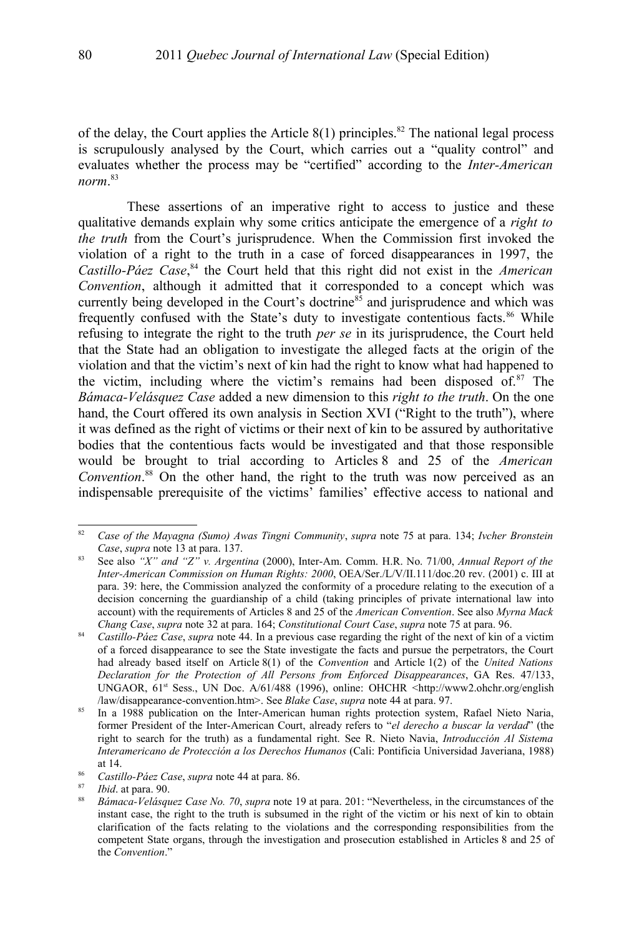of the delay, the Court applies the Article  $8(1)$  principles.<sup>[82](#page-23-0)</sup> The national legal process is scrupulously analysed by the Court, which carries out a "quality control" and evaluates whether the process may be "certified" according to the *Inter-American norm*. [83](#page-23-1)

These assertions of an imperative right to access to justice and these qualitative demands explain why some critics anticipate the emergence of a *right to the truth* from the Court's jurisprudence. When the Commission first invoked the violation of a right to the truth in a case of forced disappearances in 1997, the *Castillo-Páez Case*, [84](#page-23-2) the Court held that this right did not exist in the *American Convention*, although it admitted that it corresponded to a concept which was currently being developed in the Court's doctrine<sup>[85](#page-23-3)</sup> and jurisprudence and which was frequently confused with the State's duty to investigate contentious facts.<sup>[86](#page-23-4)</sup> While refusing to integrate the right to the truth *per se* in its jurisprudence, the Court held that the State had an obligation to investigate the alleged facts at the origin of the violation and that the victim's next of kin had the right to know what had happened to the victim, including where the victim's remains had been disposed of. $87$  The *Bámaca-Velásquez Case* added a new dimension to this *right to the truth*. On the one hand, the Court offered its own analysis in Section XVI ("Right to the truth"), where it was defined as the right of victims or their next of kin to be assured by authoritative bodies that the contentious facts would be investigated and that those responsible would be brought to trial according to Articles 8 and 25 of the *American Convention*. [88](#page-23-6) On the other hand, the right to the truth was now perceived as an indispensable prerequisite of the victims' families' effective access to national and

<span id="page-23-0"></span><sup>82</sup> *Case of the Mayagna (Sumo) Awas Tingni Community*, *supra* note [75](#page-21-4) at para. 134; *Ivcher Bronstein Case*, *supra* note [13](#page-4-1) at para. 137.

<span id="page-23-1"></span><sup>83</sup> See also *"X" and "Z" v. Argentina* (2000), Inter-Am. Comm. H.R. No. 71/00, *Annual Report of the Inter-American Commission on Human Rights: 2000*, OEA/Ser./L/V/II.111/doc.20 rev. (2001) c. III at para. 39: here, the Commission analyzed the conformity of a procedure relating to the execution of a decision concerning the guardianship of a child (taking principles of private international law into account) with the requirements of Articles 8 and 25 of the *American Convention*. See also *Myrna Mack Chang Case*, *supra* note [32](#page-9-3) at para. 164; *Constitutional Court Case*, *supra* note [75](#page-21-4) at para. 96.

<span id="page-23-2"></span><sup>84</sup> *Castillo-Páez Case*, *supra* note [44.](#page-12-2) In a previous case regarding the right of the next of kin of a victim of a forced disappearance to see the State investigate the facts and pursue the perpetrators, the Court had already based itself on Article 8(1) of the *Convention* and Article 1(2) of the *United Nations Declaration for the Protection of All Persons from Enforced Disappearances*, GA Res. 47/133, UNGAOR,  $61<sup>st</sup> Sess.$  UN Doc. A/61/488 (1996), online: OHCHR  $\rightarrow$ http://www2.ohchr.org/english /law/disappearance-convention.htm>. See *Blake Case*, *supra* note [44](#page-12-2) at para. 97.

<span id="page-23-3"></span><sup>&</sup>lt;sup>85</sup> In a 1988 publication on the Inter-American human rights protection system, Rafael Nieto Naria, former President of the Inter-American Court, already refers to "*el derecho a buscar la verdad*" (the right to search for the truth) as a fundamental right. See R. Nieto Navia, *Introducción Al Sistema Interamericano de Protección a los Derechos Humanos* (Cali: Pontificia Universidad Javeriana, 1988) at 14.

<span id="page-23-4"></span><sup>86</sup> *Castillo-Páez Case*, *supra* note [44](#page-12-2) at para. 86.

<span id="page-23-5"></span><sup>87</sup> *Ibid*. at para. 90.

<span id="page-23-6"></span><sup>88</sup> *Bámaca-Velásquez Case No. 70*, *supra* note [19](#page-6-3) at para. 201: "Nevertheless, in the circumstances of the instant case, the right to the truth is subsumed in the right of the victim or his next of kin to obtain clarification of the facts relating to the violations and the corresponding responsibilities from the competent State organs, through the investigation and prosecution established in Articles 8 and 25 of the *Convention*."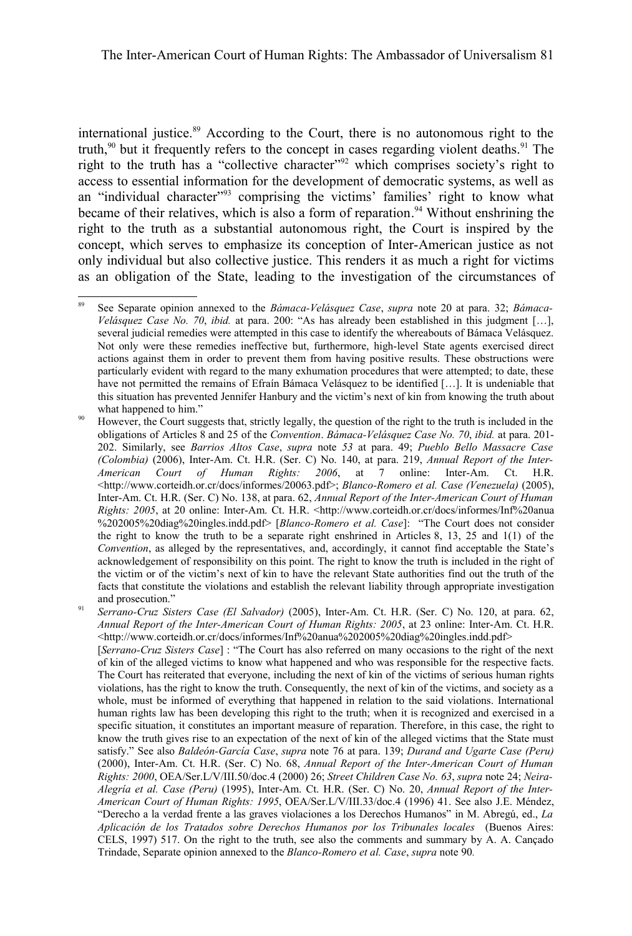international justice.<sup>[89](#page-24-1)</sup> According to the Court, there is no autonomous right to the truth, $90$  but it frequently refers to the concept in cases regarding violent deaths. <sup>[91](#page-24-2)</sup> The right to the truth has a "collective character"[92](#page-25-0) which comprises society's right to access to essential information for the development of democratic systems, as well as an "individual character"<sup>[93](#page-25-1)</sup> comprising the victims' families' right to know what became of their relatives, which is also a form of reparation.<sup>[94](#page-25-2)</sup> Without enshrining the right to the truth as a substantial autonomous right, the Court is inspired by the concept, which serves to emphasize its conception of Inter-American justice as not only individual but also collective justice. This renders it as much a right for victims as an obligation of the State, leading to the investigation of the circumstances of

<span id="page-24-1"></span><sup>89</sup> See Separate opinion annexed to the *Bámaca-Velásquez Case*, *supra* note [20](#page-7-0) at para. 32; *Bámaca-Velásquez Case No. 70*, *ibid.* at para. 200: "As has already been established in this judgment […], several judicial remedies were attempted in this case to identify the whereabouts of Bámaca Velásquez. Not only were these remedies ineffective but, furthermore, high-level State agents exercised direct actions against them in order to prevent them from having positive results. These obstructions were particularly evident with regard to the many exhumation procedures that were attempted; to date, these have not permitted the remains of Efraín Bámaca Velásquez to be identified […]. It is undeniable that this situation has prevented Jennifer Hanbury and the victim's next of kin from knowing the truth about what happened to him."

<span id="page-24-0"></span>However, the Court suggests that, strictly legally, the question of the right to the truth is included in the obligations of Articles 8 and 25 of the *Convention*. *Bámaca-Velásquez Case No. 70*, *ibid.* at para. 201- 202. Similarly, see *Barrios Altos Case*, *supra* note *[53](#page-16-0)* at para. 49; *Pueblo Bello Massacre Case (Colombia)* (2006), Inter-Am. Ct. H.R. (Ser. C) No. 140, at para. 219, *Annual Report of the Inter-American Court of Human Rights: 2006*, at 7 online: Inter-Am. Ct. H.R. <http://www.corteidh.or.cr/docs/informes/20063.pdf>; *Blanco-Romero et al. Case (Venezuela)* (2005), Inter-Am. Ct. H.R. (Ser. C) No. 138, at para. 62, *Annual Report of the Inter-American Court of Human Rights: 2005*, at 20 online: Inter-Am. Ct. H.R. <http://www.corteidh.or.cr/docs/informes/Inf<sup>y</sup>/<sub>20</sub>anua %202005%20diag%20ingles.indd.pdf> [*Blanco-Romero et al. Case*]: "The Court does not consider the right to know the truth to be a separate right enshrined in Articles 8, 13, 25 and 1(1) of the *Convention*, as alleged by the representatives, and, accordingly, it cannot find acceptable the State's acknowledgement of responsibility on this point. The right to know the truth is included in the right of the victim or of the victim's next of kin to have the relevant State authorities find out the truth of the facts that constitute the violations and establish the relevant liability through appropriate investigation and prosecution."

<span id="page-24-2"></span><sup>91</sup> *Serrano-Cruz Sisters Case (El Salvador)* (2005), Inter-Am. Ct. H.R. (Ser. C) No. 120, at para. 62, *Annual Report of the Inter-American Court of Human Rights: 2005*, at 23 online: Inter-Am. Ct. H.R. <http://www.corteidh.or.cr/docs/informes/Inf%20anua%202005%20diag%20ingles.indd.pdf> [*Serrano-Cruz Sisters Case*] : "The Court has also referred on many occasions to the right of the next of kin of the alleged victims to know what happened and who was responsible for the respective facts. The Court has reiterated that everyone, including the next of kin of the victims of serious human rights violations, has the right to know the truth. Consequently, the next of kin of the victims, and society as a whole, must be informed of everything that happened in relation to the said violations. International human rights law has been developing this right to the truth; when it is recognized and exercised in a specific situation, it constitutes an important measure of reparation. Therefore, in this case, the right to know the truth gives rise to an expectation of the next of kin of the alleged victims that the State must satisfy." See also *Baldeón-García Case*, *supra* note [76](#page-21-5) at para. 139; *Durand and Ugarte Case (Peru)* (2000), Inter-Am. Ct. H.R. (Ser. C) No. 68, *Annual Report of the Inter-American Court of Human Rights: 2000*, OEA/Ser.L/V/III.50/doc.4 (2000) 26; *Street Children Case No. 63*, *supra* note [24;](#page-8-1) *Neira-Alegría et al. Case (Peru)* (1995), Inter-Am. Ct. H.R. (Ser. C) No. 20, *Annual Report of the Inter-American Court of Human Rights: 1995*, OEA/Ser.L/V/III.33/doc.4 (1996) 41. See also J.E. Méndez, "Derecho a la verdad frente a las graves violaciones a los Derechos Humanos" in M. Abregú, ed., *La Aplicación de los Tratados sobre Derechos Humanos por los Tribunales locales* (Buenos Aires: CELS, 1997) 517. On the right to the truth, see also the comments and summary by A. A. Cançado Trindade, Separate opinion annexed to the *Blanco-Romero et al. Case*, *supra* note [90](#page-24-0)*.*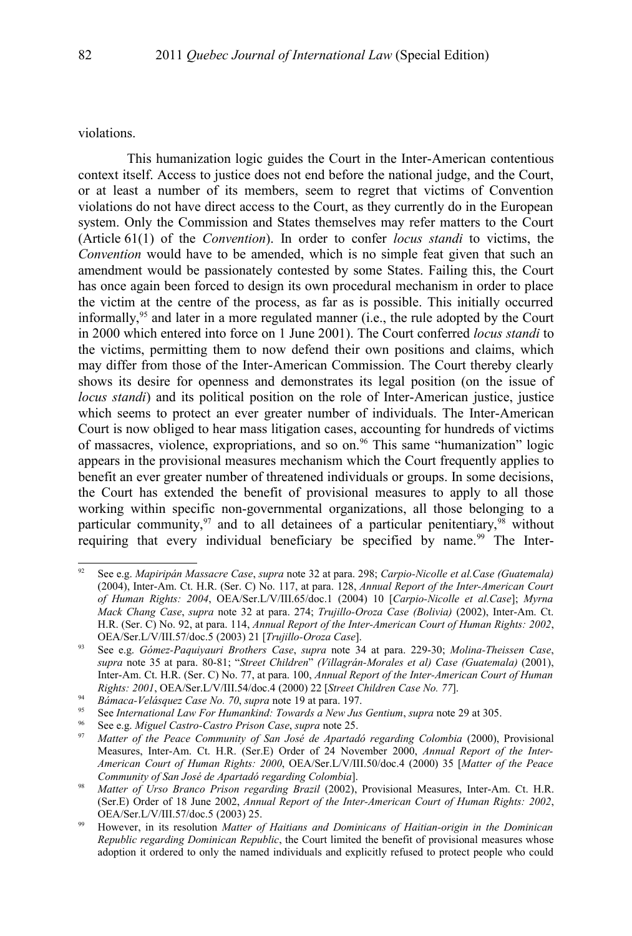violations.

This humanization logic guides the Court in the Inter-American contentious context itself. Access to justice does not end before the national judge, and the Court, or at least a number of its members, seem to regret that victims of Convention violations do not have direct access to the Court, as they currently do in the European system. Only the Commission and States themselves may refer matters to the Court (Article 61(1) of the *Convention*). In order to confer *locus standi* to victims, the *Convention* would have to be amended, which is no simple feat given that such an amendment would be passionately contested by some States. Failing this, the Court has once again been forced to design its own procedural mechanism in order to place the victim at the centre of the process, as far as is possible. This initially occurred informally,<sup>[95](#page-25-3)</sup> and later in a more regulated manner (i.e., the rule adopted by the Court in 2000 which entered into force on 1 June 2001). The Court conferred *locus standi* to the victims, permitting them to now defend their own positions and claims, which may differ from those of the Inter-American Commission. The Court thereby clearly shows its desire for openness and demonstrates its legal position (on the issue of *locus standi*) and its political position on the role of Inter-American justice, justice which seems to protect an ever greater number of individuals. The Inter-American Court is now obliged to hear mass litigation cases, accounting for hundreds of victims of massacres, violence, expropriations, and so on.<sup>[96](#page-25-4)</sup> This same "humanization" logic appears in the provisional measures mechanism which the Court frequently applies to benefit an ever greater number of threatened individuals or groups. In some decisions, the Court has extended the benefit of provisional measures to apply to all those working within specific non-governmental organizations, all those belonging to a particular community,  $97$  and to all detainees of a particular penitentiary,  $98$  without requiring that every individual beneficiary be specified by name.<sup>[99](#page-25-7)</sup> The Inter-

<span id="page-25-0"></span><sup>92</sup> See e.g. *Mapiripán Massacre Case*, *supra* note [32](#page-9-3) at para. 298; *Carpio-Nicolle et al.Case (Guatemala)* (2004), Inter-Am. Ct. H.R. (Ser. C) No. 117, at para. 128, *Annual Report of the Inter-American Court of Human Rights: 2004*, OEA/Ser.L/V/III.65/doc.1 (2004) 10 [*Carpio-Nicolle et al.Case*]; *Myrna Mack Chang Case*, *supra* note [32](#page-9-3) at para. 274; *Trujillo-Oroza Case (Bolivia)* (2002), Inter-Am. Ct. H.R. (Ser. C) No. 92, at para. 114, *Annual Report of the Inter-American Court of Human Rights: 2002*, OEA/Ser.L/V/III.57/doc.5 (2003) 21 [*Trujillo-Oroza Case*].

<span id="page-25-1"></span><sup>93</sup> See e.g. *Gómez-Paquiyauri Brothers Case*, *supra* note [34](#page-10-1) at para. 229-30; *Molina-Theissen Case*, *supra* note [35](#page-10-2) at para. 80-81; "*Street Children*" *(Villagrán-Morales et al) Case (Guatemala)* (2001), Inter-Am. Ct. H.R. (Ser. C) No. 77, at para. 100, *Annual Report of the Inter-American Court of Human Rights: 2001*, OEA/Ser.L/V/III.54/doc.4 (2000) 22 [*Street Children Case No. 77*].

<span id="page-25-2"></span><sup>94</sup> *Bámaca-Velásquez Case No. 70*, *supra* note [19](#page-6-3) at para. 197.

<span id="page-25-3"></span><sup>95</sup> See *International Law For Humankind: Towards a New Jus Gentium*, *supra* note [29](#page-9-0) at 305.

<span id="page-25-4"></span><sup>96</sup> See e.g. *Miguel Castro-Castro Prison Case*, *supra* note [25.](#page-8-2)

<span id="page-25-5"></span><sup>97</sup> *Matter of the Peace Community of San José de Apartadó regarding Colombia* (2000), Provisional Measures, Inter-Am. Ct. H.R. (Ser.E) Order of 24 November 2000, *Annual Report of the Inter-American Court of Human Rights: 2000*, OEA/Ser.L/V/III.50/doc.4 (2000) 35 [*Matter of the Peace Community of San José de Apartadó regarding Colombia*].

<span id="page-25-6"></span><sup>98</sup> *Matter of Urso Branco Prison regarding Brazil* (2002), Provisional Measures, Inter-Am. Ct. H.R. (Ser.E) Order of 18 June 2002, *Annual Report of the Inter-American Court of Human Rights: 2002*, OEA/Ser.L/V/III.57/doc.5 (2003) 25.

<span id="page-25-7"></span><sup>99</sup> However, in its resolution *Matter of Haitians and Dominicans of Haitian-origin in the Dominican Republic regarding Dominican Republic*, the Court limited the benefit of provisional measures whose adoption it ordered to only the named individuals and explicitly refused to protect people who could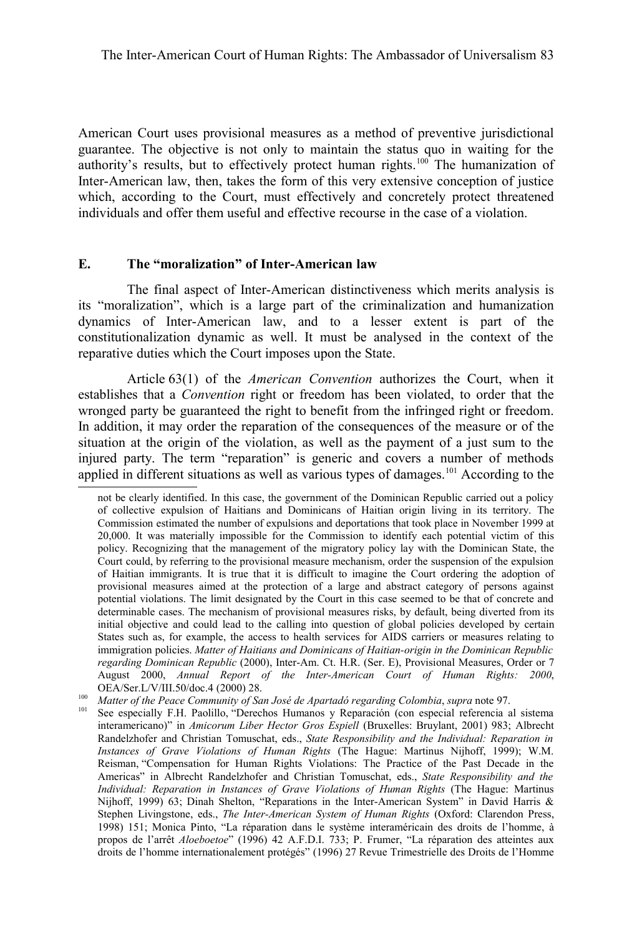American Court uses provisional measures as a method of preventive jurisdictional guarantee. The objective is not only to maintain the status quo in waiting for the authority's results, but to effectively protect human rights.[100](#page-26-0) The humanization of Inter-American law, then, takes the form of this very extensive conception of justice which, according to the Court, must effectively and concretely protect threatened individuals and offer them useful and effective recourse in the case of a violation.

#### **E. The "moralization" of Inter-American law**

The final aspect of Inter-American distinctiveness which merits analysis is its "moralization", which is a large part of the criminalization and humanization dynamics of Inter-American law, and to a lesser extent is part of the constitutionalization dynamic as well. It must be analysed in the context of the reparative duties which the Court imposes upon the State.

Article 63(1) of the *American Convention* authorizes the Court, when it establishes that a *Convention* right or freedom has been violated, to order that the wronged party be guaranteed the right to benefit from the infringed right or freedom. In addition, it may order the reparation of the consequences of the measure or of the situation at the origin of the violation, as well as the payment of a just sum to the injured party. The term "reparation" is generic and covers a number of methods applied in different situations as well as various types of damages.<sup>[101](#page-26-1)</sup> According to the

not be clearly identified. In this case, the government of the Dominican Republic carried out a policy of collective expulsion of Haitians and Dominicans of Haitian origin living in its territory. The Commission estimated the number of expulsions and deportations that took place in November 1999 at 20,000. It was materially impossible for the Commission to identify each potential victim of this policy. Recognizing that the management of the migratory policy lay with the Dominican State, the Court could, by referring to the provisional measure mechanism, order the suspension of the expulsion of Haitian immigrants. It is true that it is difficult to imagine the Court ordering the adoption of provisional measures aimed at the protection of a large and abstract category of persons against potential violations. The limit designated by the Court in this case seemed to be that of concrete and determinable cases. The mechanism of provisional measures risks, by default, being diverted from its initial objective and could lead to the calling into question of global policies developed by certain States such as, for example, the access to health services for AIDS carriers or measures relating to immigration policies. *Matter of Haitians and Dominicans of Haitian-origin in the Dominican Republic regarding Dominican Republic* (2000), Inter-Am. Ct. H.R. (Ser. E), Provisional Measures, Order or 7 August 2000, *Annual Report of the Inter-American Court of Human Rights: 2000*, OEA/Ser.L/V/III.50/doc.4 (2000) 28.

<span id="page-26-0"></span><sup>100</sup> *Matter of the Peace Community of San José de Apartadó regarding Colombia*, *supra* note [97.](#page-25-5)

<span id="page-26-1"></span>See especially F.H. Paolillo, "Derechos Humanos y Reparación (con especial referencia al sistema interamericano)" in *Amicorum Liber Hector Gros Espiell* (Bruxelles: Bruylant, 2001) 983; Albrecht Randelzhofer and Christian Tomuschat, eds., *State Responsibility and the Individual: Reparation in Instances of Grave Violations of Human Rights* (The Hague: Martinus Nijhoff, 1999); W.M. Reisman, "Compensation for Human Rights Violations: The Practice of the Past Decade in the Americas" in Albrecht Randelzhofer and Christian Tomuschat, eds., *State Responsibility and the Individual: Reparation in Instances of Grave Violations of Human Rights* (The Hague: Martinus Nijhoff, 1999) 63; Dinah Shelton, "Reparations in the Inter-American System" in David Harris & Stephen Livingstone, eds., *The Inter-American System of Human Rights* (Oxford: Clarendon Press, 1998) 151; Monica Pinto, "La réparation dans le système interaméricain des droits de l'homme, à propos de l'arrêt *Aloeboetoe*" (1996) 42 A.F.D.I. 733; P. Frumer, "La réparation des atteintes aux droits de l'homme internationalement protégés" (1996) 27 Revue Trimestrielle des Droits de l'Homme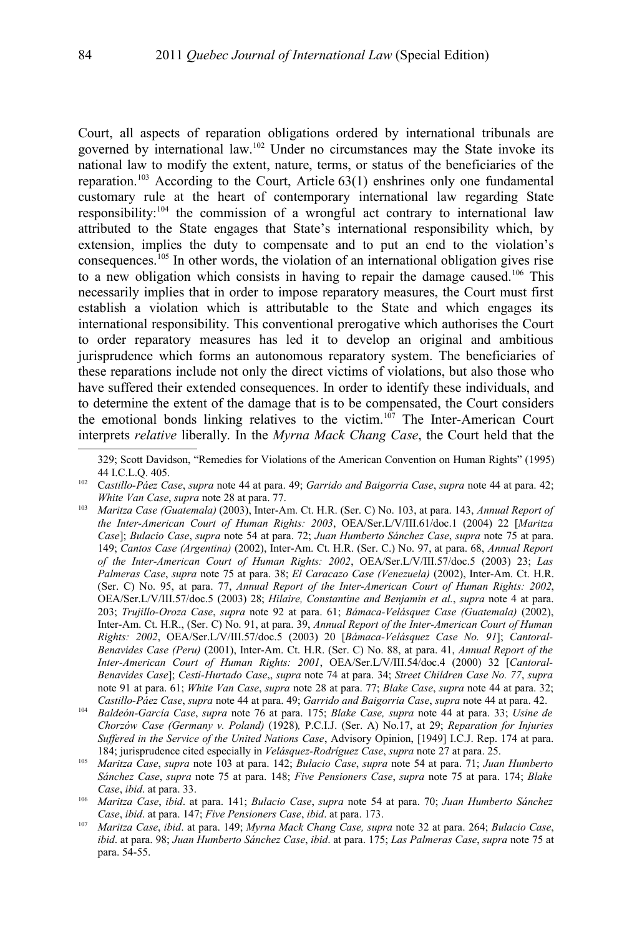Court, all aspects of reparation obligations ordered by international tribunals are governed by international law.[102](#page-27-1) Under no circumstances may the State invoke its national law to modify the extent, nature, terms, or status of the beneficiaries of the reparation.<sup>[103](#page-27-0)</sup> According to the Court, Article  $63(1)$  enshrines only one fundamental customary rule at the heart of contemporary international law regarding State responsibility:[104](#page-27-2) the commission of a wrongful act contrary to international law attributed to the State engages that State's international responsibility which, by extension, implies the duty to compensate and to put an end to the violation's consequences.<sup>[105](#page-27-3)</sup> In other words, the violation of an international obligation gives rise to a new obligation which consists in having to repair the damage caused.[106](#page-27-4) This necessarily implies that in order to impose reparatory measures, the Court must first establish a violation which is attributable to the State and which engages its international responsibility. This conventional prerogative which authorises the Court to order reparatory measures has led it to develop an original and ambitious jurisprudence which forms an autonomous reparatory system. The beneficiaries of these reparations include not only the direct victims of violations, but also those who have suffered their extended consequences. In order to identify these individuals, and to determine the extent of the damage that is to be compensated, the Court considers the emotional bonds linking relatives to the victim.<sup>[107](#page-27-5)</sup> The Inter-American Court interprets *relative* liberally. In the *Myrna Mack Chang Case*, the Court held that the

<sup>329;</sup> Scott Davidson, "Remedies for Violations of the American Convention on Human Rights" (1995) 44 I.C.L.Q. 405.

<span id="page-27-1"></span><sup>102</sup> C*astillo-Páez Case*, *supra* note [44](#page-12-2) at para. 49; *Garrido and Baigorria Case*, *supra* note [44](#page-12-2) at para. 42; *White Van Case*, *supra* note [28](#page-8-5) at para. 77.

<span id="page-27-0"></span><sup>103</sup> *Maritza Case (Guatemala)* (2003), Inter-Am. Ct. H.R. (Ser. C) No. 103, at para. 143, *Annual Report of the Inter-American Court of Human Rights: 2003*, OEA/Ser.L/V/III.61/doc.1 (2004) 22 [*Maritza Case*]; *Bulacio Case*, *supra* note [54](#page-16-1) at para. 72; *Juan Humberto Sánchez Case*, *supra* note 75 at para. 149; *Cantos Case (Argentina)* (2002), Inter-Am. Ct. H.R. (Ser. C.) No. 97, at para. 68, *Annual Report of the Inter-American Court of Human Rights: 2002*, OEA/Ser.L/V/III.57/doc.5 (2003) 23; *Las Palmeras Case*, *supra* note [75](#page-21-4) at para. 38; *El Caracazo Case (Venezuela)* (2002), Inter-Am. Ct. H.R. (Ser. C) No. 95, at para. 77, *Annual Report of the Inter-American Court of Human Rights: 2002*, OEA/Ser.L/V/III.57/doc.5 (2003) 28; *Hilaire, Constantine and Benjamin et al.*, *supra* note [4](#page-1-3) at para. 203; *Trujillo-Oroza Case*, *supra* note [92](#page-25-0) at para. 61; *Bámaca-Velásquez Case (Guatemala)* (2002), Inter-Am. Ct. H.R., (Ser. C) No. 91, at para. 39, *Annual Report of the Inter-American Court of Human Rights: 2002*, OEA/Ser.L/V/III.57/doc.5 (2003) 20 [*Bámaca-Velásquez Case No. 91*]; *Cantoral-Benavides Case (Peru)* (2001), Inter-Am. Ct. H.R. (Ser. C) No. 88, at para. 41, *Annual Report of the Inter-American Court of Human Rights: 2001*, OEA/Ser.L/V/III.54/doc.4 (2000) 32 [*Cantoral-Benavides Case*]; *Cesti-Hurtado Case*,, *supra* note 74 at para. 34; *Street Children Case No. 77*, *supra* note [91](#page-24-2) at para. 61; *White Van Case*, *supra* note [28](#page-8-5) at para. 77; *Blake Case*, *supra* note [44](#page-12-2) at para. 32; *Castillo-Páez Case*, *supra* note [44](#page-12-2) at para. 49; *Garrido and Baigorria Case*, *supra* note [44](#page-12-2) at para. 42.

<span id="page-27-2"></span><sup>104</sup> *Baldeón-García Case*, *supra* note [76](#page-21-5) at para. 175; *Blake Case, supra* note [44](#page-12-2) at para. 33; *Usine de Chorzów Case (Germany v. Poland)* (1928)*,* P.C.I.J. (Ser. A) No.17, at 29; *Reparation for Injuries Suffered in the Service of the United Nations Case*, Advisory Opinion, [1949] I.C.J. Rep. 174 at para. 184; jurisprudence cited especially in *Velásquez-Rodríguez Case*, *supra* note [27](#page-8-4) at para. 25.

<span id="page-27-3"></span><sup>105</sup> *Maritza Case*, *supra* note [103](#page-27-0) at para. 142; *Bulacio Case*, *supra* note [54](#page-16-1) at para. 71; *Juan Humberto Sánchez Case*, *supra* note [75](#page-21-4) at para. 148; *Five Pensioners Case*, *supra* note [75](#page-21-4) at para. 174; *Blake Case*, *ibid*. at para. 33.

<span id="page-27-4"></span><sup>106</sup> *Maritza Case*, *ibid*. at para. 141; *Bulacio Case*, *supra* note [54](#page-16-1) at para. 70; *Juan Humberto Sánchez Case*, *ibid*. at para. 147; *Five Pensioners Case*, *ibid*. at para. 173.

<span id="page-27-5"></span><sup>107</sup> *Maritza Case*, *ibid*. at para. 149; *Myrna Mack Chang Case, supra* note [32](#page-9-3) at para. 264; *Bulacio Case*, *ibid*. at para. 98; *Juan Humberto Sánchez Case*, *ibid*. at para. 175; *Las Palmeras Case*, *supra* note [75](#page-21-4) at para. 54-55.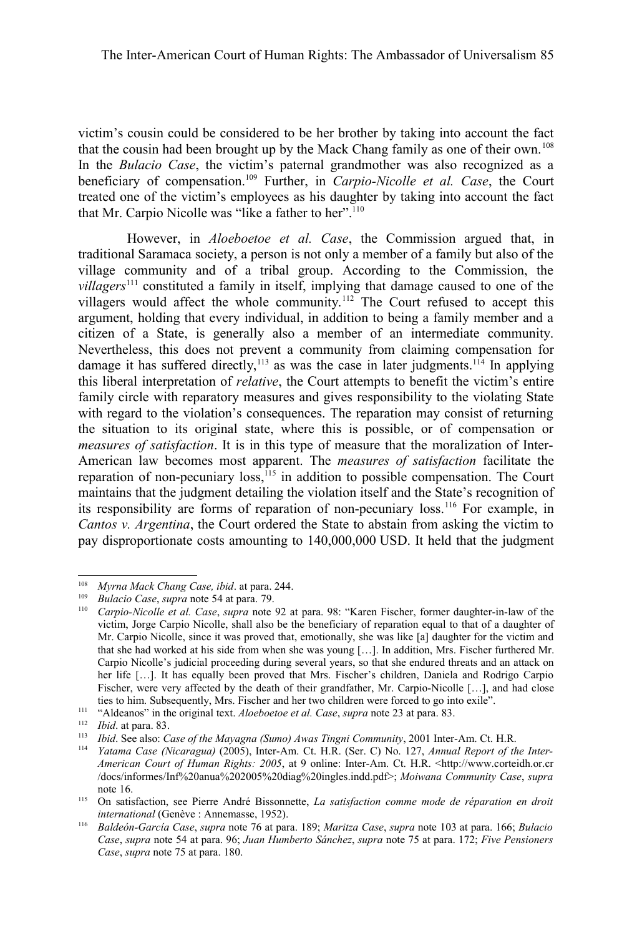victim's cousin could be considered to be her brother by taking into account the fact that the cousin had been brought up by the Mack Chang family as one of their own.<sup>[108](#page-28-0)</sup> In the *Bulacio Case*, the victim's paternal grandmother was also recognized as a beneficiary of compensation.[109](#page-28-1) Further, in *Carpio-Nicolle et al. Case*, the Court treated one of the victim's employees as his daughter by taking into account the fact that Mr. Carpio Nicolle was "like a father to her".<sup>[110](#page-28-2)</sup>

However, in *Aloeboetoe et al. Case*, the Commission argued that, in traditional Saramaca society, a person is not only a member of a family but also of the village community and of a tribal group. According to the Commission, the *villagers*<sup>[111](#page-28-3)</sup> constituted a family in itself, implying that damage caused to one of the villagers would affect the whole community.<sup>[112](#page-28-4)</sup> The Court refused to accept this argument, holding that every individual, in addition to being a family member and a citizen of a State, is generally also a member of an intermediate community. Nevertheless, this does not prevent a community from claiming compensation for damage it has suffered directly,<sup>[113](#page-28-5)</sup> as was the case in later judgments.<sup>[114](#page-28-6)</sup> In applying this liberal interpretation of *relative*, the Court attempts to benefit the victim's entire family circle with reparatory measures and gives responsibility to the violating State with regard to the violation's consequences. The reparation may consist of returning the situation to its original state, where this is possible, or of compensation or *measures of satisfaction*. It is in this type of measure that the moralization of Inter-American law becomes most apparent. The *measures of satisfaction* facilitate the reparation of non-pecuniary loss,<sup>[115](#page-28-7)</sup> in addition to possible compensation. The Court maintains that the judgment detailing the violation itself and the State's recognition of its responsibility are forms of reparation of non-pecuniary loss.[116](#page-28-8) For example, in *Cantos v. Argentina*, the Court ordered the State to abstain from asking the victim to pay disproportionate costs amounting to 140,000,000 USD. It held that the judgment

<span id="page-28-0"></span><sup>108</sup> *Myrna Mack Chang Case, ibid*. at para. 244.

<span id="page-28-1"></span><sup>109</sup> *Bulacio Case*, *supra* note [54](#page-16-1) at para. 79.

<span id="page-28-2"></span><sup>110</sup> *Carpio-Nicolle et al. Case*, *supra* note [92](#page-25-0) at para. 98: "Karen Fischer, former daughter-in-law of the victim, Jorge Carpio Nicolle, shall also be the beneficiary of reparation equal to that of a daughter of Mr. Carpio Nicolle, since it was proved that, emotionally, she was like [a] daughter for the victim and that she had worked at his side from when she was young […]. In addition, Mrs. Fischer furthered Mr. Carpio Nicolle's judicial proceeding during several years, so that she endured threats and an attack on her life [...]. It has equally been proved that Mrs. Fischer's children, Daniela and Rodrigo Carpio Fischer, were very affected by the death of their grandfather, Mr. Carpio-Nicolle […], and had close ties to him. Subsequently, Mrs. Fischer and her two children were forced to go into exile".

<span id="page-28-3"></span><sup>111</sup> "Aldeanos" in the original text. *Aloeboetoe et al. Case*, *supra* note [23](#page-8-0) at para. 83.

<span id="page-28-4"></span><sup>112</sup> *Ibid*. at para. 83.

<span id="page-28-5"></span><sup>113</sup> *Ibid*. See also: *Case of the Mayagna (Sumo) Awas Tingni Community*, 2001 Inter-Am. Ct. H.R.

<span id="page-28-6"></span><sup>114</sup> *Yatama Case (Nicaragua)* (2005), Inter-Am. Ct. H.R. (Ser. C) No. 127, *Annual Report of the Inter-American Court of Human Rights: 2005*, at 9 online: Inter-Am. Ct. H.R. <http://www.corteidh.or.cr /docs/informes/Inf%20anua%202005%20diag%20ingles.indd.pdf>; *Moiwana Community Case*, *supra* note [16.](#page-6-0)

<span id="page-28-7"></span><sup>115</sup> On satisfaction, see Pierre André Bissonnette, *La satisfaction comme mode de réparation en droit international* (Genève : Annemasse, 1952).

<span id="page-28-8"></span><sup>116</sup> *Baldeón-García Case*, *supra* note 76 at para. 189; *Maritza Case*, *supra* note [103](#page-27-0) at para. 166; *Bulacio Case*, *supra* note [54](#page-16-1) at para. 96; *Juan Humberto Sánchez*, *supra* note [75](#page-21-4) at para. 172; *Five Pensioners Case*, *supra* note [75](#page-21-4) at para. 180.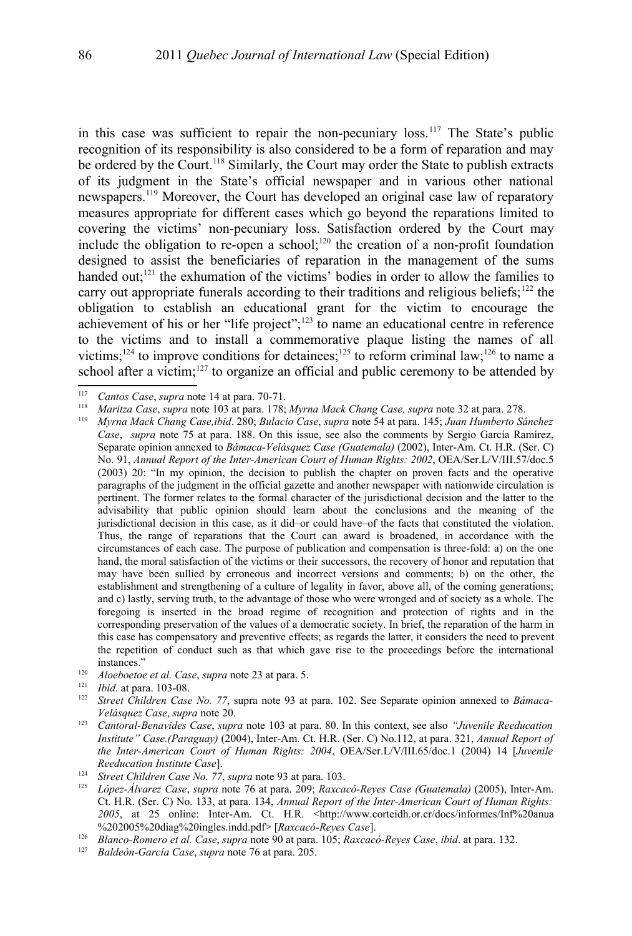in this case was sufficient to repair the non-pecuniary loss.[117](#page-29-0) The State's public recognition of its responsibility is also considered to be a form of reparation and may be ordered by the Court.<sup>[118](#page-29-1)</sup> Similarly, the Court may order the State to publish extracts of its judgment in the State's official newspaper and in various other national newspapers.[119](#page-29-2) Moreover, the Court has developed an original case law of reparatory measures appropriate for different cases which go beyond the reparations limited to covering the victims' non-pecuniary loss. Satisfaction ordered by the Court may include the obligation to re-open a school;<sup>[120](#page-29-3)</sup> the creation of a non-profit foundation designed to assist the beneficiaries of reparation in the management of the sums handed out;<sup>[121](#page-29-4)</sup> the exhumation of the victims' bodies in order to allow the families to carry out appropriate funerals according to their traditions and religious beliefs;<sup>[122](#page-29-5)</sup> the obligation to establish an educational grant for the victim to encourage the achievement of his or her "life project";[123](#page-29-6) to name an educational centre in reference to the victims and to install a commemorative plaque listing the names of all victims;<sup>[124](#page-29-7)</sup> to improve conditions for detainees;<sup>[125](#page-29-8)</sup> to reform criminal law;<sup>[126](#page-29-9)</sup> to name a school after a victim;<sup>[127](#page-29-10)</sup> to organize an official and public ceremony to be attended by

<span id="page-29-0"></span><sup>117</sup> *Cantos Case*, *supra* note [14](#page-4-2) at para. 70-71.

<span id="page-29-1"></span><sup>118</sup> *Maritza Case*, *supra* note [103](#page-27-0) at para. 178; *Myrna Mack Chang Case, supra* note [32](#page-9-3) at para. 278.

<span id="page-29-2"></span><sup>119</sup> *Myrna Mack Chang Case,ibid*. 280; *Bulacio Case*, *supra* note [54](#page-16-1) at para. 145; *Juan Humberto Sánchez Case*, *supra* note [75](#page-21-4) at para. 188. On this issue, see also the comments by Sergio García Ramírez, Separate opinion annexed to *Bámaca-Velásquez Case (Guatemala)* (2002), Inter-Am. Ct. H.R. (Ser. C) No. 91, *Annual Report of the Inter-American Court of Human Rights: 2002*, OEA/Ser.L/V/III.57/doc.5 (2003) 20: "In my opinion, the decision to publish the chapter on proven facts and the operative paragraphs of the judgment in the official gazette and another newspaper with nationwide circulation is pertinent. The former relates to the formal character of the jurisdictional decision and the latter to the advisability that public opinion should learn about the conclusions and the meaning of the jurisdictional decision in this case, as it did–or could have–of the facts that constituted the violation. Thus, the range of reparations that the Court can award is broadened, in accordance with the circumstances of each case. The purpose of publication and compensation is three-fold: a) on the one hand, the moral satisfaction of the victims or their successors, the recovery of honor and reputation that may have been sullied by erroneous and incorrect versions and comments; b) on the other, the establishment and strengthening of a culture of legality in favor, above all, of the coming generations; and c) lastly, serving truth, to the advantage of those who were wronged and of society as a whole. The foregoing is inserted in the broad regime of recognition and protection of rights and in the corresponding preservation of the values of a democratic society. In brief, the reparation of the harm in this case has compensatory and preventive effects; as regards the latter, it considers the need to prevent the repetition of conduct such as that which gave rise to the proceedings before the international instances."

<span id="page-29-3"></span><sup>&</sup>lt;sup>120</sup> *Aloeboetoe et al. Case, supra* note [23](#page-8-0) at para. 5.<br><sup>121</sup> *Ibid.* at para. 102.09

<span id="page-29-4"></span> $\frac{121}{122}$  *Ibid.* at para. 103-08.

<span id="page-29-5"></span><sup>122</sup> *Street Children Case No. 77*, supra note [93](#page-25-1) at para. 102. See Separate opinion annexed to *Bámaca-Velásquez Case*, *supra* note [20.](#page-7-0)

<span id="page-29-6"></span><sup>123</sup> *Cantoral-Benavides Case*, *supra* note [103](#page-27-0) at para. 80. In this context, see also *"Juvenile Reeducation Institute" Case.(Paraguay)* (2004), Inter-Am. Ct. H.R. (Ser. C) No.112, at para. 321, *Annual Report of the Inter-American Court of Human Rights: 2004*, OEA/Ser.L/V/III.65/doc.1 (2004) 14 [*Juvenile Reeducation Institute Case*].

<span id="page-29-7"></span><sup>124</sup> *Street Children Case No. 77*, *supra* note [93](#page-25-1) at para. 103.

<span id="page-29-8"></span><sup>125</sup> *López-Álvarez Case*, *supra* note [76](#page-21-5) at para. 209; *Raxcacó-Reyes Case (Guatemala)* (2005), Inter-Am. Ct. H.R. (Ser. C) No. 133, at para. 134, *Annual Report of the Inter-American Court of Human Rights: 2005*, at 25 online: Inter-Am. Ct. H.R. <http://www.corteidh.or.cr/docs/informes/Inf%20anua %202005%20diag%20ingles.indd.pdf> [*Raxcacó-Reyes Case*].

<span id="page-29-9"></span><sup>126</sup> *Blanco-Romero et al. Case*, *supra* note [90](#page-24-0) at para. 105; *Raxcacó-Reyes Case*, *ibid*. at para. 132.

<span id="page-29-10"></span><sup>127</sup> *Baldeón-García Case*, *supra* note [76](#page-21-5) at para. 205.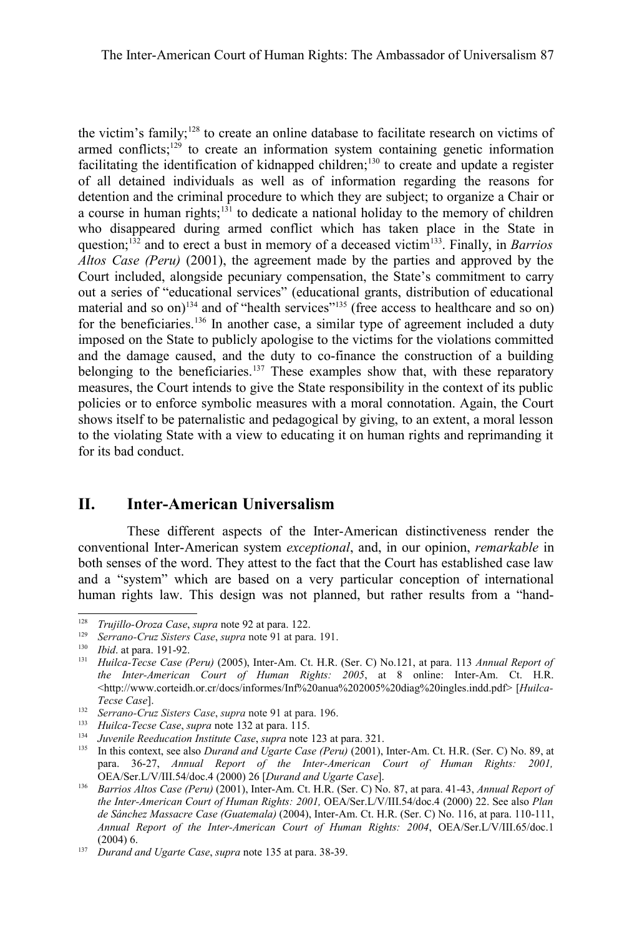the victim's family;[128](#page-30-1) to create an online database to facilitate research on victims of armed conflicts; $129$  to create an information system containing genetic information facilitating the identification of kidnapped children;<sup>[130](#page-30-3)</sup> to create and update a register of all detained individuals as well as of information regarding the reasons for detention and the criminal procedure to which they are subject; to organize a Chair or a course in human rights; $131$  to dedicate a national holiday to the memory of children who disappeared during armed conflict which has taken place in the State in question;[132](#page-30-5) and to erect a bust in memory of a deceased victim[133](#page-30-6). Finally, in *Barrios Altos Case (Peru)* (2001), the agreement made by the parties and approved by the Court included, alongside pecuniary compensation, the State's commitment to carry out a series of "educational services" (educational grants, distribution of educational material and so on)<sup>[134](#page-30-7)</sup> and of "health services"<sup>[135](#page-30-0)</sup> (free access to healthcare and so on) for the beneficiaries.<sup>[136](#page-30-8)</sup> In another case, a similar type of agreement included a duty imposed on the State to publicly apologise to the victims for the violations committed and the damage caused, and the duty to co-finance the construction of a building belonging to the beneficiaries.<sup>[137](#page-30-9)</sup> These examples show that, with these reparatory measures, the Court intends to give the State responsibility in the context of its public policies or to enforce symbolic measures with a moral connotation. Again, the Court shows itself to be paternalistic and pedagogical by giving, to an extent, a moral lesson to the violating State with a view to educating it on human rights and reprimanding it for its bad conduct.

## **II. Inter-American Universalism**

These different aspects of the Inter-American distinctiveness render the conventional Inter-American system *exceptional*, and, in our opinion, *remarkable* in both senses of the word. They attest to the fact that the Court has established case law and a "system" which are based on a very particular conception of international human rights law. This design was not planned, but rather results from a "hand-

<span id="page-30-1"></span><sup>128</sup> *Trujillo-Oroza Case*, *supra* note [92](#page-25-0) at para. 122.

<span id="page-30-2"></span><sup>129</sup> *Serrano-Cruz Sisters Case*, *supra* note [91](#page-24-2) at para. 191.

<span id="page-30-3"></span><sup>130</sup> *Ibid*. at para. 191-92.

<span id="page-30-4"></span><sup>131</sup> *Huilca-Tecse Case (Peru)* (2005), Inter-Am. Ct. H.R. (Ser. C) No.121, at para. 113 *Annual Report of the Inter-American Court of Human Rights: 2005*, at 8 online: Inter-Am. Ct. H.R. <http://www.corteidh.or.cr/docs/informes/Inf%20anua%202005%20diag%20ingles.indd.pdf> [*Huilca-Tecse Case*].

<span id="page-30-5"></span><sup>132</sup> *Serrano-Cruz Sisters Case*, *supra* note [91](#page-24-2) at para. 196.

<span id="page-30-6"></span><sup>133</sup> *Huilca-Tecse Case*, *supra* note 132 at para. 115.

<span id="page-30-7"></span><sup>134</sup> *Juvenile Reeducation Institute Case*, *supra* note [123](#page-29-6) at para. 321.

<span id="page-30-0"></span><sup>135</sup> In this context, see also *Durand and Ugarte Case (Peru)* (2001), Inter-Am. Ct. H.R. (Ser. C) No. 89, at para. 36-27, *Annual Report of the Inter-American Court of Human Rights: 2001,* OEA/Ser.L/V/III.54/doc.4 (2000) 26 [*Durand and Ugarte Case*].

<span id="page-30-8"></span><sup>136</sup> *Barrios Altos Case (Peru)* (2001), Inter-Am. Ct. H.R. (Ser. C) No. 87, at para. 41-43, *Annual Report of the Inter-American Court of Human Rights: 2001,* OEA/Ser.L/V/III.54/doc.4 (2000) 22. See also *Plan de Sánchez Massacre Case (Guatemala)* (2004), Inter-Am. Ct. H.R. (Ser. C) No. 116, at para. 110-111, *Annual Report of the Inter-American Court of Human Rights: 2004*, OEA/Ser.L/V/III.65/doc.1 (2004) 6.

<span id="page-30-9"></span><sup>137</sup> *Durand and Ugarte Case*, *supra* note [135](#page-30-0) at para. 38-39.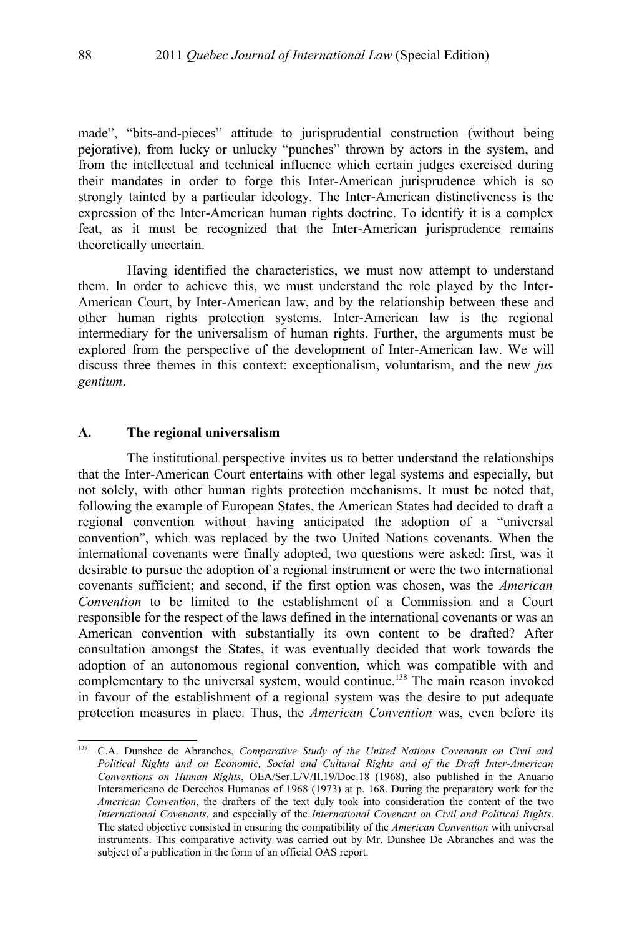made", "bits-and-pieces" attitude to jurisprudential construction (without being pejorative), from lucky or unlucky "punches" thrown by actors in the system, and from the intellectual and technical influence which certain judges exercised during their mandates in order to forge this Inter-American jurisprudence which is so strongly tainted by a particular ideology. The Inter-American distinctiveness is the expression of the Inter-American human rights doctrine. To identify it is a complex feat, as it must be recognized that the Inter-American jurisprudence remains theoretically uncertain.

Having identified the characteristics, we must now attempt to understand them. In order to achieve this, we must understand the role played by the Inter-American Court, by Inter-American law, and by the relationship between these and other human rights protection systems. Inter-American law is the regional intermediary for the universalism of human rights. Further, the arguments must be explored from the perspective of the development of Inter-American law. We will discuss three themes in this context: exceptionalism, voluntarism, and the new *jus gentium*.

#### **A. The regional universalism**

The institutional perspective invites us to better understand the relationships that the Inter-American Court entertains with other legal systems and especially, but not solely, with other human rights protection mechanisms. It must be noted that, following the example of European States, the American States had decided to draft a regional convention without having anticipated the adoption of a "universal convention", which was replaced by the two United Nations covenants. When the international covenants were finally adopted, two questions were asked: first, was it desirable to pursue the adoption of a regional instrument or were the two international covenants sufficient; and second, if the first option was chosen, was the *American Convention* to be limited to the establishment of a Commission and a Court responsible for the respect of the laws defined in the international covenants or was an American convention with substantially its own content to be drafted? After consultation amongst the States, it was eventually decided that work towards the adoption of an autonomous regional convention, which was compatible with and complementary to the universal system, would continue.<sup>[138](#page-31-0)</sup> The main reason invoked in favour of the establishment of a regional system was the desire to put adequate protection measures in place. Thus, the *American Convention* was, even before its

<span id="page-31-0"></span><sup>138</sup> C.A. Dunshee de Abranches, *Comparative Study of the United Nations Covenants on Civil and Political Rights and on Economic, Social and Cultural Rights and of the Draft Inter-American Conventions on Human Rights*, OEA/Ser.L/V/II.19/Doc.18 (1968), also published in the Anuario Interamericano de Derechos Humanos of 1968 (1973) at p. 168. During the preparatory work for the *American Convention*, the drafters of the text duly took into consideration the content of the two *International Covenants*, and especially of the *International Covenant on Civil and Political Rights*. The stated objective consisted in ensuring the compatibility of the *American Convention* with universal instruments. This comparative activity was carried out by Mr. Dunshee De Abranches and was the subject of a publication in the form of an official OAS report.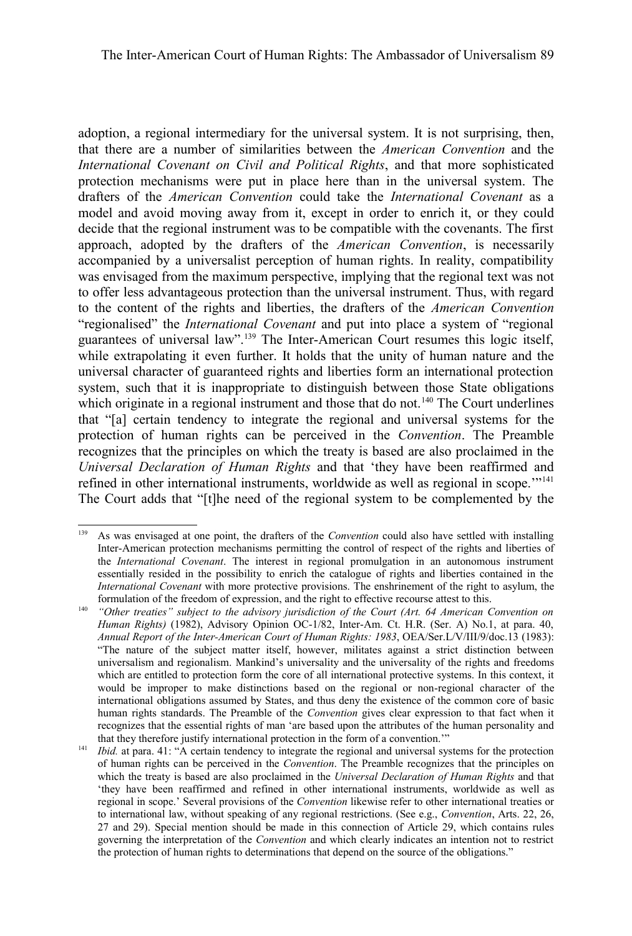adoption, a regional intermediary for the universal system. It is not surprising, then, that there are a number of similarities between the *American Convention* and the *International Covenant on Civil and Political Rights*, and that more sophisticated protection mechanisms were put in place here than in the universal system. The drafters of the *American Convention* could take the *International Covenant* as a model and avoid moving away from it, except in order to enrich it, or they could decide that the regional instrument was to be compatible with the covenants. The first approach, adopted by the drafters of the *American Convention*, is necessarily accompanied by a universalist perception of human rights. In reality, compatibility was envisaged from the maximum perspective, implying that the regional text was not to offer less advantageous protection than the universal instrument. Thus, with regard to the content of the rights and liberties, the drafters of the *American Convention* "regionalised" the *International Covenant* and put into place a system of "regional guarantees of universal law".[139](#page-32-0) The Inter-American Court resumes this logic itself, while extrapolating it even further. It holds that the unity of human nature and the universal character of guaranteed rights and liberties form an international protection system, such that it is inappropriate to distinguish between those State obligations which originate in a regional instrument and those that do not.<sup>[140](#page-32-1)</sup> The Court underlines that "[a] certain tendency to integrate the regional and universal systems for the protection of human rights can be perceived in the *Convention*. The Preamble recognizes that the principles on which the treaty is based are also proclaimed in the *Universal Declaration of Human Rights* and that 'they have been reaffirmed and refined in other international instruments, worldwide as well as regional in scope."<sup>[141](#page-32-2)</sup> The Court adds that "[t]he need of the regional system to be complemented by the

<span id="page-32-0"></span><sup>139</sup> As was envisaged at one point, the drafters of the *Convention* could also have settled with installing Inter-American protection mechanisms permitting the control of respect of the rights and liberties of the *International Covenant*. The interest in regional promulgation in an autonomous instrument essentially resided in the possibility to enrich the catalogue of rights and liberties contained in the *International Covenant* with more protective provisions. The enshrinement of the right to asylum, the formulation of the freedom of expression, and the right to effective recourse attest to this.

<span id="page-32-1"></span><sup>140</sup> *"Other treaties" subject to the advisory jurisdiction of the Court (Art. 64 American Convention on Human Rights*) (1982), Advisory Opinion OC-1/82, Inter-Am. Ct. H.R. (Ser. A) No.1, at para. 40, *Annual Report of the Inter-American Court of Human Rights: 1983*, OEA/Ser.L/V/III/9/doc.13 (1983): "The nature of the subject matter itself, however, militates against a strict distinction between universalism and regionalism. Mankind's universality and the universality of the rights and freedoms which are entitled to protection form the core of all international protective systems. In this context, it would be improper to make distinctions based on the regional or non-regional character of the international obligations assumed by States, and thus deny the existence of the common core of basic human rights standards. The Preamble of the *Convention* gives clear expression to that fact when it recognizes that the essential rights of man 'are based upon the attributes of the human personality and that they therefore justify international protection in the form of a convention.'"

<span id="page-32-2"></span><sup>&</sup>lt;sup>141</sup> *Ibid.* at para. 41: "A certain tendency to integrate the regional and universal systems for the protection of human rights can be perceived in the *Convention*. The Preamble recognizes that the principles on which the treaty is based are also proclaimed in the *Universal Declaration of Human Rights* and that 'they have been reaffirmed and refined in other international instruments, worldwide as well as regional in scope.' Several provisions of the *Convention* likewise refer to other international treaties or to international law, without speaking of any regional restrictions. (See e.g., *Convention*, Arts. 22, 26, 27 and 29). Special mention should be made in this connection of Article 29, which contains rules governing the interpretation of the *Convention* and which clearly indicates an intention not to restrict the protection of human rights to determinations that depend on the source of the obligations."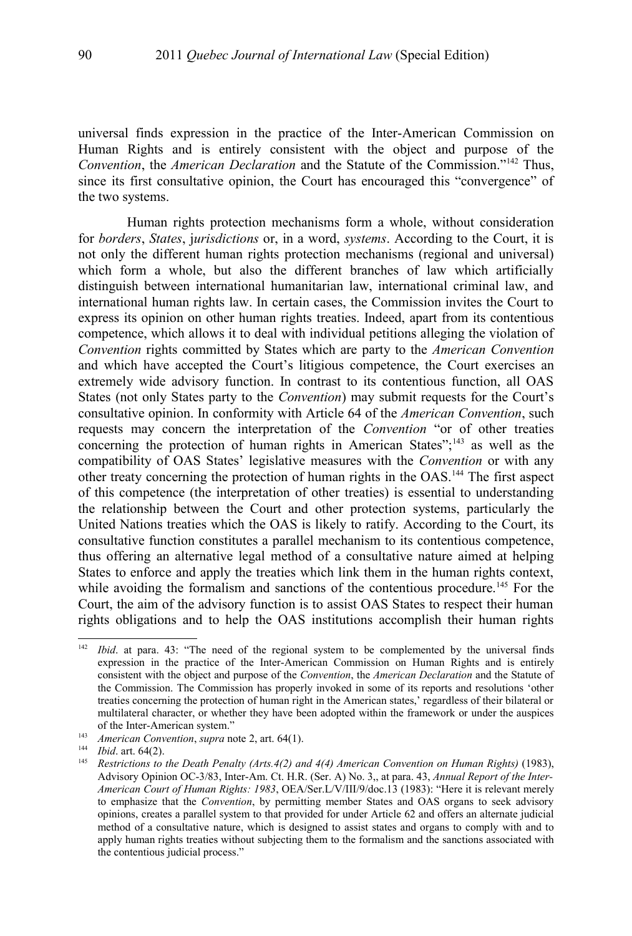universal finds expression in the practice of the Inter-American Commission on Human Rights and is entirely consistent with the object and purpose of the *Convention*, the *American Declaration* and the Statute of the Commission."[142](#page-33-0) Thus, since its first consultative opinion, the Court has encouraged this "convergence" of the two systems.

Human rights protection mechanisms form a whole, without consideration for *borders*, *States*, j*urisdictions* or, in a word, *systems*. According to the Court, it is not only the different human rights protection mechanisms (regional and universal) which form a whole, but also the different branches of law which artificially distinguish between international humanitarian law, international criminal law, and international human rights law. In certain cases, the Commission invites the Court to express its opinion on other human rights treaties. Indeed, apart from its contentious competence, which allows it to deal with individual petitions alleging the violation of *Convention* rights committed by States which are party to the *American Convention* and which have accepted the Court's litigious competence, the Court exercises an extremely wide advisory function. In contrast to its contentious function, all OAS States (not only States party to the *Convention*) may submit requests for the Court's consultative opinion. In conformity with Article 64 of the *American Convention*, such requests may concern the interpretation of the *Convention* "or of other treaties concerning the protection of human rights in American States";<sup>[143](#page-33-1)</sup> as well as the compatibility of OAS States' legislative measures with the *Convention* or with any other treaty concerning the protection of human rights in the OAS.[144](#page-33-2) The first aspect of this competence (the interpretation of other treaties) is essential to understanding the relationship between the Court and other protection systems, particularly the United Nations treaties which the OAS is likely to ratify. According to the Court, its consultative function constitutes a parallel mechanism to its contentious competence, thus offering an alternative legal method of a consultative nature aimed at helping States to enforce and apply the treaties which link them in the human rights context, while avoiding the formalism and sanctions of the contentious procedure.<sup>[145](#page-33-3)</sup> For the Court, the aim of the advisory function is to assist OAS States to respect their human rights obligations and to help the OAS institutions accomplish their human rights

<span id="page-33-0"></span><sup>&</sup>lt;sup>142</sup> *Ibid.* at para. 43: "The need of the regional system to be complemented by the universal finds expression in the practice of the Inter-American Commission on Human Rights and is entirely consistent with the object and purpose of the *Convention*, the *American Declaration* and the Statute of the Commission. The Commission has properly invoked in some of its reports and resolutions 'other treaties concerning the protection of human right in the American states,' regardless of their bilateral or multilateral character, or whether they have been adopted within the framework or under the auspices of the Inter-American system."

<span id="page-33-1"></span><sup>143</sup> *American Convention*, *supra* note [2,](#page-1-1) art. 64(1).

<span id="page-33-2"></span><sup>144</sup> *Ibid*. art. 64(2).

<span id="page-33-3"></span><sup>&</sup>lt;sup>145</sup> *Restrictions to the Death Penalty (Arts.4(2) and 4(4) American Convention on Human Rights)* (1983), Advisory Opinion OC-3/83, Inter-Am. Ct. H.R. (Ser. A) No. 3,, at para. 43, *Annual Report of the Inter-American Court of Human Rights: 1983*, OEA/Ser.L/V/III/9/doc.13 (1983): "Here it is relevant merely to emphasize that the *Convention*, by permitting member States and OAS organs to seek advisory opinions, creates a parallel system to that provided for under Article 62 and offers an alternate judicial method of a consultative nature, which is designed to assist states and organs to comply with and to apply human rights treaties without subjecting them to the formalism and the sanctions associated with the contentious judicial process."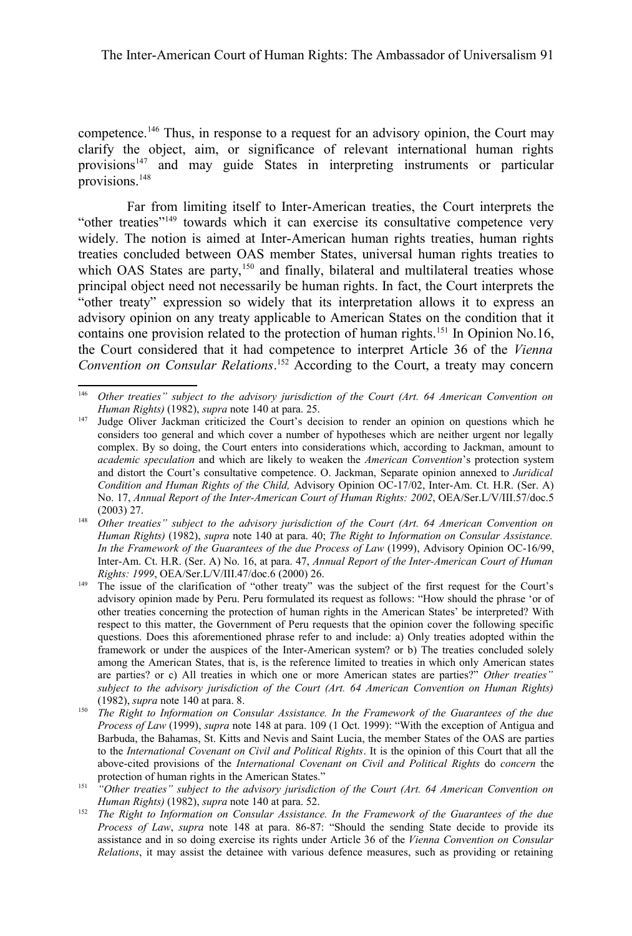competence.[146](#page-34-1) Thus, in response to a request for an advisory opinion, the Court may clarify the object, aim, or significance of relevant international human rights provisions<sup>[147](#page-34-2)</sup> and may guide States in interpreting instruments or particular provisions.[148](#page-34-0)

Far from limiting itself to Inter-American treaties, the Court interprets the "other treaties"[149](#page-34-3) towards which it can exercise its consultative competence very widely. The notion is aimed at Inter-American human rights treaties, human rights treaties concluded between OAS member States, universal human rights treaties to which OAS States are party,<sup>[150](#page-34-4)</sup> and finally, bilateral and multilateral treaties whose principal object need not necessarily be human rights. In fact, the Court interprets the "other treaty" expression so widely that its interpretation allows it to express an advisory opinion on any treaty applicable to American States on the condition that it contains one provision related to the protection of human rights.<sup>[151](#page-34-5)</sup> In Opinion No.16, the Court considered that it had competence to interpret Article 36 of the *Vienna Convention on Consular Relations*. [152](#page-34-6) According to the Court, a treaty may concern

<span id="page-34-1"></span><sup>146</sup> *Other treaties" subject to the advisory jurisdiction of the Court (Art. 64 American Convention on Human Rights)* (1982), *supra* note [140](#page-32-1) at para. 25.

<span id="page-34-2"></span><sup>&</sup>lt;sup>147</sup> Judge Oliver Jackman criticized the Court's decision to render an opinion on questions which he considers too general and which cover a number of hypotheses which are neither urgent nor legally complex. By so doing, the Court enters into considerations which, according to Jackman, amount to *academic speculation* and which are likely to weaken the *American Convention*'s protection system and distort the Court's consultative competence. O. Jackman, Separate opinion annexed to *Juridical Condition and Human Rights of the Child,* Advisory Opinion OC-17/02, Inter-Am. Ct. H.R. (Ser. A) No. 17, *Annual Report of the Inter-American Court of Human Rights: 2002*, OEA/Ser.L/V/III.57/doc.5 (2003) 27.

<span id="page-34-0"></span><sup>148</sup> *Other treaties" subject to the advisory jurisdiction of the Court (Art. 64 American Convention on Human Rights)* (1982), *supra* note [140](#page-32-1) at para. 40; *The Right to Information on Consular Assistance. In the Framework of the Guarantees of the due Process of Law* (1999), Advisory Opinion OC-16/99, Inter-Am. Ct. H.R. (Ser. A) No. 16, at para. 47, *Annual Report of the Inter-American Court of Human Rights: 1999*, OEA/Ser.L/V/III.47/doc.6 (2000) 26.

<span id="page-34-3"></span>The issue of the clarification of "other treaty" was the subject of the first request for the Court's advisory opinion made by Peru. Peru formulated its request as follows: "How should the phrase 'or of other treaties concerning the protection of human rights in the American States' be interpreted? With respect to this matter, the Government of Peru requests that the opinion cover the following specific questions. Does this aforementioned phrase refer to and include: a) Only treaties adopted within the framework or under the auspices of the Inter-American system? or b) The treaties concluded solely among the American States, that is, is the reference limited to treaties in which only American states are parties? or c) All treaties in which one or more American states are parties?" *Other treaties" subject to the advisory jurisdiction of the Court (Art. 64 American Convention on Human Rights)* (1982), *supra* note [140](#page-32-1) at para. 8.

<span id="page-34-4"></span><sup>&</sup>lt;sup>150</sup> *The Right to Information on Consular Assistance. In the Framework of the Guarantees of the due Process of Law* (1999), *supra* note [148](#page-34-0) at para. 109 (1 Oct. 1999): "With the exception of Antigua and Barbuda, the Bahamas, St. Kitts and Nevis and Saint Lucia, the member States of the OAS are parties to the *International Covenant on Civil and Political Rights*. It is the opinion of this Court that all the above-cited provisions of the *International Covenant on Civil and Political Rights* do *concern* the protection of human rights in the American States."

<span id="page-34-5"></span><sup>151</sup> *"Other treaties" subject to the advisory jurisdiction of the Court (Art. 64 American Convention on Human Rights)* (1982), *supra* note [140](#page-32-1) at para. 52.

<span id="page-34-6"></span><sup>152</sup> *The Right to Information on Consular Assistance. In the Framework of the Guarantees of the due Process of Law*, *supra* note [148](#page-34-0) at para. 86-87: "Should the sending State decide to provide its assistance and in so doing exercise its rights under Article 36 of the *Vienna Convention on Consular Relations*, it may assist the detainee with various defence measures, such as providing or retaining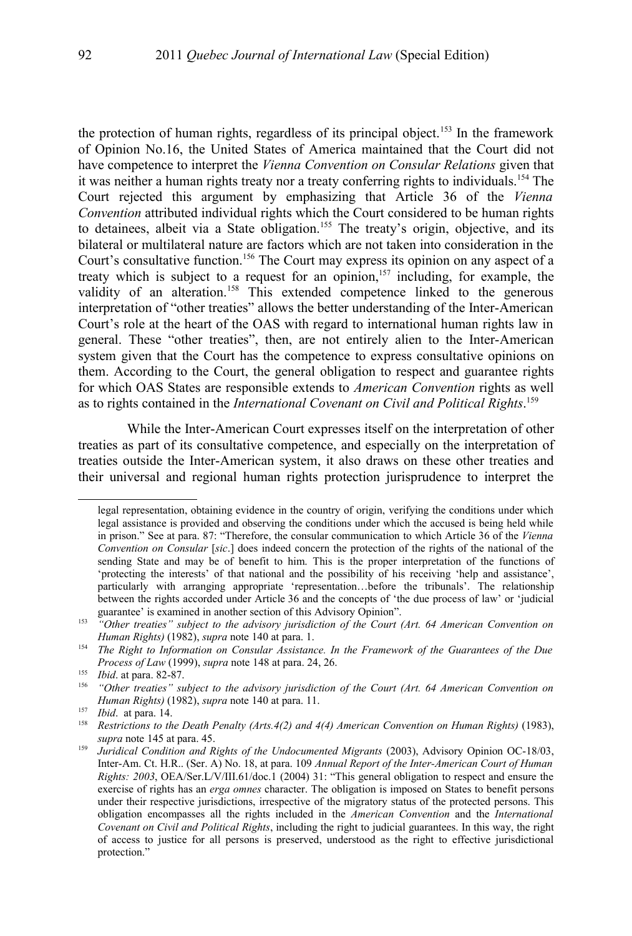the protection of human rights, regardless of its principal object.<sup>[153](#page-35-0)</sup> In the framework of Opinion No.16, the United States of America maintained that the Court did not have competence to interpret the *Vienna Convention on Consular Relations* given that it was neither a human rights treaty nor a treaty conferring rights to individuals.[154](#page-35-1) The Court rejected this argument by emphasizing that Article 36 of the *Vienna Convention* attributed individual rights which the Court considered to be human rights to detainees, albeit via a State obligation.<sup>[155](#page-35-2)</sup> The treaty's origin, objective, and its bilateral or multilateral nature are factors which are not taken into consideration in the Court's consultative function.[156](#page-35-3) The Court may express its opinion on any aspect of a treaty which is subject to a request for an opinion,<sup>[157](#page-35-4)</sup> including, for example, the validity of an alteration.<sup>[158](#page-35-5)</sup> This extended competence linked to the generous interpretation of "other treaties" allows the better understanding of the Inter-American Court's role at the heart of the OAS with regard to international human rights law in general. These "other treaties", then, are not entirely alien to the Inter-American system given that the Court has the competence to express consultative opinions on them. According to the Court, the general obligation to respect and guarantee rights for which OAS States are responsible extends to *American Convention* rights as well as to rights contained in the *International Covenant on Civil and Political Rights*. [159](#page-35-6)

While the Inter-American Court expresses itself on the interpretation of other treaties as part of its consultative competence, and especially on the interpretation of treaties outside the Inter-American system, it also draws on these other treaties and their universal and regional human rights protection jurisprudence to interpret the

legal representation, obtaining evidence in the country of origin, verifying the conditions under which legal assistance is provided and observing the conditions under which the accused is being held while in prison." See at para. 87: "Therefore, the consular communication to which Article 36 of the *Vienna Convention on Consular* [*sic*.] does indeed concern the protection of the rights of the national of the sending State and may be of benefit to him. This is the proper interpretation of the functions of 'protecting the interests' of that national and the possibility of his receiving 'help and assistance', particularly with arranging appropriate 'representation...before the tribunals'. The relationship between the rights accorded under Article 36 and the concepts of 'the due process of law' or 'judicial guarantee' is examined in another section of this Advisory Opinion".

<span id="page-35-0"></span><sup>153</sup> *"Other treaties" subject to the advisory jurisdiction of the Court (Art. 64 American Convention on Human Rights)* (1982), *supra* note [140](#page-32-1) at para. 1.

<span id="page-35-1"></span><sup>154</sup> *The Right to Information on Consular Assistance. In the Framework of the Guarantees of the Due Process of Law* (1999), *supra* note [148](#page-34-0) at para. 24, 26.

<span id="page-35-2"></span><sup>155</sup> *Ibid*. at para. 82-87.

<span id="page-35-3"></span><sup>156</sup> *"Other treaties" subject to the advisory jurisdiction of the Court (Art. 64 American Convention on Human Rights)* (1982), *supra* note [140](#page-32-1) at para. 11.

<span id="page-35-4"></span><sup>&</sup>lt;sup>157</sup> *Ibid.* at para. 14.

<span id="page-35-5"></span><sup>158</sup> *Restrictions to the Death Penalty (Arts.4(2) and 4(4) American Convention on Human Rights)* (1983), *supra* note [145](#page-33-3) at para. 45.

<span id="page-35-6"></span><sup>&</sup>lt;sup>159</sup> *Juridical Condition and Rights of the Undocumented Migrants* (2003), Advisory Opinion OC-18/03, Inter-Am. Ct. H.R.. (Ser. A) No. 18, at para. 109 *Annual Report of the Inter-American Court of Human Rights: 2003*, OEA/Ser.L/V/III.61/doc.1 (2004) 31: "This general obligation to respect and ensure the exercise of rights has an *erga omnes* character. The obligation is imposed on States to benefit persons under their respective jurisdictions, irrespective of the migratory status of the protected persons. This obligation encompasses all the rights included in the *American Convention* and the *International Covenant on Civil and Political Rights*, including the right to judicial guarantees. In this way, the right of access to justice for all persons is preserved, understood as the right to effective jurisdictional protection."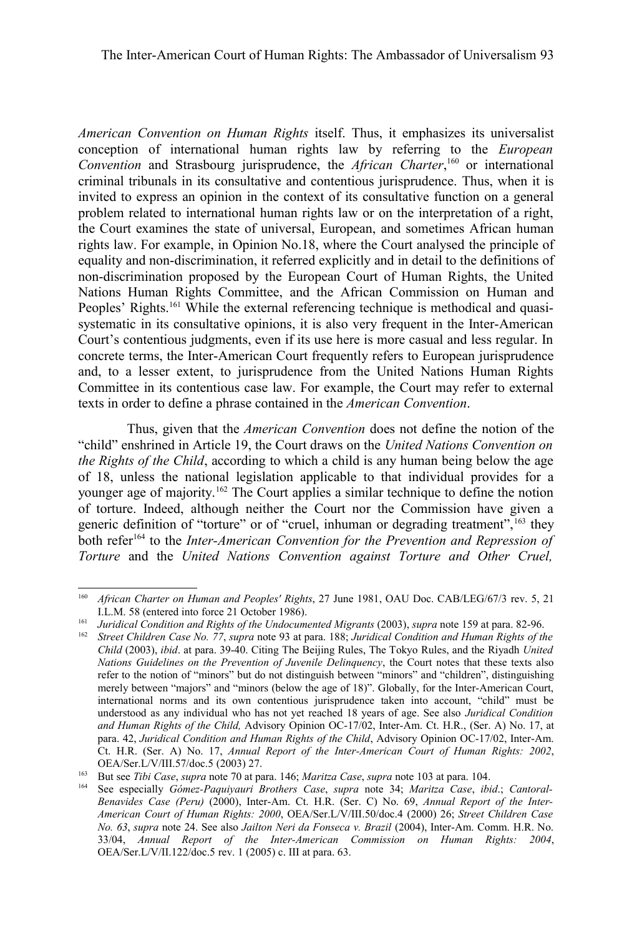*American Convention on Human Rights* itself. Thus, it emphasizes its universalist conception of international human rights law by referring to the *European Convention* and Strasbourg jurisprudence, the *African Charter*, [160](#page-36-0) or international criminal tribunals in its consultative and contentious jurisprudence. Thus, when it is invited to express an opinion in the context of its consultative function on a general problem related to international human rights law or on the interpretation of a right, the Court examines the state of universal, European, and sometimes African human rights law. For example, in Opinion No.18, where the Court analysed the principle of equality and non-discrimination, it referred explicitly and in detail to the definitions of non-discrimination proposed by the European Court of Human Rights, the United Nations Human Rights Committee, and the African Commission on Human and Peoples' Rights.<sup>[161](#page-36-1)</sup> While the external referencing technique is methodical and quasisystematic in its consultative opinions, it is also very frequent in the Inter-American Court's contentious judgments, even if its use here is more casual and less regular. In concrete terms, the Inter-American Court frequently refers to European jurisprudence and, to a lesser extent, to jurisprudence from the United Nations Human Rights Committee in its contentious case law. For example, the Court may refer to external texts in order to define a phrase contained in the *American Convention*.

Thus, given that the *American Convention* does not define the notion of the "child" enshrined in Article 19, the Court draws on the *United Nations Convention on the Rights of the Child*, according to which a child is any human being below the age of 18, unless the national legislation applicable to that individual provides for a younger age of majority.<sup>[162](#page-36-2)</sup> The Court applies a similar technique to define the notion of torture. Indeed, although neither the Court nor the Commission have given a generic definition of "torture" or of "cruel, inhuman or degrading treatment", <sup>[163](#page-36-3)</sup> they both refer<sup>[164](#page-36-4)</sup> to the *Inter-American Convention for the Prevention and Repression of Torture* and the *United Nations Convention against Torture and Other Cruel,*

<span id="page-36-0"></span><sup>160</sup> *African Charter on Human and Peoples' Rights*, 27 June 1981, OAU Doc. CAB/LEG/67/3 rev. 5, 21 I.L.M. 58 (entered into force 21 October 1986).

<span id="page-36-1"></span><sup>161</sup> *Juridical Condition and Rights of the Undocumented Migrants* (2003), *supra* note [159](#page-35-6) at para. 82-96.

<span id="page-36-2"></span><sup>162</sup> *Street Children Case No. 77*, *supra* note [93](#page-25-1) at para. 188; *Juridical Condition and Human Rights of the Child* (2003), *ibid*. at para. 39-40. Citing The Beijing Rules, The Tokyo Rules, and the Riyadh *United Nations Guidelines on the Prevention of Juvenile Delinquency*, the Court notes that these texts also refer to the notion of "minors" but do not distinguish between "minors" and "children", distinguishing merely between "majors" and "minors (below the age of 18)". Globally, for the Inter-American Court, international norms and its own contentious jurisprudence taken into account, "child" must be understood as any individual who has not yet reached 18 years of age. See also *Juridical Condition and Human Rights of the Child,* Advisory Opinion OC-17/02, Inter-Am. Ct. H.R., (Ser. A) No. 17, at para. 42, *Juridical Condition and Human Rights of the Child*, Advisory Opinion OC-17/02, Inter-Am. Ct. H.R. (Ser. A) No. 17, *Annual Report of the Inter-American Court of Human Rights: 2002*, OEA/Ser.L/V/III.57/doc.5 (2003) 27.

<span id="page-36-3"></span><sup>163</sup> But see *Tibi Case*, *supra* note [70](#page-20-4) at para. 146; *Maritza Case*, *supra* note [103](#page-27-0) at para. 104.

<span id="page-36-4"></span><sup>164</sup> See especially *Gómez-Paquiyauri Brothers Case*, *supra* note [34;](#page-10-1) *Maritza Case*, *ibid*.; *Cantoral-Benavides Case (Peru)* (2000), Inter-Am. Ct. H.R. (Ser. C) No. 69, *Annual Report of the Inter-American Court of Human Rights: 2000*, OEA/Ser.L/V/III.50/doc.4 (2000) 26; *Street Children Case No. 63*, *supra* note [24.](#page-8-1) See also *Jailton Neri da Fonseca v. Brazil* (2004), Inter-Am. Comm. H.R. No. 33/04, *Annual Report of the Inter-American Commission on Human Rights: 2004*, OEA/Ser.L/V/II.122/doc.5 rev. 1 (2005) c. III at para. 63.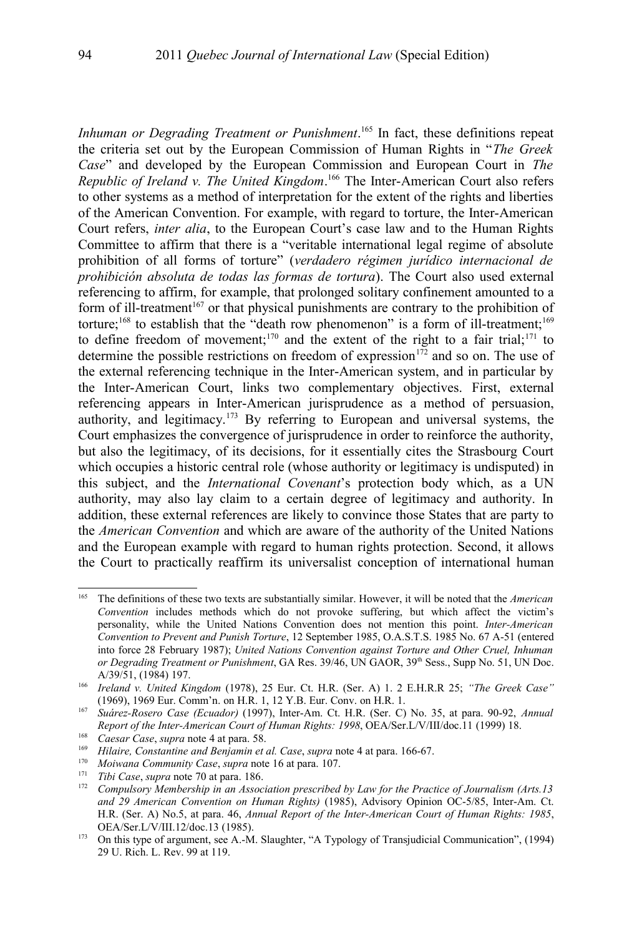*Inhuman or Degrading Treatment or Punishment*. [165](#page-37-0) In fact, these definitions repeat the criteria set out by the European Commission of Human Rights in "*The Greek Case*" and developed by the European Commission and European Court in *The Republic of Ireland v. The United Kingdom*. [166](#page-37-1) The Inter-American Court also refers to other systems as a method of interpretation for the extent of the rights and liberties of the American Convention. For example, with regard to torture, the Inter-American Court refers, *inter alia*, to the European Court's case law and to the Human Rights Committee to affirm that there is a "veritable international legal regime of absolute prohibition of all forms of torture" (*verdadero régimen jurídico internacional de prohibición absoluta de todas las formas de tortura*). The Court also used external referencing to affirm, for example, that prolonged solitary confinement amounted to a form of ill-treatment<sup>[167](#page-37-2)</sup> or that physical punishments are contrary to the prohibition of torture;<sup>[168](#page-37-3)</sup> to establish that the "death row phenomenon" is a form of ill-treatment;<sup>[169](#page-37-4)</sup> to define freedom of movement;<sup>[170](#page-37-5)</sup> and the extent of the right to a fair trial;<sup>[171](#page-37-6)</sup> to determine the possible restrictions on freedom of expression $172$  and so on. The use of the external referencing technique in the Inter-American system, and in particular by the Inter-American Court, links two complementary objectives. First, external referencing appears in Inter-American jurisprudence as a method of persuasion, authority, and legitimacy.<sup>[173](#page-37-8)</sup> By referring to European and universal systems, the Court emphasizes the convergence of jurisprudence in order to reinforce the authority, but also the legitimacy, of its decisions, for it essentially cites the Strasbourg Court which occupies a historic central role (whose authority or legitimacy is undisputed) in this subject, and the *International Covenant*'s protection body which, as a UN authority, may also lay claim to a certain degree of legitimacy and authority. In addition, these external references are likely to convince those States that are party to the *American Convention* and which are aware of the authority of the United Nations and the European example with regard to human rights protection. Second, it allows the Court to practically reaffirm its universalist conception of international human

<span id="page-37-0"></span><sup>165</sup> The definitions of these two texts are substantially similar. However, it will be noted that the *American Convention* includes methods which do not provoke suffering, but which affect the victim's personality, while the United Nations Convention does not mention this point. *Inter-American Convention to Prevent and Punish Torture*, 12 September 1985, O.A.S.T.S. 1985 No. 67 A-51 (entered into force 28 February 1987); *United Nations Convention against Torture and Other Cruel, Inhuman or Degrading Treatment or Punishment*, GA Res. 39/46, UN GAOR, 39<sup>th</sup> Sess., Supp No. 51, UN Doc. A/39/51, (1984) 197.

<span id="page-37-1"></span><sup>166</sup> *Ireland v. United Kingdom* (1978), 25 Eur. Ct. H.R. (Ser. A) 1. 2 E.H.R.R 25; *"The Greek Case"* (1969), 1969 Eur. Comm'n. on H.R. 1, 12 Y.B. Eur. Conv. on H.R. 1.

<span id="page-37-2"></span><sup>167</sup> *Suárez-Rosero Case (Ecuador)* (1997), Inter-Am. Ct. H.R. (Ser. C) No. 35, at para. 90-92, *Annual Report of the Inter-American Court of Human Rights: 1998*, OEA/Ser.L/V/III/doc.11 (1999) 18.

<span id="page-37-3"></span><sup>&</sup>lt;sup>168</sup> *Caesar Case, supra* note [4](#page-1-3) at para. 58.<br><sup>169</sup> Hilaire Constantine and Beniamin et a

<span id="page-37-4"></span><sup>169</sup> *Hilaire, Constantine and Benjamin et al. Case*, *supra* note [4](#page-1-3) at para. 166-67.

<span id="page-37-5"></span><sup>170</sup> *Moiwana Community Case*, *supra* note [16](#page-6-0) at para. 107.

<span id="page-37-6"></span><sup>171</sup> *Tibi Case*, *supra* note [70](#page-20-4) at para. 186.

<span id="page-37-7"></span><sup>172</sup> *Compulsory Membership in an Association prescribed by Law for the Practice of Journalism (Arts.13 and 29 American Convention on Human Rights)* (1985), Advisory Opinion OC-5/85, Inter-Am. Ct. H.R. (Ser. A) No.5, at para. 46, *Annual Report of the Inter-American Court of Human Rights: 1985*, OEA/Ser.L/V/III.12/doc.13 (1985).

<span id="page-37-8"></span><sup>173</sup> On this type of argument, see A.-M. Slaughter, "A Typology of Transjudicial Communication", (1994) 29 U. Rich. L. Rev. 99 at 119.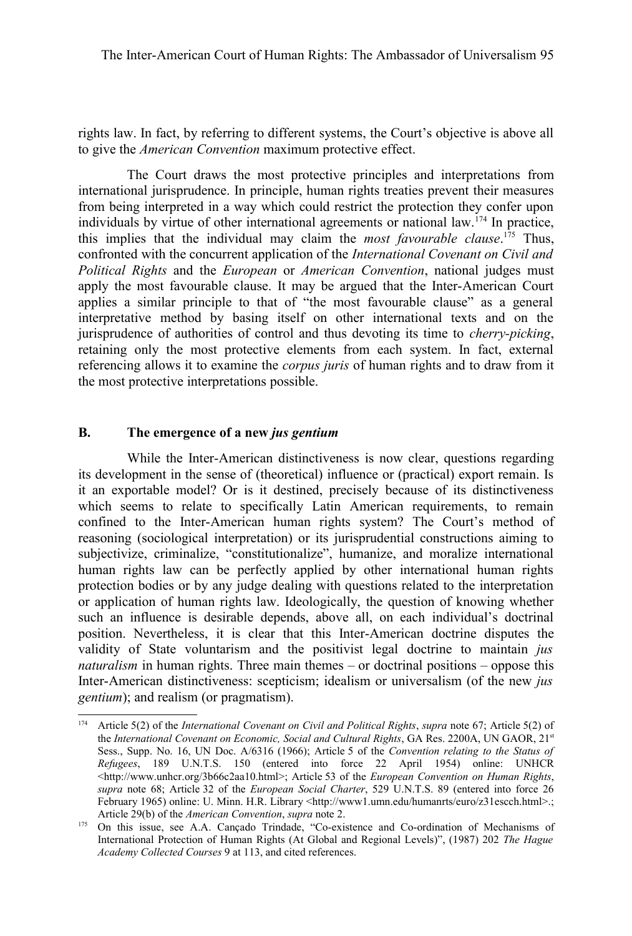rights law. In fact, by referring to different systems, the Court's objective is above all to give the *American Convention* maximum protective effect.

The Court draws the most protective principles and interpretations from international jurisprudence. In principle, human rights treaties prevent their measures from being interpreted in a way which could restrict the protection they confer upon individuals by virtue of other international agreements or national law.<sup>[174](#page-38-0)</sup> In practice, this implies that the individual may claim the *most favourable clause*. [175](#page-38-1) Thus, confronted with the concurrent application of the *International Covenant on Civil and Political Rights* and the *European* or *American Convention*, national judges must apply the most favourable clause. It may be argued that the Inter-American Court applies a similar principle to that of "the most favourable clause" as a general interpretative method by basing itself on other international texts and on the jurisprudence of authorities of control and thus devoting its time to *cherry-picking*, retaining only the most protective elements from each system. In fact, external referencing allows it to examine the *corpus juris* of human rights and to draw from it the most protective interpretations possible.

### **B. The emergence of a new** *jus gentium*

While the Inter-American distinctiveness is now clear, questions regarding its development in the sense of (theoretical) influence or (practical) export remain. Is it an exportable model? Or is it destined, precisely because of its distinctiveness which seems to relate to specifically Latin American requirements, to remain confined to the Inter-American human rights system? The Court's method of reasoning (sociological interpretation) or its jurisprudential constructions aiming to subjectivize, criminalize, "constitutionalize", humanize, and moralize international human rights law can be perfectly applied by other international human rights protection bodies or by any judge dealing with questions related to the interpretation or application of human rights law. Ideologically, the question of knowing whether such an influence is desirable depends, above all, on each individual's doctrinal position. Nevertheless, it is clear that this Inter-American doctrine disputes the validity of State voluntarism and the positivist legal doctrine to maintain *jus naturalism* in human rights. Three main themes – or doctrinal positions – oppose this Inter-American distinctiveness: scepticism; idealism or universalism (of the new *jus gentium*); and realism (or pragmatism).

<span id="page-38-0"></span><sup>174</sup> Article 5(2) of the *International Covenant on Civil and Political Rights*, *supra* note [67;](#page-20-1) Article 5(2) of the *International Covenant on Economic, Social and Cultural Rights*, GA Res. 2200A, UN GAOR, 21<sup>st</sup> Sess., Supp. No. 16, UN Doc. A/6316 (1966); Article 5 of the *Convention relating to the Status of Refugees*, 189 U.N.T.S. 150 (entered into force 22 April 1954) online: UNHCR <http://www.unhcr.org/3b66c2aa10.html>; Article 53 of the *European Convention on Human Rights*, *supra* note [68;](#page-20-2) Article 32 of the *European Social Charter*, 529 U.N.T.S. 89 (entered into force 26 February 1965) online: U. Minn. H.R. Library <http://www1.umn.edu/humanrts/euro/z31escch.html>.; Article 29(b) of the *American Convention*, *supra* note [2.](#page-1-1)

<span id="page-38-1"></span><sup>&</sup>lt;sup>175</sup> On this issue, see A.A. Cançado Trindade, "Co-existence and Co-ordination of Mechanisms of International Protection of Human Rights (At Global and Regional Levels)", (1987) 202 *The Hague Academy Collected Courses* 9 at 113, and cited references.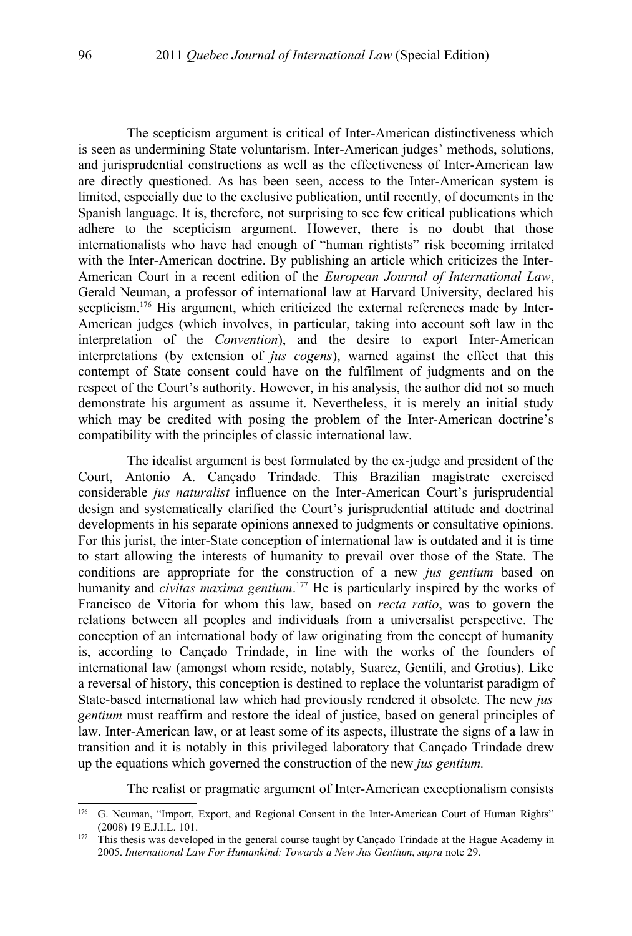The scepticism argument is critical of Inter-American distinctiveness which is seen as undermining State voluntarism. Inter-American judges' methods, solutions, and jurisprudential constructions as well as the effectiveness of Inter-American law are directly questioned. As has been seen, access to the Inter-American system is limited, especially due to the exclusive publication, until recently, of documents in the Spanish language. It is, therefore, not surprising to see few critical publications which adhere to the scepticism argument. However, there is no doubt that those internationalists who have had enough of "human rightists" risk becoming irritated with the Inter-American doctrine. By publishing an article which criticizes the Inter-American Court in a recent edition of the *European Journal of International Law*, Gerald Neuman, a professor of international law at Harvard University, declared his scepticism.<sup>[176](#page-39-0)</sup> His argument, which criticized the external references made by Inter-American judges (which involves, in particular, taking into account soft law in the interpretation of the *Convention*), and the desire to export Inter-American interpretations (by extension of *jus cogens*), warned against the effect that this contempt of State consent could have on the fulfilment of judgments and on the respect of the Court's authority. However, in his analysis, the author did not so much demonstrate his argument as assume it. Nevertheless, it is merely an initial study which may be credited with posing the problem of the Inter-American doctrine's compatibility with the principles of classic international law.

The idealist argument is best formulated by the ex-judge and president of the Court, Antonio A. Cançado Trindade. This Brazilian magistrate exercised considerable *jus naturalist* influence on the Inter-American Court's jurisprudential design and systematically clarified the Court's jurisprudential attitude and doctrinal developments in his separate opinions annexed to judgments or consultative opinions. For this jurist, the inter-State conception of international law is outdated and it is time to start allowing the interests of humanity to prevail over those of the State. The conditions are appropriate for the construction of a new *jus gentium* based on humanity and *civitas maxima gentium*. [177](#page-39-1) He is particularly inspired by the works of Francisco de Vitoria for whom this law, based on *recta ratio*, was to govern the relations between all peoples and individuals from a universalist perspective. The conception of an international body of law originating from the concept of humanity is, according to Cançado Trindade, in line with the works of the founders of international law (amongst whom reside, notably, Suarez, Gentili, and Grotius). Like a reversal of history, this conception is destined to replace the voluntarist paradigm of State-based international law which had previously rendered it obsolete. The new *jus gentium* must reaffirm and restore the ideal of justice, based on general principles of law. Inter-American law, or at least some of its aspects, illustrate the signs of a law in transition and it is notably in this privileged laboratory that Cançado Trindade drew up the equations which governed the construction of the new *jus gentium.*

The realist or pragmatic argument of Inter-American exceptionalism consists

<span id="page-39-0"></span><sup>&</sup>lt;sup>176</sup> G. Neuman, "Import, Export, and Regional Consent in the Inter-American Court of Human Rights" (2008) 19 E.J.I.L. 101.

<span id="page-39-1"></span><sup>&</sup>lt;sup>177</sup> This thesis was developed in the general course taught by Cançado Trindade at the Hague Academy in 2005. *International Law For Humankind: Towards a New Jus Gentium*, *supra* note [29.](#page-9-0)